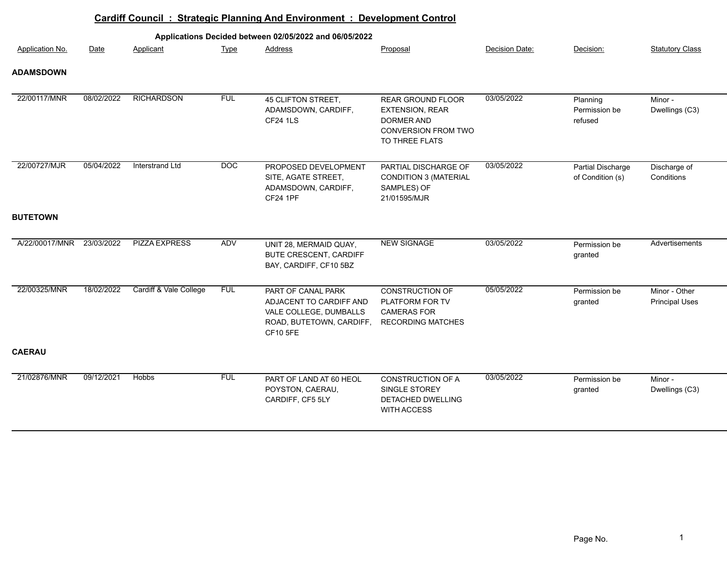|                  |            |                        |            | Cardiff Council: Strategic Planning And Environment: Development Control                                               |                                                                                                           |                |                                       |                                        |
|------------------|------------|------------------------|------------|------------------------------------------------------------------------------------------------------------------------|-----------------------------------------------------------------------------------------------------------|----------------|---------------------------------------|----------------------------------------|
|                  |            |                        |            | Applications Decided between 02/05/2022 and 06/05/2022                                                                 |                                                                                                           |                |                                       |                                        |
| Application No.  | Date       | Applicant              | Type       | Address                                                                                                                | Proposal                                                                                                  | Decision Date: | Decision:                             | <b>Statutory Class</b>                 |
| <b>ADAMSDOWN</b> |            |                        |            |                                                                                                                        |                                                                                                           |                |                                       |                                        |
| 22/00117/MNR     | 08/02/2022 | <b>RICHARDSON</b>      | <b>FUL</b> | 45 CLIFTON STREET,<br>ADAMSDOWN, CARDIFF,<br><b>CF24 1LS</b>                                                           | REAR GROUND FLOOR<br><b>EXTENSION, REAR</b><br><b>DORMER AND</b><br>CONVERSION FROM TWO<br>TO THREE FLATS | 03/05/2022     | Planning<br>Permission be<br>refused  | Minor -<br>Dwellings (C3)              |
| 22/00727/MJR     | 05/04/2022 | <b>Interstrand Ltd</b> | DOC        | PROPOSED DEVELOPMENT<br>SITE, AGATE STREET,<br>ADAMSDOWN, CARDIFF,<br><b>CF24 1PF</b>                                  | PARTIAL DISCHARGE OF<br><b>CONDITION 3 (MATERIAL</b><br>SAMPLES) OF<br>21/01595/MJR                       | 03/05/2022     | Partial Discharge<br>of Condition (s) | Discharge of<br>Conditions             |
| <b>BUTETOWN</b>  |            |                        |            |                                                                                                                        |                                                                                                           |                |                                       |                                        |
| A/22/00017/MNR   | 23/03/2022 | <b>PIZZA EXPRESS</b>   | ADV        | UNIT 28, MERMAID QUAY,<br><b>BUTE CRESCENT, CARDIFF</b><br>BAY, CARDIFF, CF10 5BZ                                      | <b>NEW SIGNAGE</b>                                                                                        | 03/05/2022     | Permission be<br>granted              | Advertisements                         |
| 22/00325/MNR     | 18/02/2022 | Cardiff & Vale College | <b>FUL</b> | PART OF CANAL PARK<br>ADJACENT TO CARDIFF AND<br>VALE COLLEGE, DUMBALLS<br>ROAD, BUTETOWN, CARDIFF,<br><b>CF10 5FE</b> | CONSTRUCTION OF<br>PLATFORM FOR TV<br><b>CAMERAS FOR</b><br><b>RECORDING MATCHES</b>                      | 05/05/2022     | Permission be<br>granted              | Minor - Other<br><b>Principal Uses</b> |
| <b>CAERAU</b>    |            |                        |            |                                                                                                                        |                                                                                                           |                |                                       |                                        |
| 21/02876/MNR     | 09/12/2021 | <b>Hobbs</b>           | <b>FUL</b> | PART OF LAND AT 60 HEOL<br>POYSTON, CAERAU,<br>CARDIFF, CF5 5LY                                                        | CONSTRUCTION OF A<br>SINGLE STOREY<br>DETACHED DWELLING<br>WITH ACCESS                                    | 03/05/2022     | Permission be<br>granted              | Minor -<br>Dwellings (C3)              |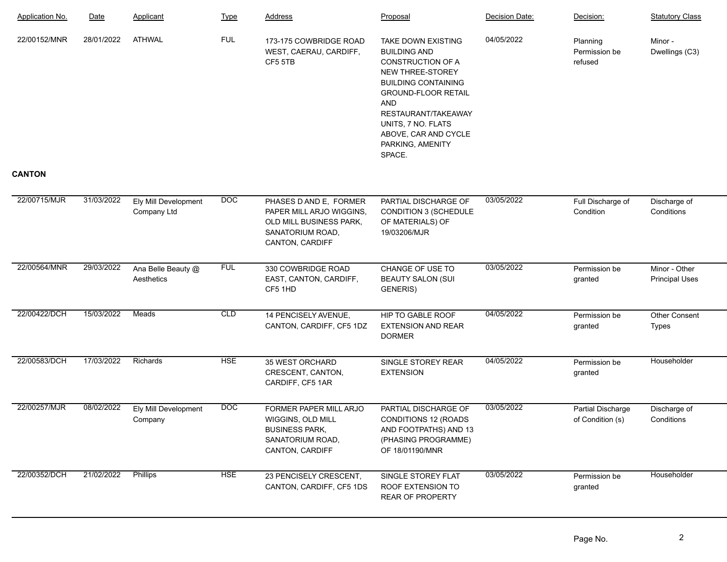| Application No. | Date       | Applicant                           | <b>Type</b> | <b>Address</b>                                                                                                              | Proposal                                                                                                                                                                                                                                                        | Decision Date: | Decision:                             | <b>Statutory Class</b>                 |
|-----------------|------------|-------------------------------------|-------------|-----------------------------------------------------------------------------------------------------------------------------|-----------------------------------------------------------------------------------------------------------------------------------------------------------------------------------------------------------------------------------------------------------------|----------------|---------------------------------------|----------------------------------------|
| 22/00152/MNR    | 28/01/2022 | <b>ATHWAL</b>                       | <b>FUL</b>  | 173-175 COWBRIDGE ROAD<br>WEST, CAERAU, CARDIFF,<br>CF5 5TB                                                                 | TAKE DOWN EXISTING<br><b>BUILDING AND</b><br>CONSTRUCTION OF A<br>NEW THREE-STOREY<br><b>BUILDING CONTAINING</b><br><b>GROUND-FLOOR RETAIL</b><br><b>AND</b><br>RESTAURANT/TAKEAWAY<br>UNITS, 7 NO. FLATS<br>ABOVE, CAR AND CYCLE<br>PARKING, AMENITY<br>SPACE. | 04/05/2022     | Planning<br>Permission be<br>refused  | Minor -<br>Dwellings (C3)              |
| <b>CANTON</b>   |            |                                     |             |                                                                                                                             |                                                                                                                                                                                                                                                                 |                |                                       |                                        |
| 22/00715/MJR    | 31/03/2022 | Ely Mill Development<br>Company Ltd | <b>DOC</b>  | PHASES D AND E, FORMER<br>PAPER MILL ARJO WIGGINS,<br>OLD MILL BUSINESS PARK,<br>SANATORIUM ROAD,<br><b>CANTON, CARDIFF</b> | PARTIAL DISCHARGE OF<br>CONDITION 3 (SCHEDULE<br>OF MATERIALS) OF<br>19/03206/MJR                                                                                                                                                                               | 03/05/2022     | Full Discharge of<br>Condition        | Discharge of<br>Conditions             |
| 22/00564/MNR    | 29/03/2022 | Ana Belle Beauty @<br>Aesthetics    | <b>FUL</b>  | 330 COWBRIDGE ROAD<br>EAST, CANTON, CARDIFF,<br>CF5 1HD                                                                     | CHANGE OF USE TO<br><b>BEAUTY SALON (SUI</b><br>GENERIS)                                                                                                                                                                                                        | 03/05/2022     | Permission be<br>granted              | Minor - Other<br><b>Principal Uses</b> |
| 22/00422/DCH    | 15/03/2022 | Meads                               | <b>CLD</b>  | 14 PENCISELY AVENUE,<br>CANTON, CARDIFF, CF5 1DZ                                                                            | HIP TO GABLE ROOF<br><b>EXTENSION AND REAR</b><br><b>DORMER</b>                                                                                                                                                                                                 | 04/05/2022     | Permission be<br>granted              | Other Consent<br>Types                 |
| 22/00583/DCH    | 17/03/2022 | Richards                            | <b>HSE</b>  | 35 WEST ORCHARD<br>CRESCENT, CANTON,<br>CARDIFF, CF5 1AR                                                                    | SINGLE STOREY REAR<br><b>EXTENSION</b>                                                                                                                                                                                                                          | 04/05/2022     | Permission be<br>granted              | Householder                            |
| 22/00257/MJR    | 08/02/2022 | Ely Mill Development<br>Company     | <b>DOC</b>  | FORMER PAPER MILL ARJO<br>WIGGINS, OLD MILL<br><b>BUSINESS PARK,</b><br>SANATORIUM ROAD,<br>CANTON, CARDIFF                 | PARTIAL DISCHARGE OF<br><b>CONDITIONS 12 (ROADS</b><br>AND FOOTPATHS) AND 13<br>(PHASING PROGRAMME)<br>OF 18/01190/MNR                                                                                                                                          | 03/05/2022     | Partial Discharge<br>of Condition (s) | Discharge of<br>Conditions             |
| 22/00352/DCH    | 21/02/2022 | Phillips                            | <b>HSE</b>  | 23 PENCISELY CRESCENT,<br>CANTON, CARDIFF, CF5 1DS                                                                          | SINGLE STOREY FLAT<br>ROOF EXTENSION TO<br>REAR OF PROPERTY                                                                                                                                                                                                     | 03/05/2022     | Permission be<br>granted              | Householder                            |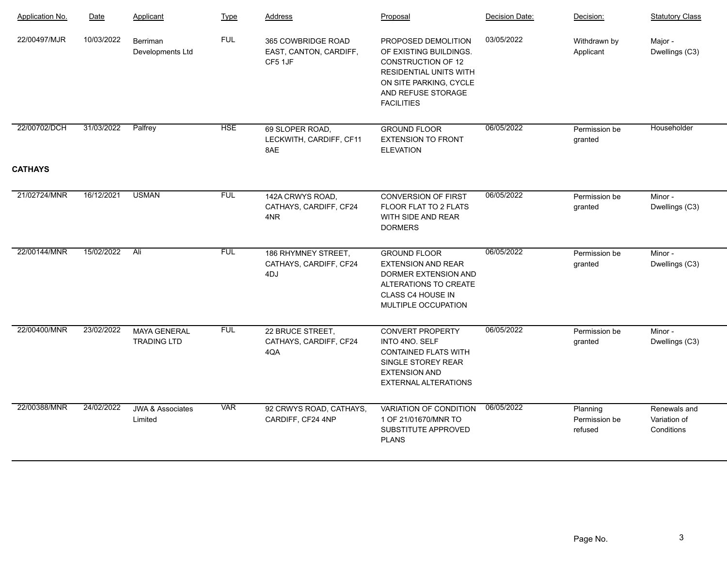| <b>Application No.</b> | Date       | Applicant                                 | Type       | <b>Address</b>                                          | Proposal                                                                                                                                                                         | Decision Date: | Decision:                            | <b>Statutory Class</b>                     |
|------------------------|------------|-------------------------------------------|------------|---------------------------------------------------------|----------------------------------------------------------------------------------------------------------------------------------------------------------------------------------|----------------|--------------------------------------|--------------------------------------------|
| 22/00497/MJR           | 10/03/2022 | Berriman<br>Developments Ltd              | <b>FUL</b> | 365 COWBRIDGE ROAD<br>EAST, CANTON, CARDIFF,<br>CF5 1JF | PROPOSED DEMOLITION<br>OF EXISTING BUILDINGS.<br><b>CONSTRUCTION OF 12</b><br><b>RESIDENTIAL UNITS WITH</b><br>ON SITE PARKING, CYCLE<br>AND REFUSE STORAGE<br><b>FACILITIES</b> | 03/05/2022     | Withdrawn by<br>Applicant            | Major -<br>Dwellings (C3)                  |
| 22/00702/DCH           | 31/03/2022 | Palfrey                                   | <b>HSE</b> | 69 SLOPER ROAD,<br>LECKWITH, CARDIFF, CF11<br>8AE       | <b>GROUND FLOOR</b><br><b>EXTENSION TO FRONT</b><br><b>ELEVATION</b>                                                                                                             | 06/05/2022     | Permission be<br>granted             | Householder                                |
| <b>CATHAYS</b>         |            |                                           |            |                                                         |                                                                                                                                                                                  |                |                                      |                                            |
| 21/02724/MNR           | 16/12/2021 | <b>USMAN</b>                              | <b>FUL</b> | 142A CRWYS ROAD,<br>CATHAYS, CARDIFF, CF24<br>4NR       | <b>CONVERSION OF FIRST</b><br>FLOOR FLAT TO 2 FLATS<br>WITH SIDE AND REAR<br><b>DORMERS</b>                                                                                      | 06/05/2022     | Permission be<br>granted             | Minor-<br>Dwellings (C3)                   |
| 22/00144/MNR           | 15/02/2022 | Ali                                       | <b>FUL</b> | 186 RHYMNEY STREET,<br>CATHAYS, CARDIFF, CF24<br>4DJ    | <b>GROUND FLOOR</b><br><b>EXTENSION AND REAR</b><br>DORMER EXTENSION AND<br>ALTERATIONS TO CREATE<br>CLASS C4 HOUSE IN<br>MULTIPLE OCCUPATION                                    | 06/05/2022     | Permission be<br>granted             | Minor-<br>Dwellings (C3)                   |
| 22/00400/MNR           | 23/02/2022 | <b>MAYA GENERAL</b><br><b>TRADING LTD</b> | <b>FUL</b> | 22 BRUCE STREET,<br>CATHAYS, CARDIFF, CF24<br>4QA       | <b>CONVERT PROPERTY</b><br>INTO 4NO. SELF<br><b>CONTAINED FLATS WITH</b><br>SINGLE STOREY REAR<br><b>EXTENSION AND</b><br><b>EXTERNAL ALTERATIONS</b>                            | 06/05/2022     | Permission be<br>granted             | Minor-<br>Dwellings (C3)                   |
| 22/00388/MNR           | 24/02/2022 | <b>JWA &amp; Associates</b><br>Limited    | <b>VAR</b> | 92 CRWYS ROAD, CATHAYS,<br>CARDIFF, CF24 4NP            | VARIATION OF CONDITION<br>1 OF 21/01670/MNR TO<br>SUBSTITUTE APPROVED<br><b>PLANS</b>                                                                                            | 06/05/2022     | Planning<br>Permission be<br>refused | Renewals and<br>Variation of<br>Conditions |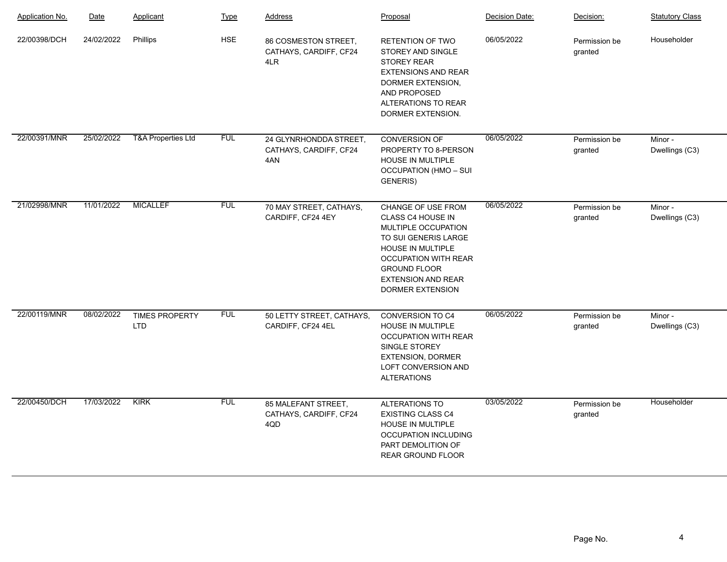| <b>Application No.</b> | Date       | Applicant                           | <b>Type</b> | <b>Address</b>                                          | Proposal                                                                                                                                                                                                           | Decision Date: | Decision:                | <b>Statutory Class</b>    |
|------------------------|------------|-------------------------------------|-------------|---------------------------------------------------------|--------------------------------------------------------------------------------------------------------------------------------------------------------------------------------------------------------------------|----------------|--------------------------|---------------------------|
| 22/00398/DCH           | 24/02/2022 | Phillips                            | <b>HSE</b>  | 86 COSMESTON STREET,<br>CATHAYS, CARDIFF, CF24<br>4LR   | RETENTION OF TWO<br><b>STOREY AND SINGLE</b><br><b>STOREY REAR</b><br><b>EXTENSIONS AND REAR</b><br>DORMER EXTENSION,<br>AND PROPOSED<br>ALTERATIONS TO REAR<br>DORMER EXTENSION.                                  | 06/05/2022     | Permission be<br>granted | Householder               |
| 22/00391/MNR           | 25/02/2022 | <b>T&amp;A Properties Ltd</b>       | <b>FUL</b>  | 24 GLYNRHONDDA STREET,<br>CATHAYS, CARDIFF, CF24<br>4AN | CONVERSION OF<br>PROPERTY TO 8-PERSON<br>HOUSE IN MULTIPLE<br><b>OCCUPATION (HMO - SUI</b><br>GENERIS)                                                                                                             | 06/05/2022     | Permission be<br>granted | Minor-<br>Dwellings (C3)  |
| 21/02998/MNR           | 11/01/2022 | <b>MICALLEF</b>                     | <b>FUL</b>  | 70 MAY STREET, CATHAYS,<br>CARDIFF, CF24 4EY            | CHANGE OF USE FROM<br>CLASS C4 HOUSE IN<br>MULTIPLE OCCUPATION<br>TO SUI GENERIS LARGE<br>HOUSE IN MULTIPLE<br><b>OCCUPATION WITH REAR</b><br><b>GROUND FLOOR</b><br><b>EXTENSION AND REAR</b><br>DORMER EXTENSION | 06/05/2022     | Permission be<br>granted | Minor-<br>Dwellings (C3)  |
| 22/00119/MNR           | 08/02/2022 | <b>TIMES PROPERTY</b><br><b>LTD</b> | <b>FUL</b>  | 50 LETTY STREET, CATHAYS,<br>CARDIFF, CF24 4EL          | <b>CONVERSION TO C4</b><br>HOUSE IN MULTIPLE<br><b>OCCUPATION WITH REAR</b><br>SINGLE STOREY<br><b>EXTENSION, DORMER</b><br>LOFT CONVERSION AND<br><b>ALTERATIONS</b>                                              | 06/05/2022     | Permission be<br>granted | Minor -<br>Dwellings (C3) |
| 22/00450/DCH           | 17/03/2022 | <b>KIRK</b>                         | <b>FUL</b>  | 85 MALEFANT STREET,<br>CATHAYS, CARDIFF, CF24<br>4QD    | <b>ALTERATIONS TO</b><br><b>EXISTING CLASS C4</b><br><b>HOUSE IN MULTIPLE</b><br><b>OCCUPATION INCLUDING</b><br>PART DEMOLITION OF<br>REAR GROUND FLOOR                                                            | 03/05/2022     | Permission be<br>granted | Householder               |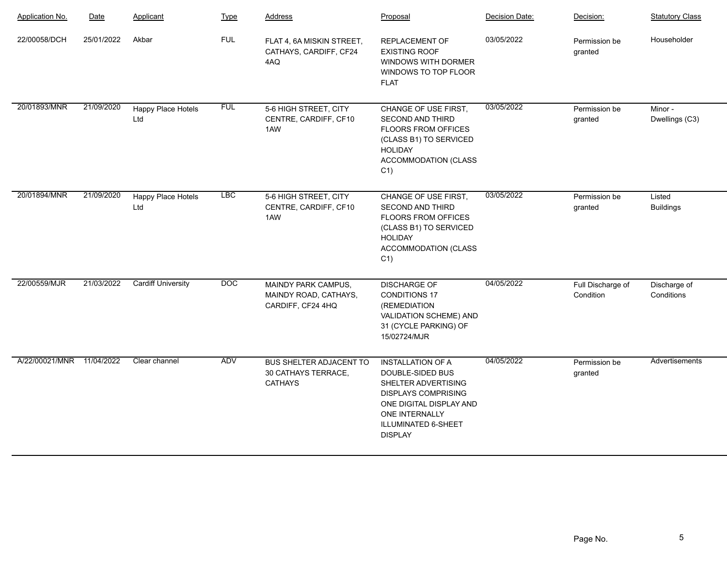| Application No. | Date       | Applicant                 | <b>Type</b> | <b>Address</b>                                                          | Proposal                                                                                                                                                                                       | Decision Date: | Decision:                      | <b>Statutory Class</b>     |
|-----------------|------------|---------------------------|-------------|-------------------------------------------------------------------------|------------------------------------------------------------------------------------------------------------------------------------------------------------------------------------------------|----------------|--------------------------------|----------------------------|
| 22/00058/DCH    | 25/01/2022 | Akbar                     | <b>FUL</b>  | FLAT 4, 6A MISKIN STREET,<br>CATHAYS, CARDIFF, CF24<br>4AQ              | REPLACEMENT OF<br><b>EXISTING ROOF</b><br>WINDOWS WITH DORMER<br>WINDOWS TO TOP FLOOR<br><b>FLAT</b>                                                                                           | 03/05/2022     | Permission be<br>granted       | Householder                |
| 20/01893/MNR    | 21/09/2020 | Happy Place Hotels<br>Ltd | <b>FUL</b>  | 5-6 HIGH STREET, CITY<br>CENTRE, CARDIFF, CF10<br>1AW                   | CHANGE OF USE FIRST,<br><b>SECOND AND THIRD</b><br>FLOORS FROM OFFICES<br>(CLASS B1) TO SERVICED<br><b>HOLIDAY</b><br><b>ACCOMMODATION (CLASS</b><br>$C1$ )                                    | 03/05/2022     | Permission be<br>granted       | Minor -<br>Dwellings (C3)  |
| 20/01894/MNR    | 21/09/2020 | Happy Place Hotels<br>Ltd | <b>LBC</b>  | 5-6 HIGH STREET, CITY<br>CENTRE, CARDIFF, CF10<br>1AW                   | CHANGE OF USE FIRST,<br><b>SECOND AND THIRD</b><br>FLOORS FROM OFFICES<br>(CLASS B1) TO SERVICED<br><b>HOLIDAY</b><br><b>ACCOMMODATION (CLASS</b><br>C <sub>1</sub>                            | 03/05/2022     | Permission be<br>granted       | Listed<br><b>Buildings</b> |
| 22/00559/MJR    | 21/03/2022 | <b>Cardiff University</b> | DOC         | MAINDY PARK CAMPUS,<br>MAINDY ROAD, CATHAYS,<br>CARDIFF, CF24 4HQ       | <b>DISCHARGE OF</b><br><b>CONDITIONS 17</b><br>(REMEDIATION<br>VALIDATION SCHEME) AND<br>31 (CYCLE PARKING) OF<br>15/02724/MJR                                                                 | 04/05/2022     | Full Discharge of<br>Condition | Discharge of<br>Conditions |
| A/22/00021/MNR  | 11/04/2022 | Clear channel             | ADV         | <b>BUS SHELTER ADJACENT TO</b><br>30 CATHAYS TERRACE,<br><b>CATHAYS</b> | <b>INSTALLATION OF A</b><br>DOUBLE-SIDED BUS<br>SHELTER ADVERTISING<br><b>DISPLAYS COMPRISING</b><br>ONE DIGITAL DISPLAY AND<br><b>ONE INTERNALLY</b><br>ILLUMINATED 6-SHEET<br><b>DISPLAY</b> | 04/05/2022     | Permission be<br>granted       | Advertisements             |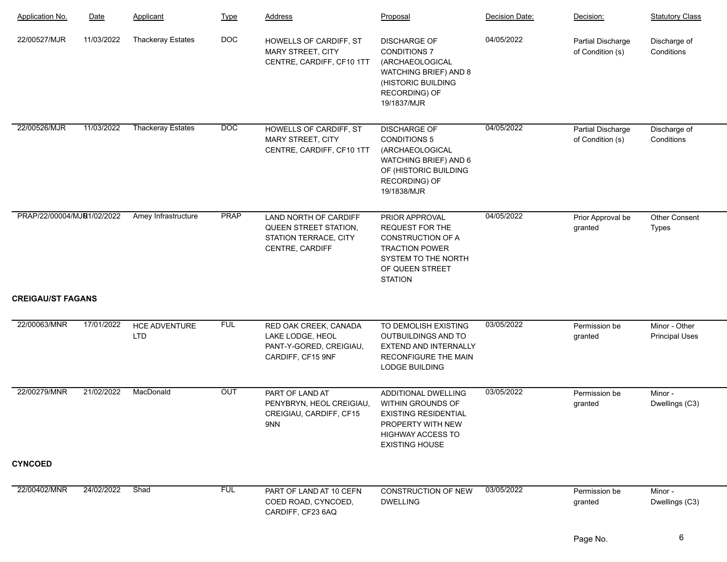| <b>Application No.</b>     | Date       | Applicant                          | <b>Type</b> | Address                                                                                    | Proposal                                                                                                                                                 | Decision Date: | Decision:                             | <b>Statutory Class</b>                 |
|----------------------------|------------|------------------------------------|-------------|--------------------------------------------------------------------------------------------|----------------------------------------------------------------------------------------------------------------------------------------------------------|----------------|---------------------------------------|----------------------------------------|
| 22/00527/MJR               | 11/03/2022 | <b>Thackeray Estates</b>           | <b>DOC</b>  | HOWELLS OF CARDIFF, ST<br>MARY STREET, CITY<br>CENTRE, CARDIFF, CF10 1TT                   | <b>DISCHARGE OF</b><br><b>CONDITIONS 7</b><br>(ARCHAEOLOGICAL<br>WATCHING BRIEF) AND 8<br>(HISTORIC BUILDING<br>RECORDING) OF<br>19/1837/MJR             | 04/05/2022     | Partial Discharge<br>of Condition (s) | Discharge of<br>Conditions             |
| 22/00526/MJR               | 11/03/2022 | <b>Thackeray Estates</b>           | DOC         | HOWELLS OF CARDIFF, ST<br><b>MARY STREET, CITY</b><br>CENTRE, CARDIFF, CF10 1TT            | <b>DISCHARGE OF</b><br><b>CONDITIONS 5</b><br>(ARCHAEOLOGICAL<br>WATCHING BRIEF) AND 6<br>OF (HISTORIC BUILDING<br>RECORDING) OF<br>19/1838/MJR          | 04/05/2022     | Partial Discharge<br>of Condition (s) | Discharge of<br>Conditions             |
| PRAP/22/00004/MJR1/02/2022 |            | Amey Infrastructure                | <b>PRAP</b> | LAND NORTH OF CARDIFF<br>QUEEN STREET STATION,<br>STATION TERRACE, CITY<br>CENTRE, CARDIFF | PRIOR APPROVAL<br>REQUEST FOR THE<br>CONSTRUCTION OF A<br><b>TRACTION POWER</b><br>SYSTEM TO THE NORTH<br>OF QUEEN STREET<br><b>STATION</b>              | 04/05/2022     | Prior Approval be<br>granted          | Other Consent<br><b>Types</b>          |
| <b>CREIGAU/ST FAGANS</b>   |            |                                    |             |                                                                                            |                                                                                                                                                          |                |                                       |                                        |
| 22/00063/MNR               | 17/01/2022 | <b>HCE ADVENTURE</b><br><b>LTD</b> | <b>FUL</b>  | RED OAK CREEK, CANADA<br>LAKE LODGE, HEOL<br>PANT-Y-GORED, CREIGIAU,<br>CARDIFF, CF15 9NF  | TO DEMOLISH EXISTING<br>OUTBUILDINGS AND TO<br>EXTEND AND INTERNALLY<br><b>RECONFIGURE THE MAIN</b><br>LODGE BUILDING                                    | 03/05/2022     | Permission be<br>granted              | Minor - Other<br><b>Principal Uses</b> |
| 22/00279/MNR               | 21/02/2022 | MacDonald                          | OUT         | PART OF LAND AT<br>PENYBRYN, HEOL CREIGIAU,<br>CREIGIAU, CARDIFF, CF15<br>9NN              | ADDITIONAL DWELLING<br><b>WITHIN GROUNDS OF</b><br><b>EXISTING RESIDENTIAL</b><br>PROPERTY WITH NEW<br><b>HIGHWAY ACCESS TO</b><br><b>EXISTING HOUSE</b> | 03/05/2022     | Permission be<br>granted              | Minor -<br>Dwellings (C3)              |
| <b>CYNCOED</b>             |            |                                    |             |                                                                                            |                                                                                                                                                          |                |                                       |                                        |
| 22/00402/MNR               | 24/02/2022 | Shad                               | <b>FUL</b>  | PART OF LAND AT 10 CEFN<br>COED ROAD, CYNCOED,<br>CARDIFF, CF23 6AQ                        | <b>CONSTRUCTION OF NEW</b><br><b>DWELLING</b>                                                                                                            | 03/05/2022     | Permission be<br>granted              | Minor -<br>Dwellings (C3)              |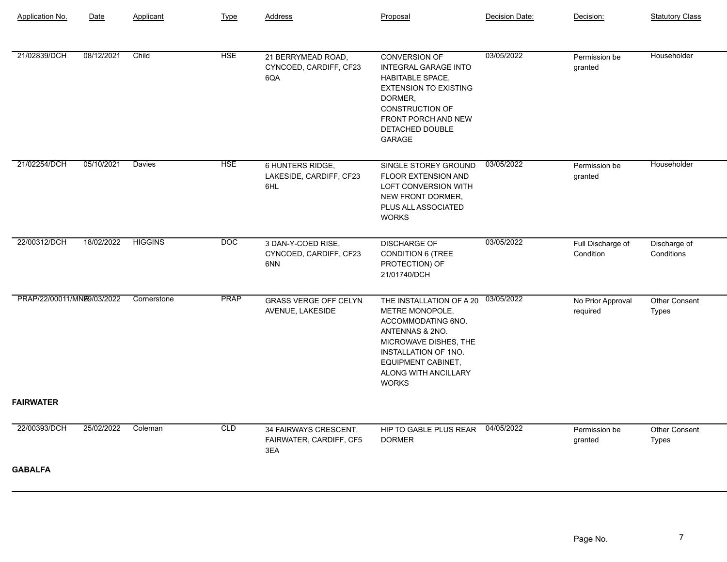| Application No.            | Date       | Applicant      | <b>Type</b> | <b>Address</b>                                          | Proposal                                                                                                                                                                                                          | Decision Date: | Decision:                      | <b>Statutory Class</b>               |
|----------------------------|------------|----------------|-------------|---------------------------------------------------------|-------------------------------------------------------------------------------------------------------------------------------------------------------------------------------------------------------------------|----------------|--------------------------------|--------------------------------------|
|                            |            |                |             |                                                         |                                                                                                                                                                                                                   |                |                                |                                      |
| 21/02839/DCH               | 08/12/2021 | Child          | <b>HSE</b>  | 21 BERRYMEAD ROAD,<br>CYNCOED, CARDIFF, CF23<br>6QA     | <b>CONVERSION OF</b><br><b>INTEGRAL GARAGE INTO</b><br><b>HABITABLE SPACE,</b><br><b>EXTENSION TO EXISTING</b><br>DORMER,<br><b>CONSTRUCTION OF</b><br>FRONT PORCH AND NEW<br>DETACHED DOUBLE<br><b>GARAGE</b>    | 03/05/2022     | Permission be<br>granted       | Householder                          |
| 21/02254/DCH               | 05/10/2021 | <b>Davies</b>  | <b>HSE</b>  | 6 HUNTERS RIDGE,<br>LAKESIDE, CARDIFF, CF23<br>6HL      | SINGLE STOREY GROUND<br><b>FLOOR EXTENSION AND</b><br>LOFT CONVERSION WITH<br>NEW FRONT DORMER,<br>PLUS ALL ASSOCIATED<br><b>WORKS</b>                                                                            | 03/05/2022     | Permission be<br>granted       | Householder                          |
| 22/00312/DCH               | 18/02/2022 | <b>HIGGINS</b> | <b>DOC</b>  | 3 DAN-Y-COED RISE,<br>CYNCOED, CARDIFF, CF23<br>6NN     | <b>DISCHARGE OF</b><br><b>CONDITION 6 (TREE</b><br>PROTECTION) OF<br>21/01740/DCH                                                                                                                                 | 03/05/2022     | Full Discharge of<br>Condition | Discharge of<br>Conditions           |
| PRAP/22/00011/MNB9/03/2022 |            | Cornerstone    | <b>PRAP</b> | <b>GRASS VERGE OFF CELYN</b><br>AVENUE, LAKESIDE        | THE INSTALLATION OF A 20<br>METRE MONOPOLE,<br>ACCOMMODATING 6NO.<br>ANTENNAS & 2NO.<br>MICROWAVE DISHES, THE<br><b>INSTALLATION OF 1NO.</b><br><b>EQUIPMENT CABINET,</b><br>ALONG WITH ANCILLARY<br><b>WORKS</b> | 03/05/2022     | No Prior Approval<br>required  | Other Consent<br><b>Types</b>        |
| <b>FAIRWATER</b>           |            |                |             |                                                         |                                                                                                                                                                                                                   |                |                                |                                      |
| 22/00393/DCH               | 25/02/2022 | Coleman        | CLD         | 34 FAIRWAYS CRESCENT,<br>FAIRWATER, CARDIFF, CF5<br>3EA | HIP TO GABLE PLUS REAR<br><b>DORMER</b>                                                                                                                                                                           | 04/05/2022     | Permission be<br>granted       | <b>Other Consent</b><br><b>Types</b> |
| <b>GABALFA</b>             |            |                |             |                                                         |                                                                                                                                                                                                                   |                |                                |                                      |
|                            |            |                |             |                                                         |                                                                                                                                                                                                                   |                |                                |                                      |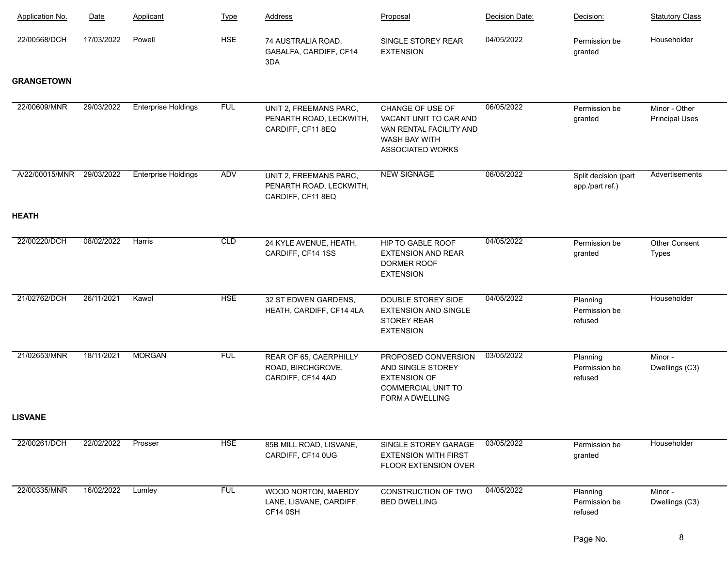| Application No.   | Date       | Applicant                  | <b>Type</b> | <b>Address</b>                                                         | Proposal                                                                                                               | Decision Date: | Decision:                               | <b>Statutory Class</b>                 |
|-------------------|------------|----------------------------|-------------|------------------------------------------------------------------------|------------------------------------------------------------------------------------------------------------------------|----------------|-----------------------------------------|----------------------------------------|
| 22/00568/DCH      | 17/03/2022 | Powell                     | <b>HSE</b>  | 74 AUSTRALIA ROAD,<br>GABALFA, CARDIFF, CF14<br>3DA                    | SINGLE STOREY REAR<br><b>EXTENSION</b>                                                                                 | 04/05/2022     | Permission be<br>granted                | Householder                            |
| <b>GRANGETOWN</b> |            |                            |             |                                                                        |                                                                                                                        |                |                                         |                                        |
| 22/00609/MNR      | 29/03/2022 | <b>Enterprise Holdings</b> | <b>FUL</b>  | UNIT 2, FREEMANS PARC,<br>PENARTH ROAD, LECKWITH,<br>CARDIFF, CF11 8EQ | CHANGE OF USE OF<br>VACANT UNIT TO CAR AND<br>VAN RENTAL FACILITY AND<br><b>WASH BAY WITH</b><br>ASSOCIATED WORKS      | 06/05/2022     | Permission be<br>granted                | Minor - Other<br><b>Principal Uses</b> |
| A/22/00015/MNR    | 29/03/2022 | <b>Enterprise Holdings</b> | ADV         | UNIT 2, FREEMANS PARC,<br>PENARTH ROAD, LECKWITH,<br>CARDIFF, CF11 8EQ | <b>NEW SIGNAGE</b>                                                                                                     | 06/05/2022     | Split decision (part<br>app./part ref.) | Advertisements                         |
| <b>HEATH</b>      |            |                            |             |                                                                        |                                                                                                                        |                |                                         |                                        |
| 22/00220/DCH      | 08/02/2022 | Harris                     | <b>CLD</b>  | 24 KYLE AVENUE, HEATH,<br>CARDIFF, CF14 1SS                            | HIP TO GABLE ROOF<br><b>EXTENSION AND REAR</b><br>DORMER ROOF<br><b>EXTENSION</b>                                      | 04/05/2022     | Permission be<br>granted                | <b>Other Consent</b><br><b>Types</b>   |
| 21/02762/DCH      | 26/11/2021 | Kawol                      | <b>HSE</b>  | 32 ST EDWEN GARDENS,<br>HEATH, CARDIFF, CF14 4LA                       | DOUBLE STOREY SIDE<br><b>EXTENSION AND SINGLE</b><br><b>STOREY REAR</b><br><b>EXTENSION</b>                            | 04/05/2022     | Planning<br>Permission be<br>refused    | Householder                            |
| 21/02653/MNR      | 18/11/2021 | <b>MORGAN</b>              | <b>FUL</b>  | REAR OF 65, CAERPHILLY<br>ROAD, BIRCHGROVE,<br>CARDIFF, CF14 4AD       | PROPOSED CONVERSION<br>AND SINGLE STOREY<br><b>EXTENSION OF</b><br><b>COMMERCIAL UNIT TO</b><br><b>FORM A DWELLING</b> | 03/05/2022     | Planning<br>Permission be<br>refused    | Minor -<br>Dwellings (C3)              |
| <b>LISVANE</b>    |            |                            |             |                                                                        |                                                                                                                        |                |                                         |                                        |
| 22/00261/DCH      | 22/02/2022 | Prosser                    | <b>HSE</b>  | 85B MILL ROAD, LISVANE,<br>CARDIFF, CF14 0UG                           | SINGLE STOREY GARAGE<br><b>EXTENSION WITH FIRST</b><br><b>FLOOR EXTENSION OVER</b>                                     | 03/05/2022     | Permission be<br>granted                | Householder                            |
| 22/00335/MNR      | 16/02/2022 | Lumley                     | <b>FUL</b>  | WOOD NORTON, MAERDY<br>LANE, LISVANE, CARDIFF,<br>CF14 0SH             | CONSTRUCTION OF TWO<br><b>BED DWELLING</b>                                                                             | 04/05/2022     | Planning<br>Permission be<br>refused    | Minor -<br>Dwellings (C3)              |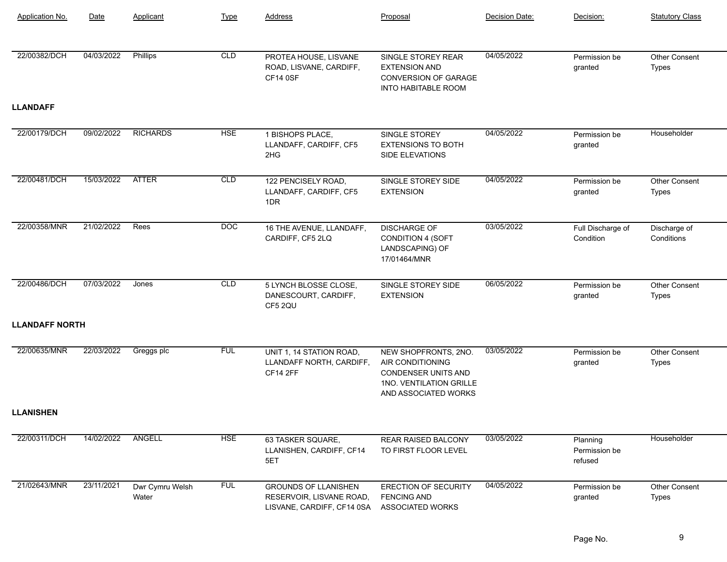| Application No.       | Date       | Applicant                | <b>Type</b> | Address                                                                               | Proposal                                                                                                                  | Decision Date: | Decision:                            | <b>Statutory Class</b>        |
|-----------------------|------------|--------------------------|-------------|---------------------------------------------------------------------------------------|---------------------------------------------------------------------------------------------------------------------------|----------------|--------------------------------------|-------------------------------|
| 22/00382/DCH          | 04/03/2022 | Phillips                 | CLD         | PROTEA HOUSE, LISVANE<br>ROAD, LISVANE, CARDIFF,<br>CF14 0SF                          | SINGLE STOREY REAR<br><b>EXTENSION AND</b><br><b>CONVERSION OF GARAGE</b><br><b>INTO HABITABLE ROOM</b>                   | 04/05/2022     | Permission be<br>granted             | Other Consent<br><b>Types</b> |
| <b>LLANDAFF</b>       |            |                          |             |                                                                                       |                                                                                                                           |                |                                      |                               |
| 22/00179/DCH          | 09/02/2022 | <b>RICHARDS</b>          | <b>HSE</b>  | 1 BISHOPS PLACE,<br>LLANDAFF, CARDIFF, CF5<br>2HG                                     | SINGLE STOREY<br><b>EXTENSIONS TO BOTH</b><br>SIDE ELEVATIONS                                                             | 04/05/2022     | Permission be<br>granted             | Householder                   |
| 22/00481/DCH          | 15/03/2022 | <b>ATTER</b>             | CLD         | 122 PENCISELY ROAD,<br>LLANDAFF, CARDIFF, CF5<br>1DR                                  | SINGLE STOREY SIDE<br><b>EXTENSION</b>                                                                                    | 04/05/2022     | Permission be<br>granted             | Other Consent<br><b>Types</b> |
| 22/00358/MNR          | 21/02/2022 | Rees                     | <b>DOC</b>  | 16 THE AVENUE, LLANDAFF,<br>CARDIFF, CF5 2LQ                                          | <b>DISCHARGE OF</b><br><b>CONDITION 4 (SOFT</b><br>LANDSCAPING) OF<br>17/01464/MNR                                        | 03/05/2022     | Full Discharge of<br>Condition       | Discharge of<br>Conditions    |
| 22/00486/DCH          | 07/03/2022 | Jones                    | <b>CLD</b>  | 5 LYNCH BLOSSE CLOSE,<br>DANESCOURT, CARDIFF,<br>CF5 2QU                              | SINGLE STOREY SIDE<br><b>EXTENSION</b>                                                                                    | 06/05/2022     | Permission be<br>granted             | Other Consent<br>Types        |
| <b>LLANDAFF NORTH</b> |            |                          |             |                                                                                       |                                                                                                                           |                |                                      |                               |
| 22/00635/MNR          | 22/03/2022 | Greggs plc               | <b>FUL</b>  | UNIT 1, 14 STATION ROAD,<br>LLANDAFF NORTH, CARDIFF,<br><b>CF14 2FF</b>               | NEW SHOPFRONTS, 2NO.<br>AIR CONDITIONING<br><b>CONDENSER UNITS AND</b><br>1NO. VENTILATION GRILLE<br>AND ASSOCIATED WORKS | 03/05/2022     | Permission be<br>granted             | Other Consent<br>Types        |
| <b>LLANISHEN</b>      |            |                          |             |                                                                                       |                                                                                                                           |                |                                      |                               |
| 22/00311/DCH          | 14/02/2022 | ANGELL                   | <b>HSE</b>  | 63 TASKER SQUARE,<br>LLANISHEN, CARDIFF, CF14<br>5ET                                  | REAR RAISED BALCONY<br>TO FIRST FLOOR LEVEL                                                                               | 03/05/2022     | Planning<br>Permission be<br>refused | Householder                   |
| 21/02643/MNR          | 23/11/2021 | Dwr Cymru Welsh<br>Water | <b>FUL</b>  | <b>GROUNDS OF LLANISHEN</b><br>RESERVOIR, LISVANE ROAD,<br>LISVANE, CARDIFF, CF14 0SA | ERECTION OF SECURITY<br><b>FENCING AND</b><br><b>ASSOCIATED WORKS</b>                                                     | 04/05/2022     | Permission be<br>granted             | Other Consent<br>Types        |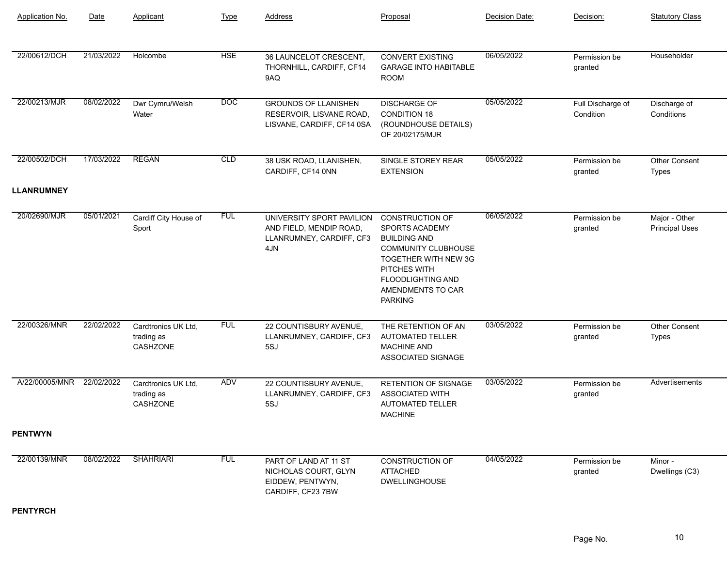| <b>Application No.</b> | Date       | Applicant                                            | <b>Type</b> | <b>Address</b>                                                                          | Proposal                                                                                                                                                                                                 | Decision Date: | Decision:                      | <b>Statutory Class</b>                 |
|------------------------|------------|------------------------------------------------------|-------------|-----------------------------------------------------------------------------------------|----------------------------------------------------------------------------------------------------------------------------------------------------------------------------------------------------------|----------------|--------------------------------|----------------------------------------|
| 22/00612/DCH           | 21/03/2022 | Holcombe                                             | <b>HSE</b>  | 36 LAUNCELOT CRESCENT,<br>THORNHILL, CARDIFF, CF14<br>9AQ                               | <b>CONVERT EXISTING</b><br><b>GARAGE INTO HABITABLE</b><br><b>ROOM</b>                                                                                                                                   | 06/05/2022     | Permission be<br>granted       | Householder                            |
| 22/00213/MJR           | 08/02/2022 | Dwr Cymru/Welsh<br>Water                             | <b>DOC</b>  | <b>GROUNDS OF LLANISHEN</b><br>RESERVOIR, LISVANE ROAD,<br>LISVANE, CARDIFF, CF14 0SA   | <b>DISCHARGE OF</b><br><b>CONDITION 18</b><br>(ROUNDHOUSE DETAILS)<br>OF 20/02175/MJR                                                                                                                    | 05/05/2022     | Full Discharge of<br>Condition | Discharge of<br>Conditions             |
| 22/00502/DCH           | 17/03/2022 | <b>REGAN</b>                                         | CLD         | 38 USK ROAD, LLANISHEN,<br>CARDIFF, CF14 0NN                                            | SINGLE STOREY REAR<br><b>EXTENSION</b>                                                                                                                                                                   | 05/05/2022     | Permission be<br>granted       | Other Consent<br><b>Types</b>          |
| <b>LLANRUMNEY</b>      |            |                                                      |             |                                                                                         |                                                                                                                                                                                                          |                |                                |                                        |
| 20/02690/MJR           | 05/01/2021 | Cardiff City House of<br>Sport                       | <b>FUL</b>  | UNIVERSITY SPORT PAVILION<br>AND FIELD, MENDIP ROAD,<br>LLANRUMNEY, CARDIFF, CF3<br>4JN | <b>CONSTRUCTION OF</b><br>SPORTS ACADEMY<br><b>BUILDING AND</b><br><b>COMMUNITY CLUBHOUSE</b><br>TOGETHER WITH NEW 3G<br>PITCHES WITH<br><b>FLOODLIGHTING AND</b><br>AMENDMENTS TO CAR<br><b>PARKING</b> | 06/05/2022     | Permission be<br>granted       | Major - Other<br><b>Principal Uses</b> |
| 22/00326/MNR           | 22/02/2022 | Cardtronics UK Ltd,<br>trading as<br><b>CASHZONE</b> | <b>FUL</b>  | 22 COUNTISBURY AVENUE,<br>LLANRUMNEY, CARDIFF, CF3<br>5SJ                               | THE RETENTION OF AN<br><b>AUTOMATED TELLER</b><br><b>MACHINE AND</b><br>ASSOCIATED SIGNAGE                                                                                                               | 03/05/2022     | Permission be<br>granted       | Other Consent<br>Types                 |
| A/22/00005/MNR         | 22/02/2022 | Cardtronics UK Ltd,<br>trading as<br>CASHZONE        | ADV         | 22 COUNTISBURY AVENUE,<br>LLANRUMNEY, CARDIFF, CF3<br>5SJ                               | RETENTION OF SIGNAGE<br><b>ASSOCIATED WITH</b><br>AUTOMATED TELLER<br><b>MACHINE</b>                                                                                                                     | 03/05/2022     | Permission be<br>granted       | Advertisements                         |
| <b>PENTWYN</b>         |            |                                                      |             |                                                                                         |                                                                                                                                                                                                          |                |                                |                                        |
| 22/00139/MNR           | 08/02/2022 | <b>SHAHRIARI</b>                                     | <b>FUL</b>  | PART OF LAND AT 11 ST<br>NICHOLAS COURT, GLYN<br>EIDDEW, PENTWYN,<br>CARDIFF, CF23 7BW  | <b>CONSTRUCTION OF</b><br><b>ATTACHED</b><br><b>DWELLINGHOUSE</b>                                                                                                                                        | 04/05/2022     | Permission be<br>granted       | Minor -<br>Dwellings (C3)              |

## **PENTYRCH**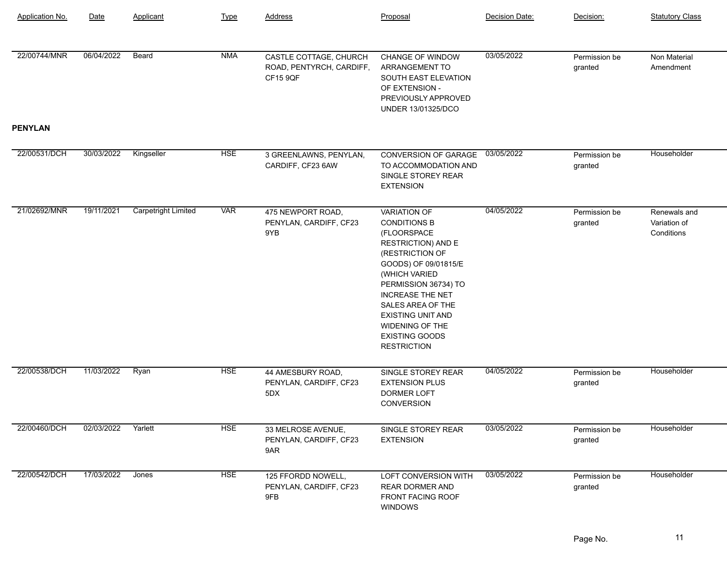| <b>Application No.</b> | Date               | Applicant                  | <b>Type</b> | <b>Address</b>                                                 | Proposal                                                                                                                                                                                                                                                                                                                 | Decision Date: | Decision:                | <b>Statutory Class</b>                     |
|------------------------|--------------------|----------------------------|-------------|----------------------------------------------------------------|--------------------------------------------------------------------------------------------------------------------------------------------------------------------------------------------------------------------------------------------------------------------------------------------------------------------------|----------------|--------------------------|--------------------------------------------|
| 22/00744/MNR           | 06/04/2022         | Beard                      | <b>NMA</b>  | CASTLE COTTAGE, CHURCH<br>ROAD, PENTYRCH, CARDIFF,<br>CF15 9QF | <b>CHANGE OF WINDOW</b><br>ARRANGEMENT TO<br>SOUTH EAST ELEVATION<br>OF EXTENSION -<br>PREVIOUSLY APPROVED<br>UNDER 13/01325/DCO                                                                                                                                                                                         | 03/05/2022     | Permission be<br>granted | Non Material<br>Amendment                  |
| <b>PENYLAN</b>         |                    |                            |             |                                                                |                                                                                                                                                                                                                                                                                                                          |                |                          |                                            |
| 22/00531/DCH           | 30/03/2022         | Kingseller                 | <b>HSE</b>  | 3 GREENLAWNS, PENYLAN,<br>CARDIFF, CF23 6AW                    | CONVERSION OF GARAGE<br>TO ACCOMMODATION AND<br>SINGLE STOREY REAR<br><b>EXTENSION</b>                                                                                                                                                                                                                                   | 03/05/2022     | Permission be<br>granted | Householder                                |
| 21/02692/MNR           | 19/11/2021         | <b>Carpetright Limited</b> | <b>VAR</b>  | 475 NEWPORT ROAD,<br>PENYLAN, CARDIFF, CF23<br>9YB             | <b>VARIATION OF</b><br><b>CONDITIONS B</b><br>(FLOORSPACE<br><b>RESTRICTION) AND E</b><br>(RESTRICTION OF<br>GOODS) OF 09/01815/E<br>(WHICH VARIED<br>PERMISSION 36734) TO<br><b>INCREASE THE NET</b><br>SALES AREA OF THE<br><b>EXISTING UNIT AND</b><br>WIDENING OF THE<br><b>EXISTING GOODS</b><br><b>RESTRICTION</b> | 04/05/2022     | Permission be<br>granted | Renewals and<br>Variation of<br>Conditions |
| 22/00538/DCH           | 11/03/2022         | Ryan                       | <b>HSE</b>  | 44 AMESBURY ROAD,<br>PENYLAN, CARDIFF, CF23<br>5DX             | SINGLE STOREY REAR<br><b>EXTENSION PLUS</b><br>DORMER LOFT<br>CONVERSION                                                                                                                                                                                                                                                 | 04/05/2022     | Permission be<br>granted | Householder                                |
| 22/00460/DCH           | 02/03/2022 Yarlett |                            | <b>HSE</b>  | 33 MELROSE AVENUE,<br>PENYLAN, CARDIFF, CF23<br>9AR            | SINGLE STOREY REAR<br><b>EXTENSION</b>                                                                                                                                                                                                                                                                                   | 03/05/2022     | Permission be<br>granted | Householder                                |
| 22/00542/DCH           | 17/03/2022         | Jones                      | <b>HSE</b>  | 125 FFORDD NOWELL,<br>PENYLAN, CARDIFF, CF23<br>9FB            | LOFT CONVERSION WITH<br><b>REAR DORMER AND</b><br>FRONT FACING ROOF<br><b>WINDOWS</b>                                                                                                                                                                                                                                    | 03/05/2022     | Permission be<br>granted | Householder                                |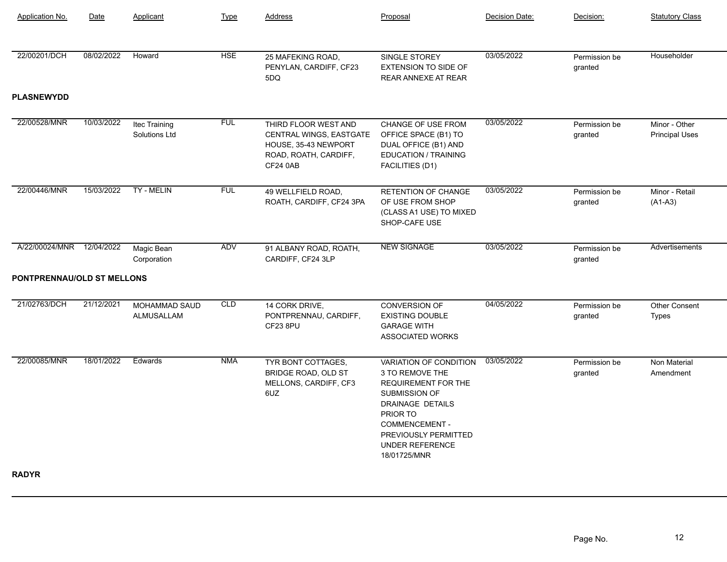| <b>Application No.</b>     | Date       | Applicant                             | <b>Type</b> | Address                                                                                                             | Proposal                                                                                                                                                                                                                   | Decision Date: | Decision:                | <b>Statutory Class</b>                 |
|----------------------------|------------|---------------------------------------|-------------|---------------------------------------------------------------------------------------------------------------------|----------------------------------------------------------------------------------------------------------------------------------------------------------------------------------------------------------------------------|----------------|--------------------------|----------------------------------------|
| 22/00201/DCH               | 08/02/2022 | Howard                                | <b>HSE</b>  | 25 MAFEKING ROAD,<br>PENYLAN, CARDIFF, CF23<br>5DQ                                                                  | SINGLE STOREY<br><b>EXTENSION TO SIDE OF</b><br><b>REAR ANNEXE AT REAR</b>                                                                                                                                                 | 03/05/2022     | Permission be<br>granted | Householder                            |
| <b>PLASNEWYDD</b>          |            |                                       |             |                                                                                                                     |                                                                                                                                                                                                                            |                |                          |                                        |
| 22/00528/MNR               | 10/03/2022 | Itec Training<br><b>Solutions Ltd</b> | <b>FUL</b>  | THIRD FLOOR WEST AND<br>CENTRAL WINGS, EASTGATE<br>HOUSE, 35-43 NEWPORT<br>ROAD, ROATH, CARDIFF,<br><b>CF24 0AB</b> | CHANGE OF USE FROM<br>OFFICE SPACE (B1) TO<br>DUAL OFFICE (B1) AND<br><b>EDUCATION / TRAINING</b><br>FACILITIES (D1)                                                                                                       | 03/05/2022     | Permission be<br>granted | Minor - Other<br><b>Principal Uses</b> |
| 22/00446/MNR               | 15/03/2022 | TY - MELIN                            | <b>FUL</b>  | 49 WELLFIELD ROAD,<br>ROATH, CARDIFF, CF24 3PA                                                                      | <b>RETENTION OF CHANGE</b><br>OF USE FROM SHOP<br>(CLASS A1 USE) TO MIXED<br>SHOP-CAFE USE                                                                                                                                 | 03/05/2022     | Permission be<br>granted | Minor - Retail<br>$(A1-A3)$            |
| A/22/00024/MNR             | 12/04/2022 | Magic Bean<br>Corporation             | ADV         | 91 ALBANY ROAD, ROATH,<br>CARDIFF, CF24 3LP                                                                         | <b>NEW SIGNAGE</b>                                                                                                                                                                                                         | 03/05/2022     | Permission be<br>granted | Advertisements                         |
| PONTPRENNAU/OLD ST MELLONS |            |                                       |             |                                                                                                                     |                                                                                                                                                                                                                            |                |                          |                                        |
| 21/02763/DCH               | 21/12/2021 | MOHAMMAD SAUD<br>ALMUSALLAM           | CLD         | 14 CORK DRIVE,<br>PONTPRENNAU, CARDIFF,<br>CF23 8PU                                                                 | <b>CONVERSION OF</b><br><b>EXISTING DOUBLE</b><br><b>GARAGE WITH</b><br>ASSOCIATED WORKS                                                                                                                                   | 04/05/2022     | Permission be<br>granted | <b>Other Consent</b><br>Types          |
| 22/00085/MNR               | 18/01/2022 | Edwards                               | <b>NMA</b>  | TYR BONT COTTAGES,<br>BRIDGE ROAD, OLD ST<br>MELLONS, CARDIFF, CF3<br>6UZ                                           | VARIATION OF CONDITION<br>3 TO REMOVE THE<br><b>REQUIREMENT FOR THE</b><br><b>SUBMISSION OF</b><br>DRAINAGE DETAILS<br>PRIOR TO<br><b>COMMENCEMENT -</b><br>PREVIOUSLY PERMITTED<br><b>UNDER REFERENCE</b><br>18/01725/MNR | 03/05/2022     | Permission be<br>granted | Non Material<br>Amendment              |

**RADYR**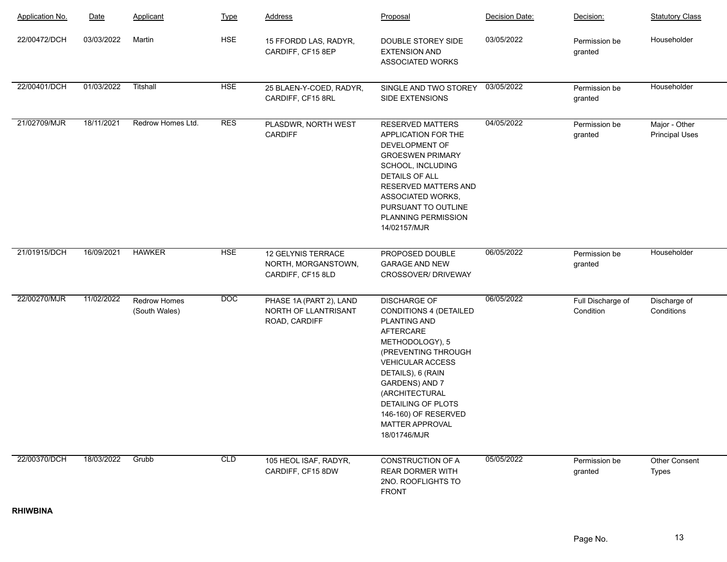| <b>Application No.</b> | Date       | Applicant                            | <b>Type</b> | <b>Address</b>                                                   | Proposal                                                                                                                                                                                                                                                                                         | Decision Date: | Decision:                      | <b>Statutory Class</b>                 |
|------------------------|------------|--------------------------------------|-------------|------------------------------------------------------------------|--------------------------------------------------------------------------------------------------------------------------------------------------------------------------------------------------------------------------------------------------------------------------------------------------|----------------|--------------------------------|----------------------------------------|
| 22/00472/DCH           | 03/03/2022 | Martin                               | <b>HSE</b>  | 15 FFORDD LAS, RADYR,<br>CARDIFF, CF15 8EP                       | DOUBLE STOREY SIDE<br><b>EXTENSION AND</b><br>ASSOCIATED WORKS                                                                                                                                                                                                                                   | 03/05/2022     | Permission be<br>granted       | Householder                            |
| 22/00401/DCH           | 01/03/2022 | Titshall                             | <b>HSE</b>  | 25 BLAEN-Y-COED, RADYR,<br>CARDIFF, CF15 8RL                     | SINGLE AND TWO STOREY<br>SIDE EXTENSIONS                                                                                                                                                                                                                                                         | 03/05/2022     | Permission be<br>granted       | Householder                            |
| 21/02709/MJR           | 18/11/2021 | Redrow Homes Ltd.                    | <b>RES</b>  | PLASDWR, NORTH WEST<br><b>CARDIFF</b>                            | RESERVED MATTERS<br>APPLICATION FOR THE<br>DEVELOPMENT OF<br><b>GROESWEN PRIMARY</b><br>SCHOOL, INCLUDING<br><b>DETAILS OF ALL</b><br>RESERVED MATTERS AND<br>ASSOCIATED WORKS,<br>PURSUANT TO OUTLINE<br>PLANNING PERMISSION<br>14/02157/MJR                                                    | 04/05/2022     | Permission be<br>granted       | Major - Other<br><b>Principal Uses</b> |
| 21/01915/DCH           | 16/09/2021 | <b>HAWKER</b>                        | <b>HSE</b>  | 12 GELYNIS TERRACE<br>NORTH, MORGANSTOWN,<br>CARDIFF, CF15 8LD   | PROPOSED DOUBLE<br><b>GARAGE AND NEW</b><br>CROSSOVER/ DRIVEWAY                                                                                                                                                                                                                                  | 06/05/2022     | Permission be<br>granted       | Householder                            |
| 22/00270/MJR           | 11/02/2022 | <b>Redrow Homes</b><br>(South Wales) | <b>DOC</b>  | PHASE 1A (PART 2), LAND<br>NORTH OF LLANTRISANT<br>ROAD, CARDIFF | <b>DISCHARGE OF</b><br>CONDITIONS 4 (DETAILED<br><b>PLANTING AND</b><br>AFTERCARE<br>METHODOLOGY), 5<br>(PREVENTING THROUGH<br><b>VEHICULAR ACCESS</b><br>DETAILS), 6 (RAIN<br>GARDENS) AND 7<br>(ARCHITECTURAL<br>DETAILING OF PLOTS<br>146-160) OF RESERVED<br>MATTER APPROVAL<br>18/01746/MJR | 06/05/2022     | Full Discharge of<br>Condition | Discharge of<br>Conditions             |
| 22/00370/DCH           | 18/03/2022 | Grubb                                | CLD         | 105 HEOL ISAF, RADYR,<br>CARDIFF, CF15 8DW                       | <b>CONSTRUCTION OF A</b><br><b>REAR DORMER WITH</b><br>2NO. ROOFLIGHTS TO<br><b>FRONT</b>                                                                                                                                                                                                        | 05/05/2022     | Permission be<br>granted       | Other Consent<br>Types                 |

**RHIWBINA**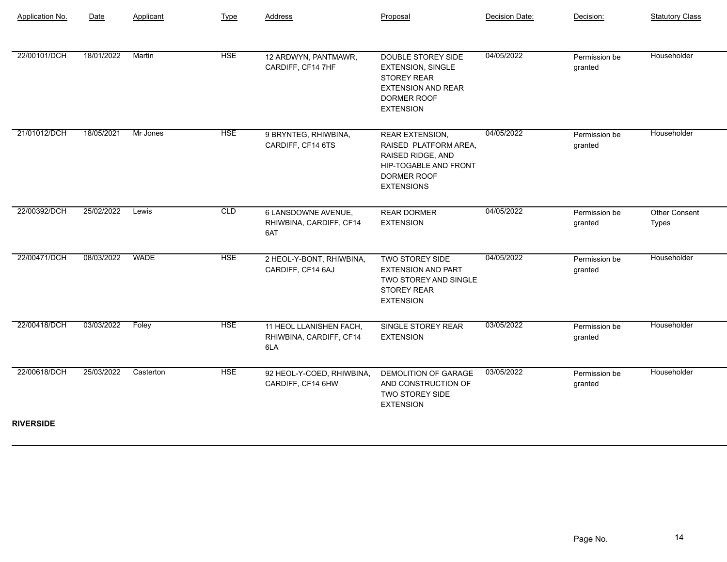| Application No.  | Date       | Applicant   | Type       | Address                                                   | Proposal                                                                                                                                 | Decision Date: | Decision:                | <b>Statutory Class</b>        |
|------------------|------------|-------------|------------|-----------------------------------------------------------|------------------------------------------------------------------------------------------------------------------------------------------|----------------|--------------------------|-------------------------------|
| 22/00101/DCH     | 18/01/2022 | Martin      | <b>HSE</b> | 12 ARDWYN, PANTMAWR,<br>CARDIFF, CF14 7HF                 | DOUBLE STOREY SIDE<br><b>EXTENSION, SINGLE</b><br><b>STOREY REAR</b><br><b>EXTENSION AND REAR</b><br>DORMER ROOF<br><b>EXTENSION</b>     | 04/05/2022     | Permission be<br>granted | Householder                   |
| 21/01012/DCH     | 18/05/2021 | Mr Jones    | <b>HSE</b> | 9 BRYNTEG, RHIWBINA,<br>CARDIFF, CF14 6TS                 | <b>REAR EXTENSION,</b><br>RAISED PLATFORM AREA,<br>RAISED RIDGE, AND<br><b>HIP-TOGABLE AND FRONT</b><br>DORMER ROOF<br><b>EXTENSIONS</b> | 04/05/2022     | Permission be<br>granted | Householder                   |
| 22/00392/DCH     | 25/02/2022 | Lewis       | CLD        | 6 LANSDOWNE AVENUE,<br>RHIWBINA, CARDIFF, CF14<br>6AT     | <b>REAR DORMER</b><br><b>EXTENSION</b>                                                                                                   | 04/05/2022     | Permission be<br>granted | <b>Other Consent</b><br>Types |
| 22/00471/DCH     | 08/03/2022 | <b>WADE</b> | <b>HSE</b> | 2 HEOL-Y-BONT, RHIWBINA,<br>CARDIFF, CF14 6AJ             | TWO STOREY SIDE<br><b>EXTENSION AND PART</b><br><b>TWO STOREY AND SINGLE</b><br><b>STOREY REAR</b><br><b>EXTENSION</b>                   | 04/05/2022     | Permission be<br>granted | Householder                   |
| 22/00418/DCH     | 03/03/2022 | Foley       | <b>HSE</b> | 11 HEOL LLANISHEN FACH,<br>RHIWBINA, CARDIFF, CF14<br>6LA | SINGLE STOREY REAR<br><b>EXTENSION</b>                                                                                                   | 03/05/2022     | Permission be<br>granted | Householder                   |
| 22/00618/DCH     | 25/03/2022 | Casterton   | <b>HSE</b> | 92 HEOL-Y-COED, RHIWBINA,<br>CARDIFF, CF14 6HW            | DEMOLITION OF GARAGE<br>AND CONSTRUCTION OF<br>TWO STOREY SIDE<br><b>EXTENSION</b>                                                       | 03/05/2022     | Permission be<br>granted | Householder                   |
| <b>RIVERSIDE</b> |            |             |            |                                                           |                                                                                                                                          |                |                          |                               |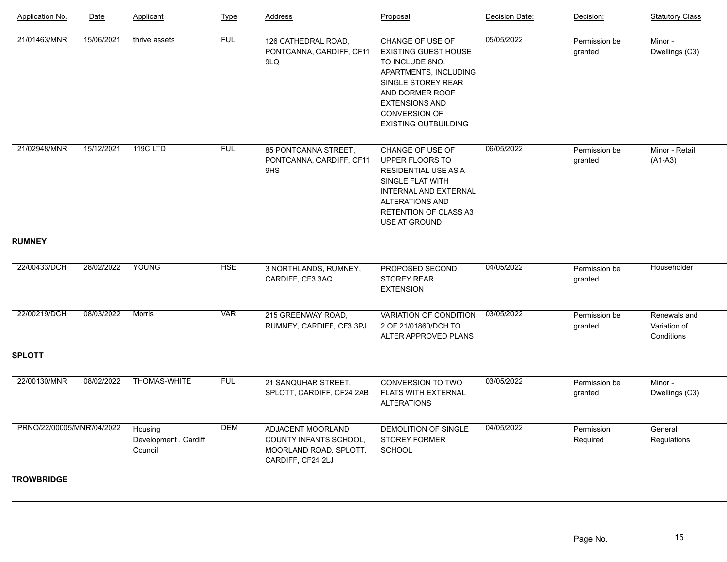| Application No.           | Date       | Applicant                                  | <b>Type</b> | Address                                                                                    | Proposal                                                                                                                                                                                                      | Decision Date: | Decision:                | <b>Statutory Class</b>                     |
|---------------------------|------------|--------------------------------------------|-------------|--------------------------------------------------------------------------------------------|---------------------------------------------------------------------------------------------------------------------------------------------------------------------------------------------------------------|----------------|--------------------------|--------------------------------------------|
| 21/01463/MNR              | 15/06/2021 | thrive assets                              | <b>FUL</b>  | 126 CATHEDRAL ROAD,<br>PONTCANNA, CARDIFF, CF11<br>9LQ                                     | CHANGE OF USE OF<br><b>EXISTING GUEST HOUSE</b><br>TO INCLUDE 8NO.<br>APARTMENTS, INCLUDING<br>SINGLE STOREY REAR<br>AND DORMER ROOF<br><b>EXTENSIONS AND</b><br>CONVERSION OF<br><b>EXISTING OUTBUILDING</b> | 05/05/2022     | Permission be<br>granted | Minor -<br>Dwellings (C3)                  |
| 21/02948/MNR              | 15/12/2021 | 119CLTD                                    | <b>FUL</b>  | 85 PONTCANNA STREET,<br>PONTCANNA, CARDIFF, CF11<br>9HS                                    | CHANGE OF USE OF<br>UPPER FLOORS TO<br><b>RESIDENTIAL USE AS A</b><br>SINGLE FLAT WITH<br>INTERNAL AND EXTERNAL<br><b>ALTERATIONS AND</b><br><b>RETENTION OF CLASS A3</b><br>USE AT GROUND                    | 06/05/2022     | Permission be<br>granted | Minor - Retail<br>$(A1-A3)$                |
| <b>RUMNEY</b>             |            |                                            |             |                                                                                            |                                                                                                                                                                                                               |                |                          |                                            |
| 22/00433/DCH              | 28/02/2022 | YOUNG                                      | <b>HSE</b>  | 3 NORTHLANDS, RUMNEY,<br>CARDIFF, CF3 3AQ                                                  | PROPOSED SECOND<br><b>STOREY REAR</b><br><b>EXTENSION</b>                                                                                                                                                     | 04/05/2022     | Permission be<br>granted | Householder                                |
| 22/00219/DCH              | 08/03/2022 | <b>Morris</b>                              | <b>VAR</b>  | 215 GREENWAY ROAD,<br>RUMNEY, CARDIFF, CF3 3PJ                                             | VARIATION OF CONDITION<br>2 OF 21/01860/DCH TO<br>ALTER APPROVED PLANS                                                                                                                                        | 03/05/2022     | Permission be<br>granted | Renewals and<br>Variation of<br>Conditions |
| <b>SPLOTT</b>             |            |                                            |             |                                                                                            |                                                                                                                                                                                                               |                |                          |                                            |
| 22/00130/MNR              | 08/02/2022 | <b>THOMAS-WHITE</b>                        | <b>FUL</b>  | 21 SANQUHAR STREET,<br>SPLOTT, CARDIFF, CF24 2AB                                           | <b>CONVERSION TO TWO</b><br><b>FLATS WITH EXTERNAL</b><br><b>ALTERATIONS</b>                                                                                                                                  | 03/05/2022     | Permission be<br>granted | Minor -<br>Dwellings (C3)                  |
| PRNO/22/00005/MNR/04/2022 |            | Housing<br>Development, Cardiff<br>Council | <b>DEM</b>  | ADJACENT MOORLAND<br>COUNTY INFANTS SCHOOL,<br>MOORLAND ROAD, SPLOTT,<br>CARDIFF, CF24 2LJ | DEMOLITION OF SINGLE<br><b>STOREY FORMER</b><br><b>SCHOOL</b>                                                                                                                                                 | 04/05/2022     | Permission<br>Required   | General<br>Regulations                     |
| <b>TROWBRIDGE</b>         |            |                                            |             |                                                                                            |                                                                                                                                                                                                               |                |                          |                                            |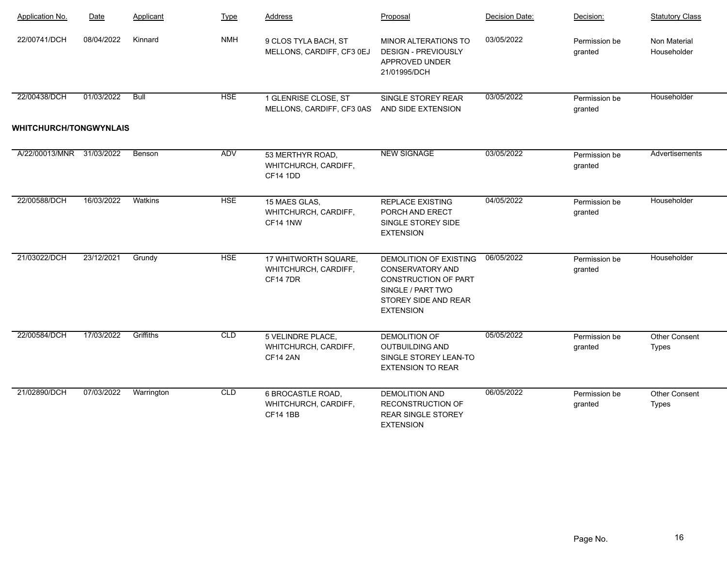| <b>Application No.</b>        | Date       | Applicant   | <b>Type</b> | Address                                                        | Proposal                                                                                                                                   | Decision Date: | Decision:                | <b>Statutory Class</b>               |
|-------------------------------|------------|-------------|-------------|----------------------------------------------------------------|--------------------------------------------------------------------------------------------------------------------------------------------|----------------|--------------------------|--------------------------------------|
| 22/00741/DCH                  | 08/04/2022 | Kinnard     | <b>NMH</b>  | 9 CLOS TYLA BACH, ST<br>MELLONS, CARDIFF, CF3 0EJ              | MINOR ALTERATIONS TO<br><b>DESIGN - PREVIOUSLY</b><br>APPROVED UNDER<br>21/01995/DCH                                                       | 03/05/2022     | Permission be<br>granted | Non Material<br>Householder          |
| 22/00438/DCH                  | 01/03/2022 | <b>Bull</b> | <b>HSE</b>  | 1 GLENRISE CLOSE, ST<br>MELLONS, CARDIFF, CF3 0AS              | SINGLE STOREY REAR<br>AND SIDE EXTENSION                                                                                                   | 03/05/2022     | Permission be<br>granted | Householder                          |
| <b>WHITCHURCH/TONGWYNLAIS</b> |            |             |             |                                                                |                                                                                                                                            |                |                          |                                      |
| A/22/00013/MNR                | 31/03/2022 | Benson      | <b>ADV</b>  | 53 MERTHYR ROAD,<br>WHITCHURCH, CARDIFF,<br><b>CF14 1DD</b>    | <b>NEW SIGNAGE</b>                                                                                                                         | 03/05/2022     | Permission be<br>granted | Advertisements                       |
| 22/00588/DCH                  | 16/03/2022 | Watkins     | <b>HSE</b>  | 15 MAES GLAS,<br>WHITCHURCH, CARDIFF,<br><b>CF14 1NW</b>       | <b>REPLACE EXISTING</b><br>PORCH AND ERECT<br>SINGLE STOREY SIDE<br><b>EXTENSION</b>                                                       | 04/05/2022     | Permission be<br>granted | Householder                          |
| 21/03022/DCH                  | 23/12/2021 | Grundy      | <b>HSE</b>  | 17 WHITWORTH SQUARE,<br>WHITCHURCH, CARDIFF,<br><b>CF147DR</b> | DEMOLITION OF EXISTING<br><b>CONSERVATORY AND</b><br>CONSTRUCTION OF PART<br>SINGLE / PART TWO<br>STOREY SIDE AND REAR<br><b>EXTENSION</b> | 06/05/2022     | Permission be<br>granted | Householder                          |
| 22/00584/DCH                  | 17/03/2022 | Griffiths   | CLD         | 5 VELINDRE PLACE,<br>WHITCHURCH, CARDIFF,<br><b>CF14 2AN</b>   | <b>DEMOLITION OF</b><br><b>OUTBUILDING AND</b><br>SINGLE STOREY LEAN-TO<br><b>EXTENSION TO REAR</b>                                        | 05/05/2022     | Permission be<br>granted | <b>Other Consent</b><br><b>Types</b> |
| 21/02890/DCH                  | 07/03/2022 | Warrington  | CLD         | 6 BROCASTLE ROAD,<br>WHITCHURCH, CARDIFF,<br><b>CF14 1BB</b>   | <b>DEMOLITION AND</b><br>RECONSTRUCTION OF<br><b>REAR SINGLE STOREY</b><br><b>EXTENSION</b>                                                | 06/05/2022     | Permission be<br>granted | <b>Other Consent</b><br>Types        |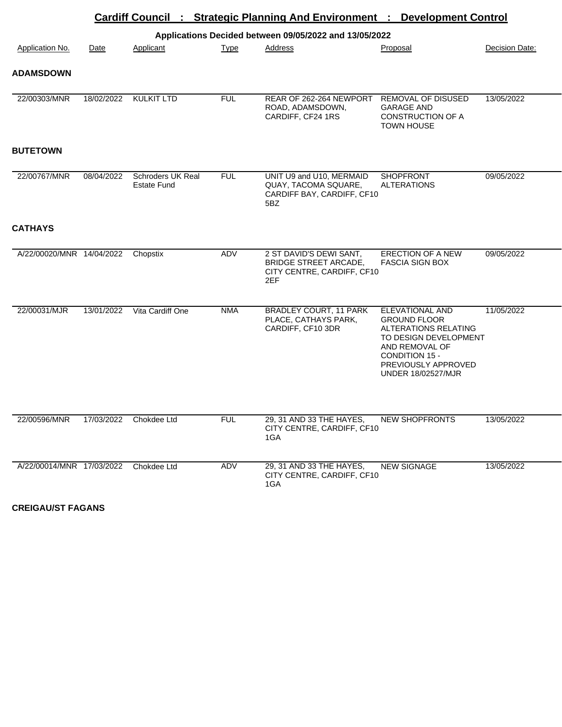|                           |            |                                         |             | Cardiff Council : Strategic Planning And Environment : Development Control                   |                                                                                                                                                                                 |                |
|---------------------------|------------|-----------------------------------------|-------------|----------------------------------------------------------------------------------------------|---------------------------------------------------------------------------------------------------------------------------------------------------------------------------------|----------------|
|                           |            |                                         |             | Applications Decided between 09/05/2022 and 13/05/2022                                       |                                                                                                                                                                                 |                |
| <b>Application No.</b>    | Date       | Applicant                               | <b>Type</b> | <b>Address</b>                                                                               | Proposal                                                                                                                                                                        | Decision Date: |
| <b>ADAMSDOWN</b>          |            |                                         |             |                                                                                              |                                                                                                                                                                                 |                |
| 22/00303/MNR              | 18/02/2022 | <b>KULKIT LTD</b>                       | <b>FUL</b>  | REAR OF 262-264 NEWPORT<br>ROAD, ADAMSDOWN,<br>CARDIFF, CF24 1RS                             | REMOVAL OF DISUSED<br><b>GARAGE AND</b><br><b>CONSTRUCTION OF A</b><br><b>TOWN HOUSE</b>                                                                                        | 13/05/2022     |
| <b>BUTETOWN</b>           |            |                                         |             |                                                                                              |                                                                                                                                                                                 |                |
| 22/00767/MNR              | 08/04/2022 | Schroders UK Real<br><b>Estate Fund</b> | <b>FUL</b>  | UNIT U9 and U10, MERMAID<br>QUAY, TACOMA SQUARE,<br>CARDIFF BAY, CARDIFF, CF10<br>5BZ        | <b>SHOPFRONT</b><br><b>ALTERATIONS</b>                                                                                                                                          | 09/05/2022     |
| <b>CATHAYS</b>            |            |                                         |             |                                                                                              |                                                                                                                                                                                 |                |
| A/22/00020/MNR 14/04/2022 |            | Chopstix                                | <b>ADV</b>  | 2 ST DAVID'S DEWI SANT,<br><b>BRIDGE STREET ARCADE,</b><br>CITY CENTRE, CARDIFF, CF10<br>2EF | <b>ERECTION OF A NEW</b><br><b>FASCIA SIGN BOX</b>                                                                                                                              | 09/05/2022     |
| 22/00031/MJR              | 13/01/2022 | Vita Cardiff One                        | <b>NMA</b>  | <b>BRADLEY COURT, 11 PARK</b><br>PLACE, CATHAYS PARK,<br>CARDIFF, CF10 3DR                   | ELEVATIONAL AND<br><b>GROUND FLOOR</b><br>ALTERATIONS RELATING<br>TO DESIGN DEVELOPMENT<br>AND REMOVAL OF<br>CONDITION 15 -<br>PREVIOUSLY APPROVED<br><b>UNDER 18/02527/MJR</b> | 11/05/2022     |
| 22/00596/MNR              | 17/03/2022 | Chokdee Ltd                             | <b>FUL</b>  | 29, 31 AND 33 THE HAYES,<br>CITY CENTRE, CARDIFF, CF10<br>1GA                                | <b>NEW SHOPFRONTS</b>                                                                                                                                                           | 13/05/2022     |
| A/22/00014/MNR 17/03/2022 |            | Chokdee Ltd                             | ADV         | 29, 31 AND 33 THE HAYES,<br>CITY CENTRE, CARDIFF, CF10<br>1GA                                | <b>NEW SIGNAGE</b>                                                                                                                                                              | 13/05/2022     |

**CREIGAU/ST FAGANS**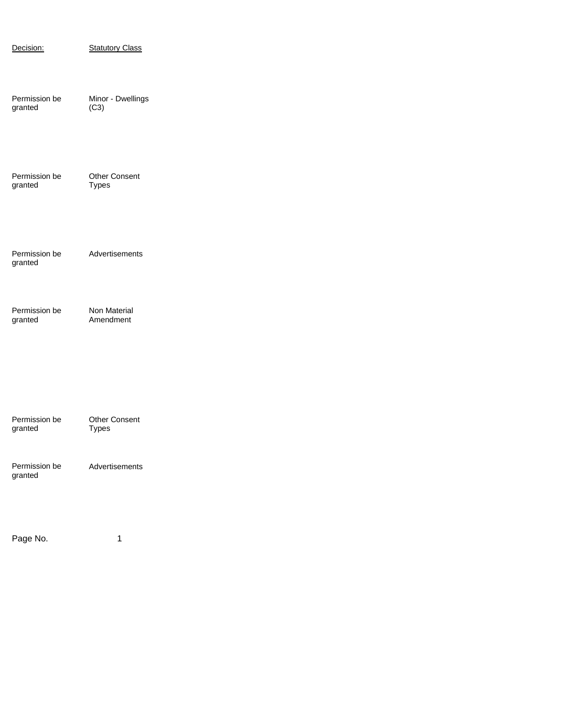| Decision:                | <b>Statutory Class</b>               |
|--------------------------|--------------------------------------|
| Permission be<br>granted | Minor - Dwellings<br>(C3)            |
| Permission be<br>granted | <b>Other Consent</b><br><b>Types</b> |
| Permission be<br>granted | Advertisements                       |
| Permission be<br>granted | Non Material<br>Amendment            |
|                          |                                      |
| Permission be<br>granted | <b>Other Consent</b><br><b>Types</b> |
| Permission be<br>granted | Advertisements                       |
|                          | 1                                    |
| Page No.                 |                                      |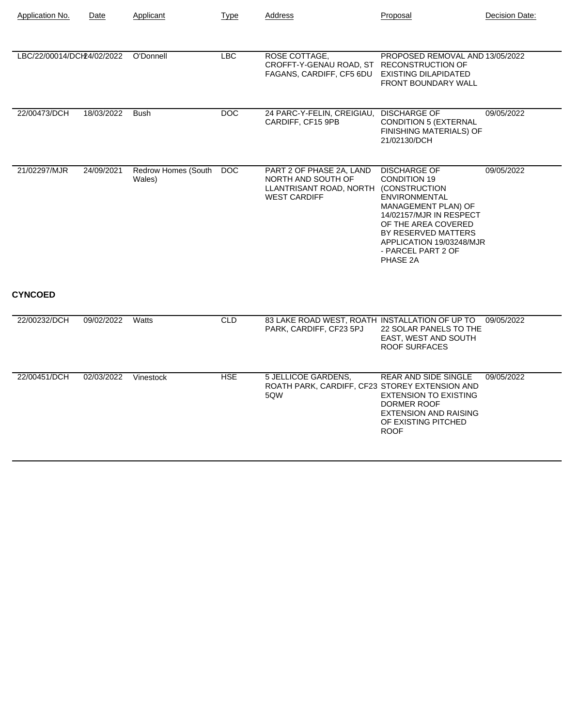| Application No.            | Date       | Applicant                     | <b>Type</b> | Address                                                                                                        | Proposal                                                                                                                                                                                                                         | Decision Date: |
|----------------------------|------------|-------------------------------|-------------|----------------------------------------------------------------------------------------------------------------|----------------------------------------------------------------------------------------------------------------------------------------------------------------------------------------------------------------------------------|----------------|
| LBC/22/00014/DCH24/02/2022 |            | O'Donnell                     | <b>LBC</b>  | ROSE COTTAGE,<br>CROFFT-Y-GENAU ROAD, ST RECONSTRUCTION OF<br>FAGANS, CARDIFF, CF5 6DU                         | PROPOSED REMOVAL AND 13/05/2022<br><b>EXISTING DILAPIDATED</b><br>FRONT BOUNDARY WALL                                                                                                                                            |                |
| 22/00473/DCH               | 18/03/2022 | <b>Bush</b>                   | <b>DOC</b>  | 24 PARC-Y-FELIN, CREIGIAU,<br>CARDIFF, CF15 9PB                                                                | <b>DISCHARGE OF</b><br><b>CONDITION 5 (EXTERNAL</b><br>FINISHING MATERIALS) OF<br>21/02130/DCH                                                                                                                                   | 09/05/2022     |
| 21/02297/MJR               | 24/09/2021 | Redrow Homes (South<br>Wales) | <b>DOC</b>  | PART 2 OF PHASE 2A, LAND<br>NORTH AND SOUTH OF<br>LLANTRISANT ROAD, NORTH (CONSTRUCTION<br><b>WEST CARDIFF</b> | <b>DISCHARGE OF</b><br><b>CONDITION 19</b><br><b>ENVIRONMENTAL</b><br>MANAGEMENT PLAN) OF<br>14/02157/MJR IN RESPECT<br>OF THE AREA COVERED<br>BY RESERVED MATTERS<br>APPLICATION 19/03248/MJR<br>- PARCEL PART 2 OF<br>PHASE 2A | 09/05/2022     |
| <b>CYNCOED</b>             |            |                               |             |                                                                                                                |                                                                                                                                                                                                                                  |                |
| 22/00232/DCH               | 09/02/2022 | Watts                         | <b>CLD</b>  | 83 LAKE ROAD WEST, ROATH INSTALLATION OF UP TO<br>PARK, CARDIFF, CF23 5PJ                                      | 22 SOLAR PANELS TO THE<br>EAST, WEST AND SOUTH<br><b>ROOF SURFACES</b>                                                                                                                                                           | 09/05/2022     |
| 22/00451/DCH               | 02/03/2022 | Vinestock                     | <b>HSE</b>  | 5 JELLICOE GARDENS,<br>ROATH PARK, CARDIFF, CF23 STOREY EXTENSION AND<br>5QW                                   | <b>REAR AND SIDE SINGLE</b><br><b>EXTENSION TO EXISTING</b><br><b>DORMER ROOF</b><br><b>EXTENSION AND RAISING</b><br>OF EXISTING PITCHED<br><b>ROOF</b>                                                                          | 09/05/2022     |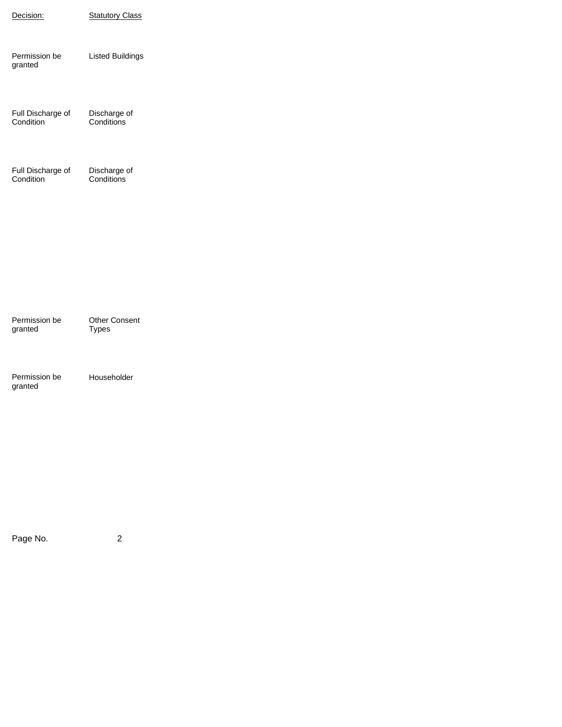| Decision:                      | <b>Statutory Class</b>               |
|--------------------------------|--------------------------------------|
| Permission be<br>granted       | <b>Listed Buildings</b>              |
| Full Discharge of<br>Condition | Discharge of<br>Conditions           |
| Full Discharge of<br>Condition | Discharge of<br>Conditions           |
|                                |                                      |
|                                |                                      |
| Permission be<br>granted       | <b>Other Consent</b><br><b>Types</b> |
| Permission be<br>granted       | Householder                          |
|                                |                                      |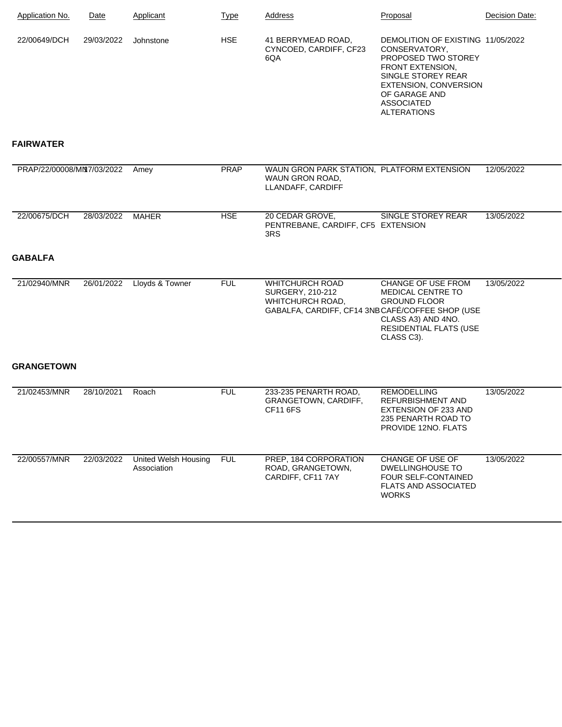| Application No. | Date       | Applicant | Type       | Address                                             | Proposal                                                                                                                                                                                                               | Decision Date: |
|-----------------|------------|-----------|------------|-----------------------------------------------------|------------------------------------------------------------------------------------------------------------------------------------------------------------------------------------------------------------------------|----------------|
| 22/00649/DCH    | 29/03/2022 | Johnstone | <b>HSE</b> | 41 BERRYMEAD ROAD,<br>CYNCOED, CARDIFF, CF23<br>6QA | DEMOLITION OF EXISTING 11/05/2022<br>CONSERVATORY.<br><b>PROPOSED TWO STOREY</b><br><b>FRONT EXTENSION,</b><br>SINGLE STOREY REAR<br>EXTENSION, CONVERSION<br>OF GARAGE AND<br><b>ASSOCIATED</b><br><b>ALTERATIONS</b> |                |

## **FAIRWATER**

| PRAP/22/00008/MN7/03/2022 |            | Amey                                | <b>PRAP</b> | WAUN GRON PARK STATION, PLATFORM EXTENSION<br>WAUN GRON ROAD.<br>LLANDAFF, CARDIFF                                 |                                                                                                                                     | 12/05/2022 |
|---------------------------|------------|-------------------------------------|-------------|--------------------------------------------------------------------------------------------------------------------|-------------------------------------------------------------------------------------------------------------------------------------|------------|
| 22/00675/DCH              | 28/03/2022 | <b>MAHER</b>                        | <b>HSE</b>  | 20 CEDAR GROVE,<br>PENTREBANE, CARDIFF, CF5 EXTENSION<br>3RS                                                       | SINGLE STOREY REAR                                                                                                                  | 13/05/2022 |
| <b>GABALFA</b>            |            |                                     |             |                                                                                                                    |                                                                                                                                     |            |
| 21/02940/MNR              | 26/01/2022 | Lloyds & Towner                     | <b>FUL</b>  | <b>WHITCHURCH ROAD</b><br>SURGERY, 210-212<br>WHITCHURCH ROAD,<br>GABALFA, CARDIFF, CF14 3NB CAFÉ/COFFEE SHOP (USE | CHANGE OF USE FROM<br><b>MEDICAL CENTRE TO</b><br><b>GROUND FLOOR</b><br>CLASS A3) AND 4NO.<br>RESIDENTIAL FLATS (USE<br>CLASS C3). | 13/05/2022 |
| <b>GRANGETOWN</b>         |            |                                     |             |                                                                                                                    |                                                                                                                                     |            |
| 21/02453/MNR              | 28/10/2021 | Roach                               | <b>FUL</b>  | 233-235 PENARTH ROAD,<br>GRANGETOWN, CARDIFF,<br><b>CF11 6FS</b>                                                   | <b>REMODELLING</b><br><b>REFURBISHMENT AND</b><br><b>EXTENSION OF 233 AND</b><br>235 PENARTH ROAD TO<br>PROVIDE 12NO. FLATS         | 13/05/2022 |
| 22/00557/MNR              | 22/03/2022 | United Welsh Housing<br>Association | <b>FUL</b>  | PREP, 184 CORPORATION<br>ROAD, GRANGETOWN.<br>CARDIFF, CF11 7AY                                                    | CHANGE OF USE OF<br><b>DWELLINGHOUSE TO</b><br>FOUR SELF-CONTAINED                                                                  | 13/05/2022 |

FLATS AND ASSOCIATED

WORKS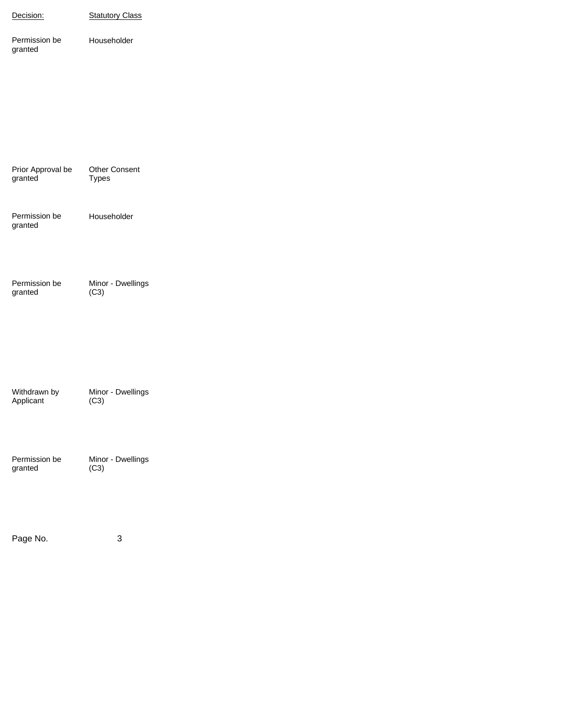| Decision:                    | <b>Statutory Class</b>    |
|------------------------------|---------------------------|
| Permission be<br>granted     | Householder               |
|                              |                           |
| Prior Approval be<br>granted | Other Consent<br>Types    |
| Permission be<br>granted     | Householder               |
| Permission be<br>granted     | Minor - Dwellings<br>(C3) |
| Withdrawn by<br>Applicant    | Minor - Dwellings<br>(C3) |
| Permission be<br>granted     | Minor - Dwellings<br>(C3) |
| Page No.                     | $\sqrt{3}$                |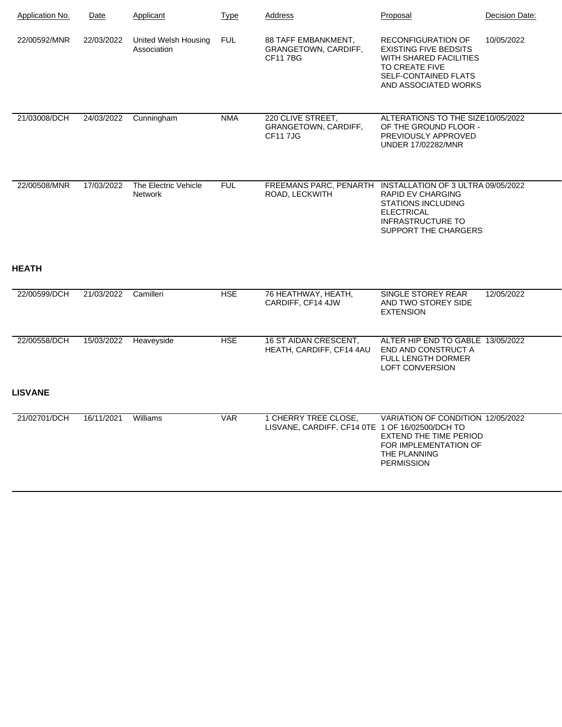| Application No.              | Date       | Applicant                              | <b>Type</b> | Address                                                                     | Proposal                                                                                                                                                     | Decision Date: |
|------------------------------|------------|----------------------------------------|-------------|-----------------------------------------------------------------------------|--------------------------------------------------------------------------------------------------------------------------------------------------------------|----------------|
| 22/00592/MNR                 | 22/03/2022 | United Welsh Housing<br>Association    | <b>FUL</b>  | 88 TAFF EMBANKMENT,<br><b>GRANGETOWN, CARDIFF,</b><br><b>CF117BG</b>        | <b>RECONFIGURATION OF</b><br><b>EXISTING FIVE BEDSITS</b><br><b>WITH SHARED FACILITIES</b><br>TO CREATE FIVE<br>SELF-CONTAINED FLATS<br>AND ASSOCIATED WORKS | 10/05/2022     |
| 21/03008/DCH                 | 24/03/2022 | Cunningham                             | <b>NMA</b>  | 220 CLIVE STREET,<br>GRANGETOWN, CARDIFF,<br><b>CF117JG</b>                 | ALTERATIONS TO THE SIZE10/05/2022<br>OF THE GROUND FLOOR -<br>PREVIOUSLY APPROVED<br><b>UNDER 17/02282/MNR</b>                                               |                |
| 22/00508/MNR<br><b>HEATH</b> | 17/03/2022 | The Electric Vehicle<br><b>Network</b> | <b>FUL</b>  | FREEMANS PARC, PENARTH INSTALLATION OF 3 ULTRA 09/05/2022<br>ROAD, LECKWITH | <b>RAPID EV CHARGING</b><br><b>STATIONS INCLUDING</b><br><b>ELECTRICAL</b><br><b>INFRASTRUCTURE TO</b><br>SUPPORT THE CHARGERS                               |                |
| 22/00599/DCH                 | 21/03/2022 | Camilleri                              | <b>HSE</b>  | 76 HEATHWAY, HEATH,<br>CARDIFF, CF14 4JW                                    | SINGLE STOREY REAR<br>AND TWO STOREY SIDE<br><b>EXTENSION</b>                                                                                                | 12/05/2022     |
| 22/00558/DCH                 | 15/03/2022 | Heaveyside                             | <b>HSE</b>  | 16 ST AIDAN CRESCENT,<br>HEATH, CARDIFF, CF14 4AU                           | ALTER HIP END TO GABLE 13/05/2022<br>END AND CONSTRUCT A<br><b>FULL LENGTH DORMER</b><br><b>LOFT CONVERSION</b>                                              |                |
| <b>LISVANE</b>               |            |                                        |             |                                                                             |                                                                                                                                                              |                |
| 21/02701/DCH                 | 16/11/2021 | Williams                               | <b>VAR</b>  | 1 CHERRY TREE CLOSE,<br>LISVANE, CARDIFF, CF14 0TE 1 OF 16/02500/DCH TO     | VARIATION OF CONDITION 12/05/2022<br>EXTEND THE TIME PERIOD<br>FOR IMPLEMENTATION OF<br>THE PLANNING<br><b>PERMISSION</b>                                    |                |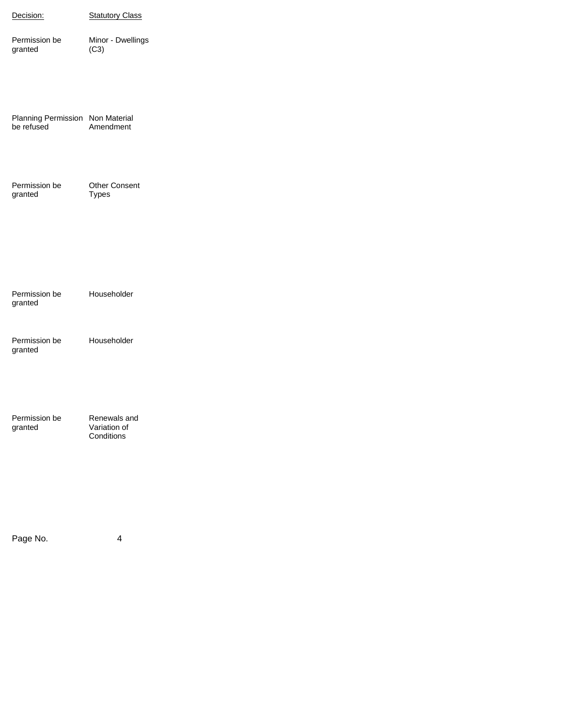| Decision:                                      | <b>Statutory Class</b>               |
|------------------------------------------------|--------------------------------------|
| Permission be<br>granted                       | Minor - Dwellings<br>(C3)            |
|                                                |                                      |
| Planning Permission Non Material<br>be refused | Amendment                            |
|                                                |                                      |
| Permission be<br>granted                       | <b>Other Consent</b><br><b>Types</b> |
|                                                |                                      |
|                                                |                                      |
| Permission be<br>granted                       | Householder                          |
| Permission be<br>granted                       | Householder                          |
|                                                |                                      |
| Permission be                                  | Renewals and                         |
| granted                                        | Variation of<br>Conditions           |
|                                                |                                      |
|                                                |                                      |
|                                                |                                      |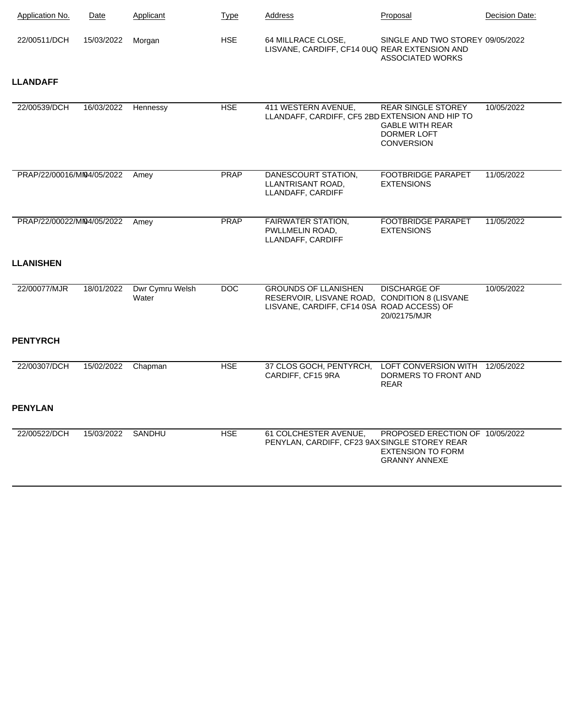| <b>Application No.</b>    | Date       | Applicant                | <b>Type</b> | Address                                                                                                                    | Proposal                                                                                       | Decision Date: |
|---------------------------|------------|--------------------------|-------------|----------------------------------------------------------------------------------------------------------------------------|------------------------------------------------------------------------------------------------|----------------|
| 22/00511/DCH              | 15/03/2022 | Morgan                   | <b>HSE</b>  | 64 MILLRACE CLOSE,<br>LISVANE, CARDIFF, CF14 0UQ REAR EXTENSION AND                                                        | SINGLE AND TWO STOREY 09/05/2022<br><b>ASSOCIATED WORKS</b>                                    |                |
| <b>LLANDAFF</b>           |            |                          |             |                                                                                                                            |                                                                                                |                |
| 22/00539/DCH              | 16/03/2022 | Hennessy                 | <b>HSE</b>  | 411 WESTERN AVENUE,<br>LLANDAFF, CARDIFF, CF5 2BD EXTENSION AND HIP TO                                                     | <b>REAR SINGLE STOREY</b><br><b>GABLE WITH REAR</b><br><b>DORMER LOFT</b><br><b>CONVERSION</b> | 10/05/2022     |
| PRAP/22/00016/MN4/05/2022 |            | Amey                     | <b>PRAP</b> | DANESCOURT STATION.<br>LLANTRISANT ROAD,<br>LLANDAFF, CARDIFF                                                              | <b>FOOTBRIDGE PARAPET</b><br><b>EXTENSIONS</b>                                                 | 11/05/2022     |
| PRAP/22/00022/MN4/05/2022 |            | Amey                     | <b>PRAP</b> | <b>FAIRWATER STATION,</b><br>PWLLMELIN ROAD,<br>LLANDAFF, CARDIFF                                                          | <b>FOOTBRIDGE PARAPET</b><br><b>EXTENSIONS</b>                                                 | 11/05/2022     |
| <b>LLANISHEN</b>          |            |                          |             |                                                                                                                            |                                                                                                |                |
| 22/00077/MJR              | 18/01/2022 | Dwr Cymru Welsh<br>Water | DOC         | <b>GROUNDS OF LLANISHEN</b><br>RESERVOIR, LISVANE ROAD, CONDITION 8 (LISVANE<br>LISVANE, CARDIFF, CF14 0SA ROAD ACCESS) OF | <b>DISCHARGE OF</b><br>20/02175/MJR                                                            | 10/05/2022     |
| <b>PENTYRCH</b>           |            |                          |             |                                                                                                                            |                                                                                                |                |
| 22/00307/DCH              | 15/02/2022 | Chapman                  | <b>HSE</b>  | 37 CLOS GOCH, PENTYRCH,<br>CARDIFF, CF15 9RA                                                                               | LOFT CONVERSION WITH 12/05/2022<br>DORMERS TO FRONT AND<br><b>REAR</b>                         |                |
| <b>PENYLAN</b>            |            |                          |             |                                                                                                                            |                                                                                                |                |
| 22/00522/DCH              | 15/03/2022 | SANDHU                   | <b>HSE</b>  | 61 COLCHESTER AVENUE,<br>PENYLAN, CARDIFF, CF23 9AX SINGLE STOREY REAR                                                     | PROPOSED ERECTION OF 10/05/2022<br><b>EXTENSION TO FORM</b><br><b>GRANNY ANNEXE</b>            |                |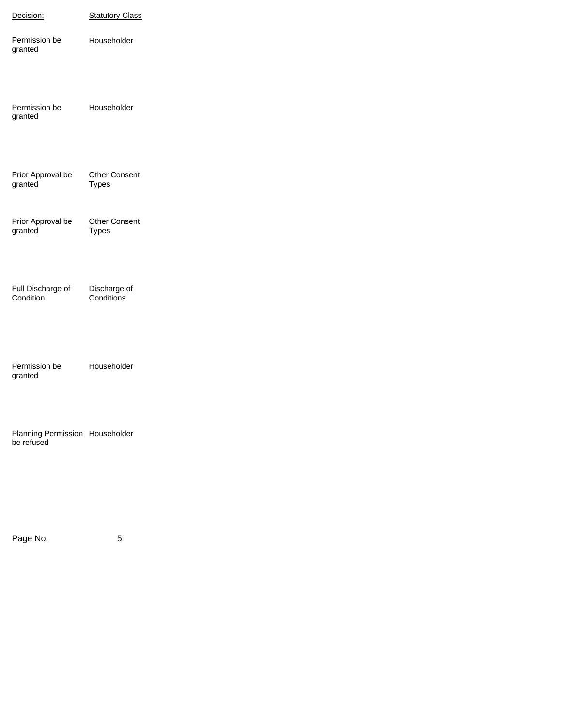| Decision:                                     | <b>Statutory Class</b>               |
|-----------------------------------------------|--------------------------------------|
| Permission be<br>granted                      | Householder                          |
| Permission be<br>granted                      | Householder                          |
| Prior Approval be<br>granted                  | <b>Other Consent</b><br><b>Types</b> |
| Prior Approval be<br>granted                  | <b>Other Consent</b><br><b>Types</b> |
| Full Discharge of<br>Condition                | Discharge of<br>Conditions           |
| Permission be<br>granted                      | Householder                          |
| Planning Permission Householder<br>be refused |                                      |
|                                               |                                      |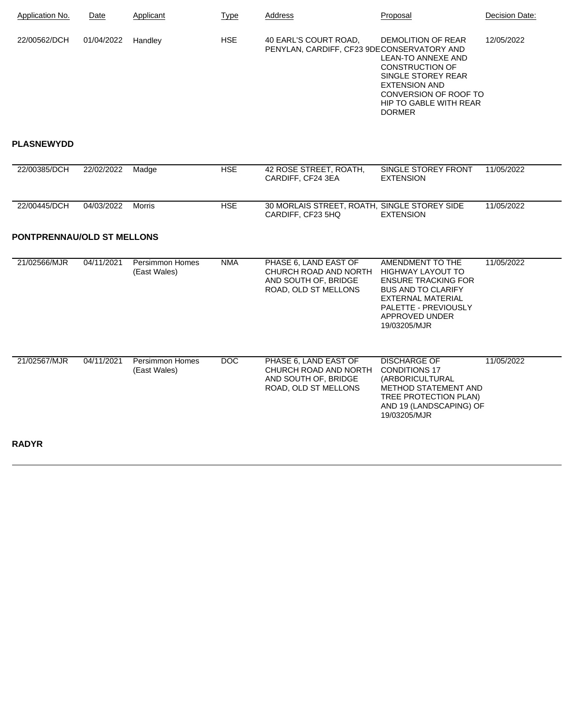| Application No. | Date       | Applicant | <b>Type</b> | Address                                                             | Proposal                                                                                                                                                                             | Decision Date: |
|-----------------|------------|-----------|-------------|---------------------------------------------------------------------|--------------------------------------------------------------------------------------------------------------------------------------------------------------------------------------|----------------|
| 22/00562/DCH    | 01/04/2022 | Handlev   | <b>HSE</b>  | 40 EARL'S COURT ROAD,<br>PENYLAN, CARDIFF, CF23 9DECONSERVATORY AND | DEMOLITION OF REAR<br>LEAN-TO ANNEXE AND<br><b>CONSTRUCTION OF</b><br>SINGLE STOREY REAR<br>EXTENSION AND<br>CONVERSION OF ROOF TO<br><b>HIP TO GABLE WITH REAR</b><br><b>DORMER</b> | 12/05/2022     |

## **PLASNEWYDD**

**RADYR**

| 22/00385/DCH                      | 22/02/2022 | Madge                                  | <b>HSE</b> | 42 ROSE STREET, ROATH,<br>CARDIFF, CF24 3EA                                                    | SINGLE STOREY FRONT<br><b>EXTENSION</b>                                                                                                                                                | 11/05/2022 |
|-----------------------------------|------------|----------------------------------------|------------|------------------------------------------------------------------------------------------------|----------------------------------------------------------------------------------------------------------------------------------------------------------------------------------------|------------|
| 22/00445/DCH                      | 04/03/2022 | Morris                                 | <b>HSE</b> | 30 MORLAIS STREET, ROATH, SINGLE STOREY SIDE<br>CARDIFF, CF23 5HQ                              | <b>EXTENSION</b>                                                                                                                                                                       | 11/05/2022 |
| <b>PONTPRENNAU/OLD ST MELLONS</b> |            |                                        |            |                                                                                                |                                                                                                                                                                                        |            |
| 21/02566/MJR                      | 04/11/2021 | <b>Persimmon Homes</b><br>(East Wales) | <b>NMA</b> | PHASE 6. LAND EAST OF<br>CHURCH ROAD AND NORTH<br>AND SOUTH OF, BRIDGE<br>ROAD, OLD ST MELLONS | AMENDMENT TO THE<br><b>HIGHWAY LAYOUT TO</b><br><b>ENSURE TRACKING FOR</b><br><b>BUS AND TO CLARIFY</b><br>EXTERNAL MATERIAL<br>PALETTE - PREVIOUSLY<br>APPROVED UNDER<br>19/03205/MJR | 11/05/2022 |
| 21/02567/MJR                      | 04/11/2021 | Persimmon Homes<br>(East Wales)        | <b>DOC</b> | PHASE 6, LAND EAST OF<br>CHURCH ROAD AND NORTH<br>AND SOUTH OF, BRIDGE<br>ROAD, OLD ST MELLONS | <b>DISCHARGE OF</b><br><b>CONDITIONS 17</b><br>(ARBORICULTURAL<br><b>METHOD STATEMENT AND</b><br>TREE PROTECTION PLAN)<br>AND 19 (LANDSCAPING) OF<br>19/03205/MJR                      | 11/05/2022 |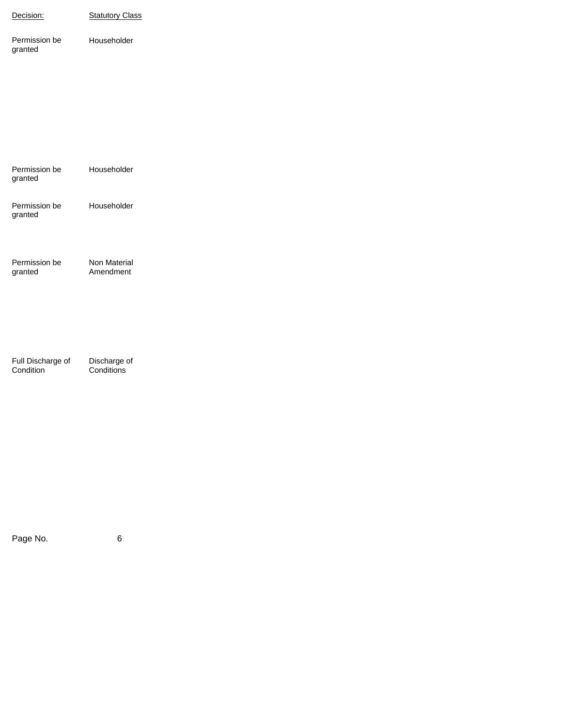| Decision:                      | <b>Statutory Class</b>     |
|--------------------------------|----------------------------|
| Permission be<br>granted       | Householder                |
|                                |                            |
|                                |                            |
|                                |                            |
| Permission be<br>granted       | Householder                |
| Permission be<br>granted       | Householder                |
|                                |                            |
| Permission be<br>granted       | Non Material<br>Amendment  |
|                                |                            |
|                                |                            |
| Full Discharge of<br>Condition | Discharge of<br>Conditions |
|                                |                            |
|                                |                            |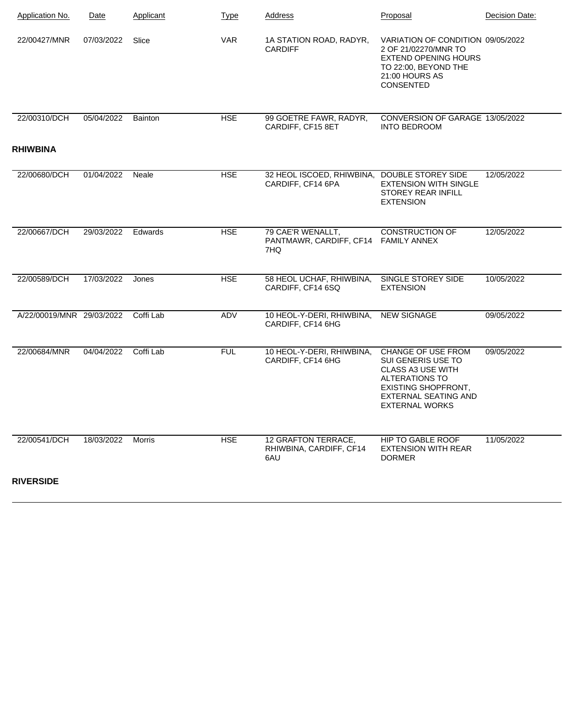| <b>Application No.</b>    | Date       | Applicant | <b>Type</b> | Address                                                           | Proposal                                                                                                                                                                     | Decision Date: |
|---------------------------|------------|-----------|-------------|-------------------------------------------------------------------|------------------------------------------------------------------------------------------------------------------------------------------------------------------------------|----------------|
| 22/00427/MNR              | 07/03/2022 | Slice     | <b>VAR</b>  | 1A STATION ROAD, RADYR,<br><b>CARDIFF</b>                         | VARIATION OF CONDITION 09/05/2022<br>2 OF 21/02270/MNR TO<br><b>EXTEND OPENING HOURS</b><br>TO 22:00, BEYOND THE<br>21:00 HOURS AS<br><b>CONSENTED</b>                       |                |
| 22/00310/DCH              | 05/04/2022 | Bainton   | <b>HSE</b>  | 99 GOETRE FAWR, RADYR,<br>CARDIFF, CF15 8ET                       | CONVERSION OF GARAGE 13/05/2022<br><b>INTO BEDROOM</b>                                                                                                                       |                |
| <b>RHIWBINA</b>           |            |           |             |                                                                   |                                                                                                                                                                              |                |
| 22/00680/DCH              | 01/04/2022 | Neale     | <b>HSE</b>  | 32 HEOL ISCOED, RHIWBINA, DOUBLE STOREY SIDE<br>CARDIFF, CF14 6PA | <b>EXTENSION WITH SINGLE</b><br><b>STOREY REAR INFILL</b><br><b>EXTENSION</b>                                                                                                | 12/05/2022     |
| 22/00667/DCH              | 29/03/2022 | Edwards   | <b>HSE</b>  | 79 CAE'R WENALLT,<br>PANTMAWR, CARDIFF, CF14<br>7HQ               | <b>CONSTRUCTION OF</b><br><b>FAMILY ANNEX</b>                                                                                                                                | 12/05/2022     |
| 22/00589/DCH              | 17/03/2022 | Jones     | <b>HSE</b>  | 58 HEOL UCHAF, RHIWBINA,<br>CARDIFF, CF14 6SQ                     | SINGLE STOREY SIDE<br><b>EXTENSION</b>                                                                                                                                       | 10/05/2022     |
| A/22/00019/MNR 29/03/2022 |            | Coffi Lab | ADV         | 10 HEOL-Y-DERI, RHIWBINA,<br>CARDIFF, CF14 6HG                    | <b>NEW SIGNAGE</b>                                                                                                                                                           | 09/05/2022     |
| 22/00684/MNR              | 04/04/2022 | Coffi Lab | <b>FUL</b>  | 10 HEOL-Y-DERI, RHIWBINA,<br>CARDIFF, CF14 6HG                    | CHANGE OF USE FROM<br>SUI GENERIS USE TO<br><b>CLASS A3 USE WITH</b><br>ALTERATIONS TO<br><b>EXISTING SHOPFRONT,</b><br><b>EXTERNAL SEATING AND</b><br><b>EXTERNAL WORKS</b> | 09/05/2022     |
| 22/00541/DCH              | 18/03/2022 | Morris    | <b>HSE</b>  | 12 GRAFTON TERRACE,<br>RHIWBINA, CARDIFF, CF14<br>6AU             | HIP TO GABLE ROOF<br><b>EXTENSION WITH REAR</b><br><b>DORMER</b>                                                                                                             | 11/05/2022     |
| <b>RIVERSIDE</b>          |            |           |             |                                                                   |                                                                                                                                                                              |                |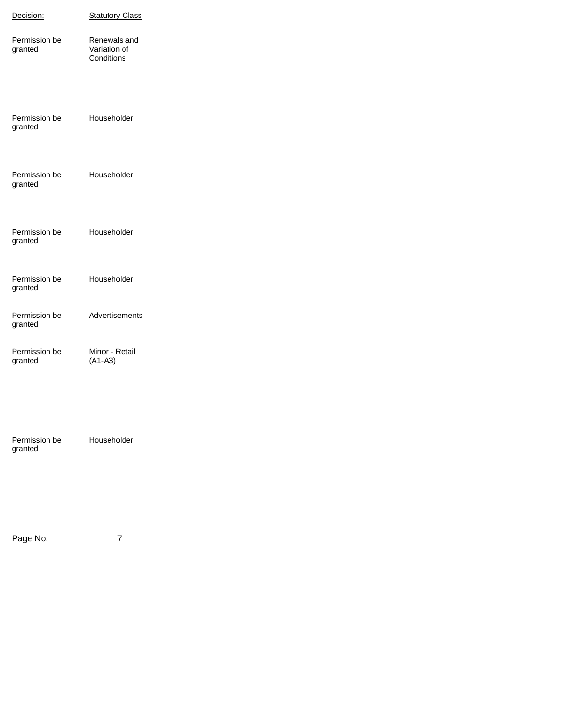| Decision:                | <b>Statutory Class</b>                     |
|--------------------------|--------------------------------------------|
| Permission be<br>granted | Renewals and<br>Variation of<br>Conditions |
| Permission be<br>granted | Householder                                |
| Permission be<br>granted | Householder                                |
| Permission be<br>granted | Householder                                |
| Permission be<br>granted | Householder                                |
| Permission be<br>granted | Advertisements                             |
| Permission be<br>granted | Minor - Retail<br>$(A1-A3)$                |
| Permission be<br>granted | Householder                                |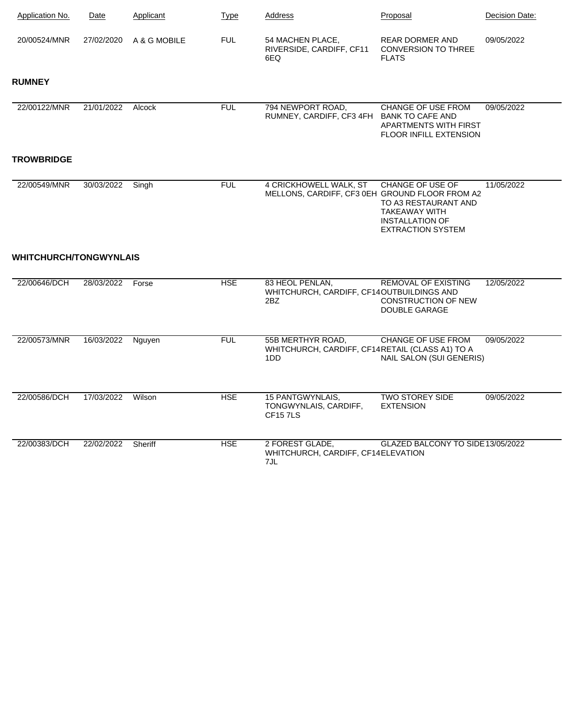| Application No.               | Date       | Applicant    | <b>Type</b> | Address                                                                     | Proposal                                                                                                               | Decision Date: |
|-------------------------------|------------|--------------|-------------|-----------------------------------------------------------------------------|------------------------------------------------------------------------------------------------------------------------|----------------|
| 20/00524/MNR                  | 27/02/2020 | A & G MOBILE | <b>FUL</b>  | 54 MACHEN PLACE,<br>RIVERSIDE, CARDIFF, CF11<br>6EQ                         | <b>REAR DORMER AND</b><br><b>CONVERSION TO THREE</b><br><b>FLATS</b>                                                   | 09/05/2022     |
| <b>RUMNEY</b>                 |            |              |             |                                                                             |                                                                                                                        |                |
| 22/00122/MNR                  | 21/01/2022 | Alcock       | <b>FUL</b>  | 794 NEWPORT ROAD.<br>RUMNEY, CARDIFF, CF3 4FH BANK TO CAFE AND              | <b>CHANGE OF USE FROM</b><br>APARTMENTS WITH FIRST<br>FLOOR INFILL EXTENSION                                           | 09/05/2022     |
| <b>TROWBRIDGE</b>             |            |              |             |                                                                             |                                                                                                                        |                |
| 22/00549/MNR                  | 30/03/2022 | Singh        | <b>FUL</b>  | 4 CRICKHOWELL WALK, ST<br>MELLONS, CARDIFF, CF3 0EH GROUND FLOOR FROM A2    | CHANGE OF USE OF<br>TO A3 RESTAURANT AND<br><b>TAKEAWAY WITH</b><br><b>INSTALLATION OF</b><br><b>EXTRACTION SYSTEM</b> | 11/05/2022     |
| <b>WHITCHURCH/TONGWYNLAIS</b> |            |              |             |                                                                             |                                                                                                                        |                |
| 22/00646/DCH                  | 28/03/2022 | Forse        | <b>HSE</b>  | 83 HEOL PENLAN,<br>WHITCHURCH, CARDIFF, CF14OUTBUILDINGS AND<br>2BZ         | <b>REMOVAL OF EXISTING</b><br><b>CONSTRUCTION OF NEW</b><br>DOUBLE GARAGE                                              | 12/05/2022     |
| 22/00573/MNR                  | 16/03/2022 | Nguyen       | <b>FUL</b>  | 55B MERTHYR ROAD,<br>WHITCHURCH, CARDIFF, CF14RETAIL (CLASS A1) TO A<br>1DD | <b>CHANGE OF USE FROM</b><br>NAIL SALON (SUI GENERIS)                                                                  | 09/05/2022     |
| 22/00586/DCH                  | 17/03/2022 | Wilson       | <b>HSE</b>  | <b>15 PANTGWYNLAIS,</b><br>TONGWYNLAIS, CARDIFF,<br><b>CF157LS</b>          | <b>TWO STOREY SIDE</b><br><b>EXTENSION</b>                                                                             | 09/05/2022     |
| 22/00383/DCH                  | 22/02/2022 | Sheriff      | <b>HSE</b>  | 2 FOREST GLADE,<br>WHITCHURCH, CARDIFF, CF14ELEVATION<br>7JL                | GLAZED BALCONY TO SIDE 13/05/2022                                                                                      |                |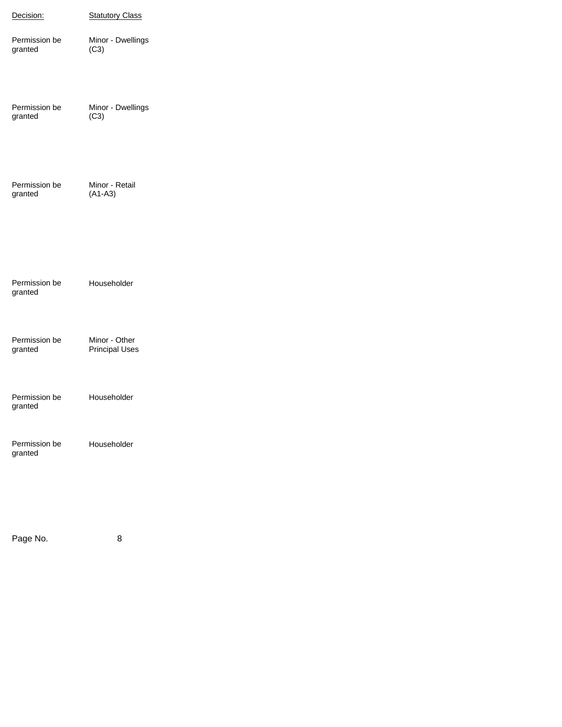| Decision:                | <b>Statutory Class</b>                 |
|--------------------------|----------------------------------------|
| Permission be<br>granted | Minor - Dwellings<br>(C3)              |
| Permission be<br>granted | Minor - Dwellings<br>(C3)              |
| Permission be<br>granted | Minor - Retail<br>$(A1-A3)$            |
| Permission be<br>granted | Householder                            |
| Permission be<br>granted | Minor - Other<br><b>Principal Uses</b> |
| Permission be<br>granted | Householder                            |
| Permission be<br>granted | Householder                            |
| Page No.                 | 8                                      |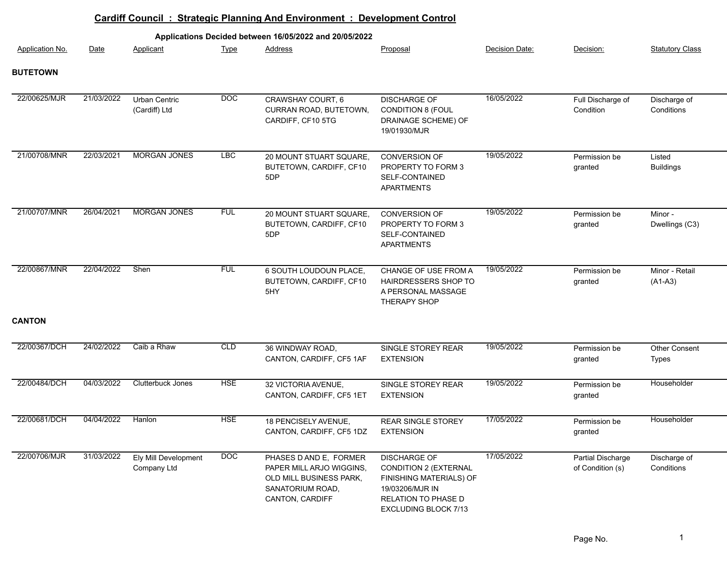|                        |            |                                     |                  | <b>Cardiff Council: Strategic Planning And Environment: Development Control</b>                                      |                                                                                                                                                  |                |                                       |                             |
|------------------------|------------|-------------------------------------|------------------|----------------------------------------------------------------------------------------------------------------------|--------------------------------------------------------------------------------------------------------------------------------------------------|----------------|---------------------------------------|-----------------------------|
|                        |            |                                     |                  | Applications Decided between 16/05/2022 and 20/05/2022                                                               |                                                                                                                                                  |                |                                       |                             |
| <b>Application No.</b> | Date       | Applicant                           | <b>Type</b>      | Address                                                                                                              | Proposal                                                                                                                                         | Decision Date: | Decision:                             | <b>Statutory Class</b>      |
| <b>BUTETOWN</b>        |            |                                     |                  |                                                                                                                      |                                                                                                                                                  |                |                                       |                             |
| 22/00625/MJR           | 21/03/2022 | Urban Centric<br>(Cardiff) Ltd      | $\overline{DOC}$ | CRAWSHAY COURT, 6<br>CURRAN ROAD, BUTETOWN,<br>CARDIFF, CF10 5TG                                                     | <b>DISCHARGE OF</b><br><b>CONDITION 8 (FOUL</b><br>DRAINAGE SCHEME) OF<br>19/01930/MJR                                                           | 16/05/2022     | Full Discharge of<br>Condition        | Discharge of<br>Conditions  |
| 21/00708/MNR           | 22/03/2021 | <b>MORGAN JONES</b>                 | <b>LBC</b>       | 20 MOUNT STUART SQUARE,<br>BUTETOWN, CARDIFF, CF10<br>5DP                                                            | <b>CONVERSION OF</b><br>PROPERTY TO FORM 3<br>SELF-CONTAINED<br><b>APARTMENTS</b>                                                                | 19/05/2022     | Permission be<br>granted              | Listed<br><b>Buildings</b>  |
| 21/00707/MNR           | 26/04/2021 | <b>MORGAN JONES</b>                 | <b>FUL</b>       | 20 MOUNT STUART SQUARE,<br>BUTETOWN, CARDIFF, CF10<br>5DP                                                            | CONVERSION OF<br>PROPERTY TO FORM 3<br>SELF-CONTAINED<br><b>APARTMENTS</b>                                                                       | 19/05/2022     | Permission be<br>granted              | Minor -<br>Dwellings (C3)   |
| 22/00867/MNR           | 22/04/2022 | Shen                                | <b>FUL</b>       | 6 SOUTH LOUDOUN PLACE,<br>BUTETOWN, CARDIFF, CF10<br>5HY                                                             | CHANGE OF USE FROM A<br>HAIRDRESSERS SHOP TO<br>A PERSONAL MASSAGE<br><b>THERAPY SHOP</b>                                                        | 19/05/2022     | Permission be<br>granted              | Minor - Retail<br>$(A1-A3)$ |
| <b>CANTON</b>          |            |                                     |                  |                                                                                                                      |                                                                                                                                                  |                |                                       |                             |
| 22/00367/DCH           | 24/02/2022 | Caib a Rhaw                         | CLD              | 36 WINDWAY ROAD,<br>CANTON, CARDIFF, CF5 1AF                                                                         | SINGLE STOREY REAR<br><b>EXTENSION</b>                                                                                                           | 19/05/2022     | Permission be<br>granted              | Other Consent<br>Types      |
| 22/00484/DCH           | 04/03/2022 | <b>Clutterbuck Jones</b>            | <b>HSE</b>       | 32 VICTORIA AVENUE,<br>CANTON, CARDIFF, CF5 1ET                                                                      | SINGLE STOREY REAR<br><b>EXTENSION</b>                                                                                                           | 19/05/2022     | Permission be<br>granted              | Householder                 |
| 22/00681/DCH           | 04/04/2022 | Hanlon                              | <b>HSE</b>       | 18 PENCISELY AVENUE,<br>CANTON, CARDIFF, CF5 1DZ                                                                     | REAR SINGLE STOREY<br><b>EXTENSION</b>                                                                                                           | 17/05/2022     | Permission be<br>granted              | Householder                 |
| 22/00706/MJR           | 31/03/2022 | Ely Mill Development<br>Company Ltd | DOC              | PHASES D AND E, FORMER<br>PAPER MILL ARJO WIGGINS,<br>OLD MILL BUSINESS PARK,<br>SANATORIUM ROAD,<br>CANTON, CARDIFF | <b>DISCHARGE OF</b><br><b>CONDITION 2 (EXTERNAL</b><br>FINISHING MATERIALS) OF<br>19/03206/MJR IN<br>RELATION TO PHASE D<br>EXCLUDING BLOCK 7/13 | 17/05/2022     | Partial Discharge<br>of Condition (s) | Discharge of<br>Conditions  |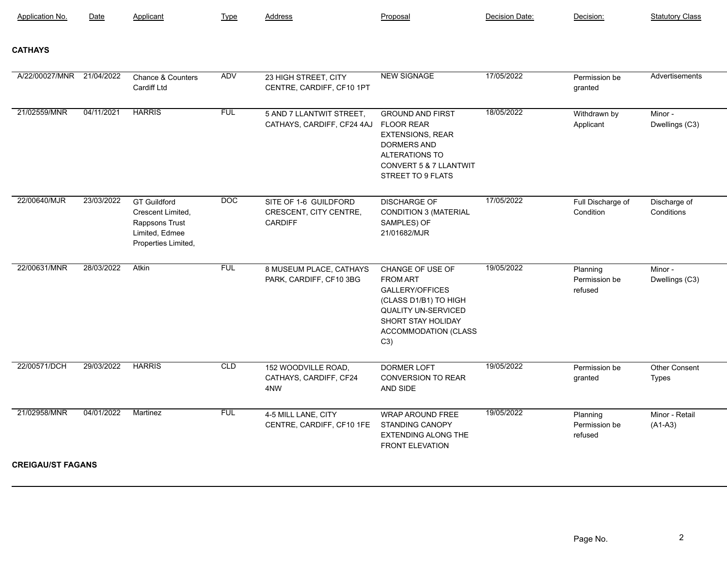| <b>Application No.</b>    | Date       | Applicant                                                                                           | Type             | Address                                                           | Proposal                                                                                                                                                                  | Decision Date: | Decision:                            | <b>Statutory Class</b>        |
|---------------------------|------------|-----------------------------------------------------------------------------------------------------|------------------|-------------------------------------------------------------------|---------------------------------------------------------------------------------------------------------------------------------------------------------------------------|----------------|--------------------------------------|-------------------------------|
| <b>CATHAYS</b>            |            |                                                                                                     |                  |                                                                   |                                                                                                                                                                           |                |                                      |                               |
| A/22/00027/MNR 21/04/2022 |            | Chance & Counters<br><b>Cardiff Ltd</b>                                                             | <b>ADV</b>       | 23 HIGH STREET, CITY<br>CENTRE, CARDIFF, CF10 1PT                 | <b>NEW SIGNAGE</b>                                                                                                                                                        | 17/05/2022     | Permission be<br>granted             | Advertisements                |
| 21/02559/MNR              | 04/11/2021 | <b>HARRIS</b>                                                                                       | <b>FUL</b>       | 5 AND 7 LLANTWIT STREET,<br>CATHAYS, CARDIFF, CF24 4AJ            | <b>GROUND AND FIRST</b><br><b>FLOOR REAR</b><br><b>EXTENSIONS, REAR</b><br><b>DORMERS AND</b><br><b>ALTERATIONS TO</b><br>CONVERT 5 & 7 LLANTWIT<br>STREET TO 9 FLATS     | 18/05/2022     | Withdrawn by<br>Applicant            | Minor -<br>Dwellings (C3)     |
| 22/00640/MJR              | 23/03/2022 | <b>GT Guildford</b><br>Crescent Limited,<br>Rappsons Trust<br>Limited, Edmee<br>Properties Limited, | $\overline{DOC}$ | SITE OF 1-6 GUILDFORD<br>CRESCENT, CITY CENTRE,<br><b>CARDIFF</b> | <b>DISCHARGE OF</b><br><b>CONDITION 3 (MATERIAL</b><br>SAMPLES) OF<br>21/01682/MJR                                                                                        | 17/05/2022     | Full Discharge of<br>Condition       | Discharge of<br>Conditions    |
| 22/00631/MNR              | 28/03/2022 | <b>Atkin</b>                                                                                        | <b>FUL</b>       | 8 MUSEUM PLACE, CATHAYS<br>PARK, CARDIFF, CF10 3BG                | CHANGE OF USE OF<br><b>FROM ART</b><br>GALLERY/OFFICES<br>(CLASS D1/B1) TO HIGH<br><b>QUALITY UN-SERVICED</b><br>SHORT STAY HOLIDAY<br><b>ACCOMMODATION (CLASS</b><br>C3) | 19/05/2022     | Planning<br>Permission be<br>refused | Minor -<br>Dwellings (C3)     |
| 22/00571/DCH              | 29/03/2022 | <b>HARRIS</b>                                                                                       | CLD              | 152 WOODVILLE ROAD,<br>CATHAYS, CARDIFF, CF24<br>4NW              | <b>DORMER LOFT</b><br><b>CONVERSION TO REAR</b><br>AND SIDE                                                                                                               | 19/05/2022     | Permission be<br>granted             | Other Consent<br><b>Types</b> |
| 21/02958/MNR              | 04/01/2022 | Martinez                                                                                            | <b>FUL</b>       | 4-5 MILL LANE, CITY<br>CENTRE, CARDIFF, CF10 1FE                  | <b>WRAP AROUND FREE</b><br><b>STANDING CANOPY</b><br><b>EXTENDING ALONG THE</b><br><b>FRONT ELEVATION</b>                                                                 | 19/05/2022     | Planning<br>Permission be<br>refused | Minor - Retail<br>$(A1-A3)$   |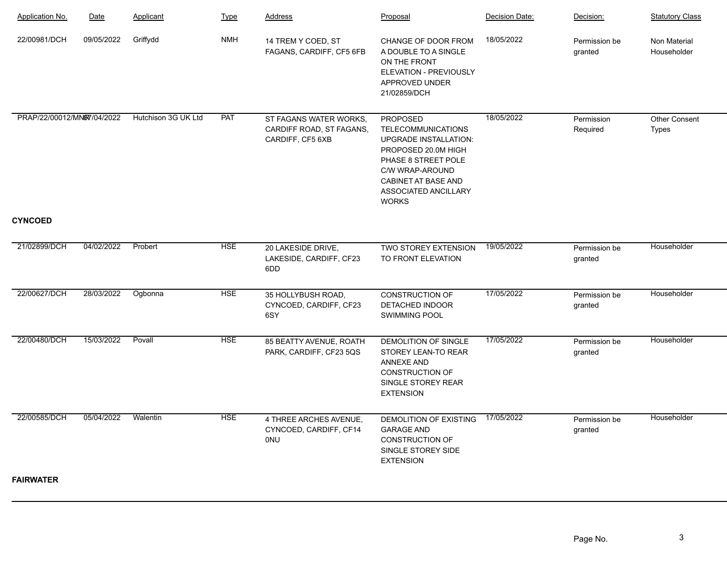| Application No.            | Date       | Applicant           | <b>Type</b> | Address                                                                | Proposal                                                                                                                                                                                                            | Decision Date: | Decision:                | <b>Statutory Class</b>             |
|----------------------------|------------|---------------------|-------------|------------------------------------------------------------------------|---------------------------------------------------------------------------------------------------------------------------------------------------------------------------------------------------------------------|----------------|--------------------------|------------------------------------|
| 22/00981/DCH               | 09/05/2022 | Griffydd            | <b>NMH</b>  | 14 TREM Y COED, ST<br>FAGANS, CARDIFF, CF5 6FB                         | CHANGE OF DOOR FROM<br>A DOUBLE TO A SINGLE<br>ON THE FRONT<br>ELEVATION - PREVIOUSLY<br>APPROVED UNDER<br>21/02859/DCH                                                                                             | 18/05/2022     | Permission be<br>granted | <b>Non Material</b><br>Householder |
| PRAP/22/00012/MNW7/04/2022 |            | Hutchison 3G UK Ltd | PAT         | ST FAGANS WATER WORKS,<br>CARDIFF ROAD, ST FAGANS,<br>CARDIFF, CF5 6XB | <b>PROPOSED</b><br><b>TELECOMMUNICATIONS</b><br><b>UPGRADE INSTALLATION:</b><br>PROPOSED 20.0M HIGH<br>PHASE 8 STREET POLE<br>C/W WRAP-AROUND<br><b>CABINET AT BASE AND</b><br>ASSOCIATED ANCILLARY<br><b>WORKS</b> | 18/05/2022     | Permission<br>Required   | Other Consent<br><b>Types</b>      |
| <b>CYNCOED</b>             |            |                     |             |                                                                        |                                                                                                                                                                                                                     |                |                          |                                    |
| 21/02899/DCH               | 04/02/2022 | Probert             | <b>HSE</b>  | 20 LAKESIDE DRIVE,<br>LAKESIDE, CARDIFF, CF23<br>6DD                   | TWO STOREY EXTENSION<br>TO FRONT ELEVATION                                                                                                                                                                          | 19/05/2022     | Permission be<br>granted | Householder                        |
| 22/00627/DCH               | 28/03/2022 | Ogbonna             | <b>HSE</b>  | 35 HOLLYBUSH ROAD,<br>CYNCOED, CARDIFF, CF23<br>6SY                    | <b>CONSTRUCTION OF</b><br>DETACHED INDOOR<br>SWIMMING POOL                                                                                                                                                          | 17/05/2022     | Permission be<br>granted | Householder                        |
| 22/00480/DCH               | 15/03/2022 | Povall              | <b>HSE</b>  | 85 BEATTY AVENUE, ROATH<br>PARK, CARDIFF, CF23 5QS                     | DEMOLITION OF SINGLE<br>STOREY LEAN-TO REAR<br><b>ANNEXE AND</b><br><b>CONSTRUCTION OF</b><br>SINGLE STOREY REAR<br><b>EXTENSION</b>                                                                                | 17/05/2022     | Permission be<br>granted | Householder                        |
| 22/00585/DCH               | 05/04/2022 | Walentin            | <b>HSE</b>  | 4 THREE ARCHES AVENUE,<br>CYNCOED, CARDIFF, CF14<br>0NU                | DEMOLITION OF EXISTING<br><b>GARAGE AND</b><br><b>CONSTRUCTION OF</b><br>SINGLE STOREY SIDE<br><b>EXTENSION</b>                                                                                                     | 17/05/2022     | Permission be<br>granted | Householder                        |
| <b>FAIRWATER</b>           |            |                     |             |                                                                        |                                                                                                                                                                                                                     |                |                          |                                    |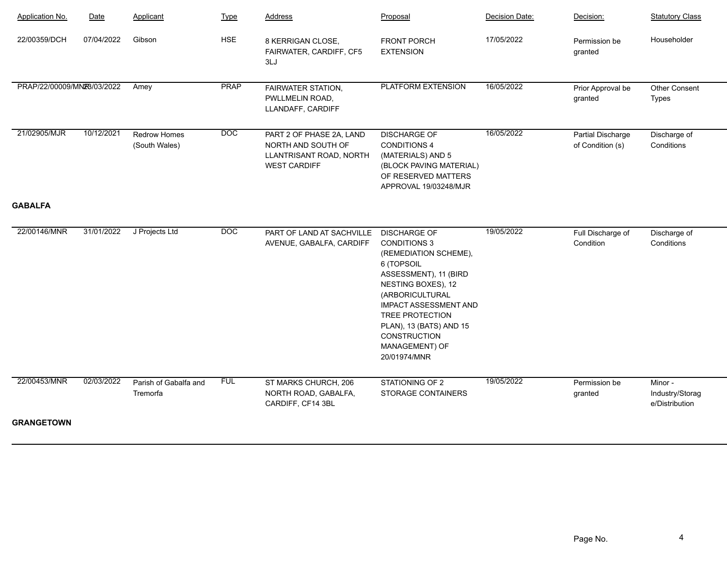| Gibson<br><b>HSE</b><br>07/04/2022<br>17/05/2022<br>Householder<br>22/00359/DCH<br>8 KERRIGAN CLOSE,<br><b>FRONT PORCH</b><br>Permission be<br><b>EXTENSION</b><br>FAIRWATER, CARDIFF, CF5<br>granted<br>3LJ<br><b>PRAP</b><br><b>PLATFORM EXTENSION</b><br>PRAP/22/00009/MN28/03/2022<br>16/05/2022<br>Amey<br>FAIRWATER STATION,<br>Other Consent<br>Prior Approval be<br>PWLLMELIN ROAD,<br><b>Types</b><br>granted<br>LLANDAFF, CARDIFF<br>10/12/2021<br>$\overline{DOC}$<br>16/05/2022<br>21/02905/MJR<br>Redrow Homes<br><b>DISCHARGE OF</b><br>PART 2 OF PHASE 2A, LAND<br>Partial Discharge<br>Discharge of<br>(South Wales)<br><b>CONDITIONS 4</b><br>Conditions<br>NORTH AND SOUTH OF<br>of Condition (s)<br>LLANTRISANT ROAD, NORTH<br>(MATERIALS) AND 5<br><b>WEST CARDIFF</b><br>(BLOCK PAVING MATERIAL)<br>OF RESERVED MATTERS<br>APPROVAL 19/03248/MJR<br><b>GABALFA</b><br>$\overline{DOC}$<br>19/05/2022<br>22/00146/MNR<br>31/01/2022 J Projects Ltd<br>PART OF LAND AT SACHVILLE<br><b>DISCHARGE OF</b><br>Full Discharge of<br>Discharge of<br>Condition<br>Conditions<br>AVENUE, GABALFA, CARDIFF<br><b>CONDITIONS 3</b><br>(REMEDIATION SCHEME),<br>6 (TOPSOIL<br>ASSESSMENT), 11 (BIRD<br>NESTING BOXES), 12<br>(ARBORICULTURAL<br><b>IMPACT ASSESSMENT AND</b><br><b>TREE PROTECTION</b><br>PLAN), 13 (BATS) AND 15<br>CONSTRUCTION<br>MANAGEMENT) OF<br>20/01974/MNR<br><b>FUL</b><br>19/05/2022<br>22/00453/MNR<br>02/03/2022<br>Parish of Gabalfa and<br>ST MARKS CHURCH, 206<br>STATIONING OF 2<br>Permission be<br>Minor -<br>Industry/Storag<br>NORTH ROAD, GABALFA,<br><b>STORAGE CONTAINERS</b><br>Tremorfa<br>granted<br>CARDIFF, CF14 3BL<br>e/Distribution | <b>Application No.</b> | Date | Applicant | <b>Type</b> | <b>Address</b> | Proposal | Decision Date: | Decision: | <b>Statutory Class</b> |
|-----------------------------------------------------------------------------------------------------------------------------------------------------------------------------------------------------------------------------------------------------------------------------------------------------------------------------------------------------------------------------------------------------------------------------------------------------------------------------------------------------------------------------------------------------------------------------------------------------------------------------------------------------------------------------------------------------------------------------------------------------------------------------------------------------------------------------------------------------------------------------------------------------------------------------------------------------------------------------------------------------------------------------------------------------------------------------------------------------------------------------------------------------------------------------------------------------------------------------------------------------------------------------------------------------------------------------------------------------------------------------------------------------------------------------------------------------------------------------------------------------------------------------------------------------------------------------------------------------------------------------------------------------------------------------------------------|------------------------|------|-----------|-------------|----------------|----------|----------------|-----------|------------------------|
|                                                                                                                                                                                                                                                                                                                                                                                                                                                                                                                                                                                                                                                                                                                                                                                                                                                                                                                                                                                                                                                                                                                                                                                                                                                                                                                                                                                                                                                                                                                                                                                                                                                                                               |                        |      |           |             |                |          |                |           |                        |
|                                                                                                                                                                                                                                                                                                                                                                                                                                                                                                                                                                                                                                                                                                                                                                                                                                                                                                                                                                                                                                                                                                                                                                                                                                                                                                                                                                                                                                                                                                                                                                                                                                                                                               |                        |      |           |             |                |          |                |           |                        |
|                                                                                                                                                                                                                                                                                                                                                                                                                                                                                                                                                                                                                                                                                                                                                                                                                                                                                                                                                                                                                                                                                                                                                                                                                                                                                                                                                                                                                                                                                                                                                                                                                                                                                               |                        |      |           |             |                |          |                |           |                        |
|                                                                                                                                                                                                                                                                                                                                                                                                                                                                                                                                                                                                                                                                                                                                                                                                                                                                                                                                                                                                                                                                                                                                                                                                                                                                                                                                                                                                                                                                                                                                                                                                                                                                                               |                        |      |           |             |                |          |                |           |                        |
|                                                                                                                                                                                                                                                                                                                                                                                                                                                                                                                                                                                                                                                                                                                                                                                                                                                                                                                                                                                                                                                                                                                                                                                                                                                                                                                                                                                                                                                                                                                                                                                                                                                                                               |                        |      |           |             |                |          |                |           |                        |
|                                                                                                                                                                                                                                                                                                                                                                                                                                                                                                                                                                                                                                                                                                                                                                                                                                                                                                                                                                                                                                                                                                                                                                                                                                                                                                                                                                                                                                                                                                                                                                                                                                                                                               |                        |      |           |             |                |          |                |           |                        |
|                                                                                                                                                                                                                                                                                                                                                                                                                                                                                                                                                                                                                                                                                                                                                                                                                                                                                                                                                                                                                                                                                                                                                                                                                                                                                                                                                                                                                                                                                                                                                                                                                                                                                               | <b>GRANGETOWN</b>      |      |           |             |                |          |                |           |                        |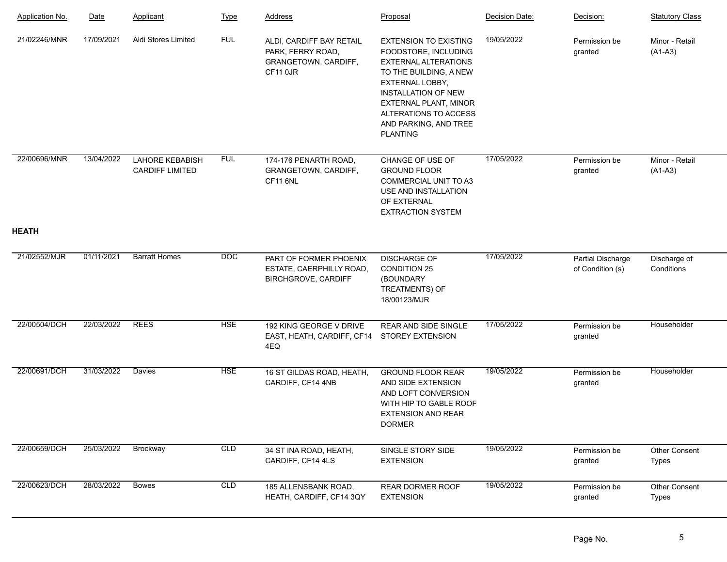| <b>Application No.</b> | Date       | Applicant                                 | <b>Type</b> | <b>Address</b>                                                                    | Proposal                                                                                                                                                                                                                                                            | Decision Date: | Decision:                             | <b>Statutory Class</b>      |
|------------------------|------------|-------------------------------------------|-------------|-----------------------------------------------------------------------------------|---------------------------------------------------------------------------------------------------------------------------------------------------------------------------------------------------------------------------------------------------------------------|----------------|---------------------------------------|-----------------------------|
| 21/02246/MNR           | 17/09/2021 | Aldi Stores Limited                       | <b>FUL</b>  | ALDI, CARDIFF BAY RETAIL<br>PARK, FERRY ROAD,<br>GRANGETOWN, CARDIFF,<br>CF11 0JR | <b>EXTENSION TO EXISTING</b><br>FOODSTORE, INCLUDING<br><b>EXTERNAL ALTERATIONS</b><br>TO THE BUILDING, A NEW<br>EXTERNAL LOBBY,<br><b>INSTALLATION OF NEW</b><br><b>EXTERNAL PLANT, MINOR</b><br>ALTERATIONS TO ACCESS<br>AND PARKING, AND TREE<br><b>PLANTING</b> | 19/05/2022     | Permission be<br>granted              | Minor - Retail<br>$(A1-A3)$ |
| 22/00696/MNR           | 13/04/2022 | LAHORE KEBABISH<br><b>CARDIFF LIMITED</b> | <b>FUL</b>  | 174-176 PENARTH ROAD,<br>GRANGETOWN, CARDIFF,<br><b>CF11 6NL</b>                  | CHANGE OF USE OF<br><b>GROUND FLOOR</b><br><b>COMMERCIAL UNIT TO A3</b><br>USE AND INSTALLATION<br>OF EXTERNAL<br><b>EXTRACTION SYSTEM</b>                                                                                                                          | 17/05/2022     | Permission be<br>granted              | Minor - Retail<br>$(A1-A3)$ |
| <b>HEATH</b>           |            |                                           |             |                                                                                   |                                                                                                                                                                                                                                                                     |                |                                       |                             |
| 21/02552/MJR           | 01/11/2021 | <b>Barratt Homes</b>                      | DOC         | PART OF FORMER PHOENIX<br>ESTATE, CAERPHILLY ROAD,<br><b>BIRCHGROVE, CARDIFF</b>  | <b>DISCHARGE OF</b><br><b>CONDITION 25</b><br>(BOUNDARY<br>TREATMENTS) OF<br>18/00123/MJR                                                                                                                                                                           | 17/05/2022     | Partial Discharge<br>of Condition (s) | Discharge of<br>Conditions  |
| 22/00504/DCH           | 22/03/2022 | <b>REES</b>                               | <b>HSE</b>  | 192 KING GEORGE V DRIVE<br>EAST, HEATH, CARDIFF, CF14<br>4EQ                      | <b>REAR AND SIDE SINGLE</b><br><b>STOREY EXTENSION</b>                                                                                                                                                                                                              | 17/05/2022     | Permission be<br>granted              | Householder                 |
| 22/00691/DCH           | 31/03/2022 | <b>Davies</b>                             | <b>HSE</b>  | 16 ST GILDAS ROAD, HEATH,<br>CARDIFF, CF14 4NB                                    | <b>GROUND FLOOR REAR</b><br>AND SIDE EXTENSION<br>AND LOFT CONVERSION<br>WITH HIP TO GABLE ROOF<br><b>EXTENSION AND REAR</b><br><b>DORMER</b>                                                                                                                       | 19/05/2022     | Permission be<br>granted              | Householder                 |
| 22/00659/DCH           | 25/03/2022 | Brockway                                  | CLD         | 34 ST INA ROAD, HEATH,<br>CARDIFF, CF14 4LS                                       | SINGLE STORY SIDE<br><b>EXTENSION</b>                                                                                                                                                                                                                               | 19/05/2022     | Permission be<br>granted              | Other Consent<br>Types      |
| 22/00623/DCH           | 28/03/2022 | <b>Bowes</b>                              | CLD         | 185 ALLENSBANK ROAD,<br>HEATH, CARDIFF, CF14 3QY                                  | REAR DORMER ROOF<br><b>EXTENSION</b>                                                                                                                                                                                                                                | 19/05/2022     | Permission be<br>granted              | Other Consent<br>Types      |
|                        |            |                                           |             |                                                                                   |                                                                                                                                                                                                                                                                     |                |                                       |                             |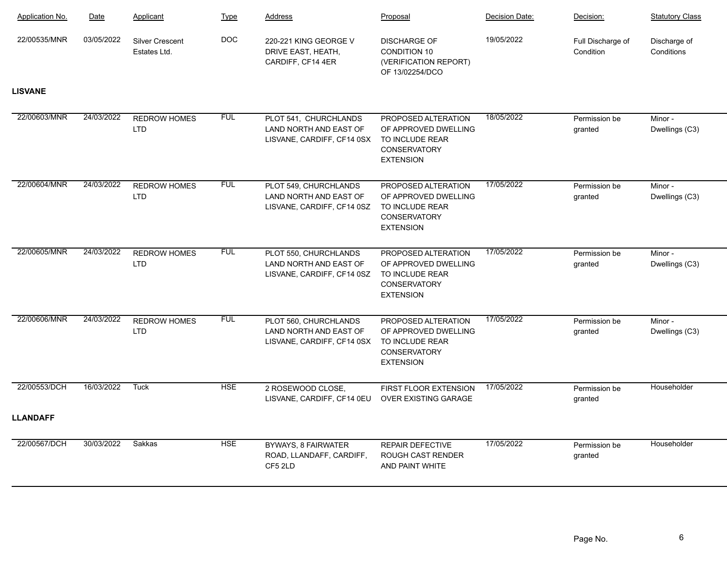| Application No. | Date       | Applicant                              | <b>Type</b> | Address                                                                       | Proposal                                                                                                  | Decision Date: | Decision:                      | <b>Statutory Class</b>     |
|-----------------|------------|----------------------------------------|-------------|-------------------------------------------------------------------------------|-----------------------------------------------------------------------------------------------------------|----------------|--------------------------------|----------------------------|
| 22/00535/MNR    | 03/05/2022 | <b>Silver Crescent</b><br>Estates Ltd. | <b>DOC</b>  | 220-221 KING GEORGE V<br>DRIVE EAST, HEATH,<br>CARDIFF, CF14 4ER              | <b>DISCHARGE OF</b><br><b>CONDITION 10</b><br>(VERIFICATION REPORT)<br>OF 13/02254/DCO                    | 19/05/2022     | Full Discharge of<br>Condition | Discharge of<br>Conditions |
| <b>LISVANE</b>  |            |                                        |             |                                                                               |                                                                                                           |                |                                |                            |
| 22/00603/MNR    | 24/03/2022 | <b>REDROW HOMES</b><br><b>LTD</b>      | <b>FUL</b>  | PLOT 541, CHURCHLANDS<br>LAND NORTH AND EAST OF<br>LISVANE, CARDIFF, CF14 0SX | PROPOSED ALTERATION<br>OF APPROVED DWELLING<br>TO INCLUDE REAR<br><b>CONSERVATORY</b><br><b>EXTENSION</b> | 18/05/2022     | Permission be<br>granted       | Minor -<br>Dwellings (C3)  |
| 22/00604/MNR    | 24/03/2022 | <b>REDROW HOMES</b><br><b>LTD</b>      | <b>FUL</b>  | PLOT 549, CHURCHLANDS<br>LAND NORTH AND EAST OF<br>LISVANE, CARDIFF, CF14 0SZ | PROPOSED ALTERATION<br>OF APPROVED DWELLING<br>TO INCLUDE REAR<br>CONSERVATORY<br><b>EXTENSION</b>        | 17/05/2022     | Permission be<br>granted       | Minor -<br>Dwellings (C3)  |
| 22/00605/MNR    | 24/03/2022 | <b>REDROW HOMES</b><br><b>LTD</b>      | <b>FUL</b>  | PLOT 550, CHURCHLANDS<br>LAND NORTH AND EAST OF<br>LISVANE, CARDIFF, CF14 0SZ | PROPOSED ALTERATION<br>OF APPROVED DWELLING<br>TO INCLUDE REAR<br>CONSERVATORY<br><b>EXTENSION</b>        | 17/05/2022     | Permission be<br>granted       | Minor -<br>Dwellings (C3)  |
| 22/00606/MNR    | 24/03/2022 | <b>REDROW HOMES</b><br><b>LTD</b>      | <b>FUL</b>  | PLOT 560, CHURCHLANDS<br>LAND NORTH AND EAST OF<br>LISVANE, CARDIFF, CF14 0SX | PROPOSED ALTERATION<br>OF APPROVED DWELLING<br>TO INCLUDE REAR<br>CONSERVATORY<br><b>EXTENSION</b>        | 17/05/2022     | Permission be<br>granted       | Minor -<br>Dwellings (C3)  |
| 22/00553/DCH    | 16/03/2022 | <b>Tuck</b>                            | <b>HSE</b>  | 2 ROSEWOOD CLOSE,<br>LISVANE, CARDIFF, CF14 0EU                               | FIRST FLOOR EXTENSION<br>OVER EXISTING GARAGE                                                             | 17/05/2022     | Permission be<br>granted       | Householder                |
| <b>LLANDAFF</b> |            |                                        |             |                                                                               |                                                                                                           |                |                                |                            |
| 22/00567/DCH    | 30/03/2022 | Sakkas                                 | <b>HSE</b>  | <b>BYWAYS, 8 FAIRWATER</b><br>ROAD, LLANDAFF, CARDIFF,<br>CF5 2LD             | <b>REPAIR DEFECTIVE</b><br><b>ROUGH CAST RENDER</b><br>AND PAINT WHITE                                    | 17/05/2022     | Permission be<br>granted       | Householder                |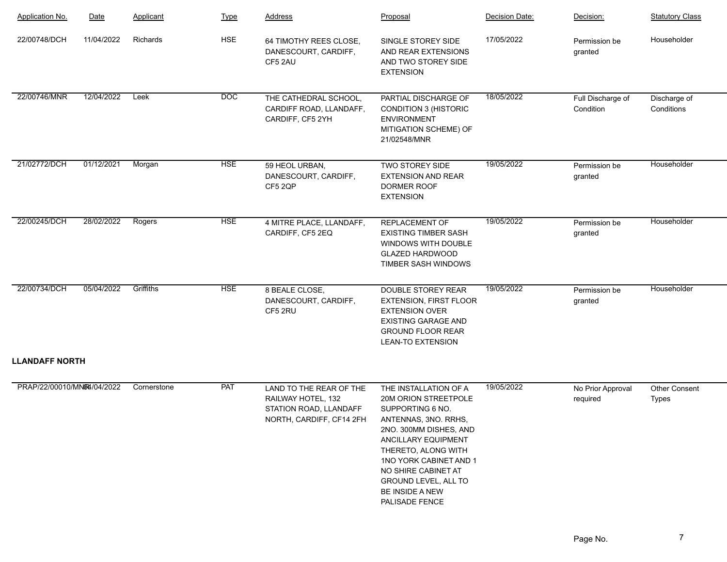| <b>Application No.</b>     | Date       | Applicant   | <b>Type</b> | <b>Address</b>                                                                                      | Proposal                                                                                                                                                                                                                                                                        | Decision Date: | Decision:                      | <b>Statutory Class</b>     |
|----------------------------|------------|-------------|-------------|-----------------------------------------------------------------------------------------------------|---------------------------------------------------------------------------------------------------------------------------------------------------------------------------------------------------------------------------------------------------------------------------------|----------------|--------------------------------|----------------------------|
| 22/00748/DCH               | 11/04/2022 | Richards    | <b>HSE</b>  | 64 TIMOTHY REES CLOSE,<br>DANESCOURT, CARDIFF,<br>CF5 2AU                                           | SINGLE STOREY SIDE<br>AND REAR EXTENSIONS<br>AND TWO STOREY SIDE<br><b>EXTENSION</b>                                                                                                                                                                                            | 17/05/2022     | Permission be<br>granted       | Householder                |
| 22/00746/MNR               | 12/04/2022 | Leek        | <b>DOC</b>  | THE CATHEDRAL SCHOOL,<br>CARDIFF ROAD, LLANDAFF,<br>CARDIFF, CF5 2YH                                | PARTIAL DISCHARGE OF<br><b>CONDITION 3 (HISTORIC</b><br><b>ENVIRONMENT</b><br>MITIGATION SCHEME) OF<br>21/02548/MNR                                                                                                                                                             | 18/05/2022     | Full Discharge of<br>Condition | Discharge of<br>Conditions |
| 21/02772/DCH               | 01/12/2021 | Morgan      | <b>HSE</b>  | 59 HEOL URBAN,<br>DANESCOURT, CARDIFF,<br>CF5 2QP                                                   | TWO STOREY SIDE<br><b>EXTENSION AND REAR</b><br>DORMER ROOF<br><b>EXTENSION</b>                                                                                                                                                                                                 | 19/05/2022     | Permission be<br>granted       | Householder                |
| 22/00245/DCH               | 28/02/2022 | Rogers      | <b>HSE</b>  | 4 MITRE PLACE, LLANDAFF,<br>CARDIFF, CF5 2EQ                                                        | <b>REPLACEMENT OF</b><br><b>EXISTING TIMBER SASH</b><br>WINDOWS WITH DOUBLE<br><b>GLAZED HARDWOOD</b><br>TIMBER SASH WINDOWS                                                                                                                                                    | 19/05/2022     | Permission be<br>granted       | Householder                |
| 22/00734/DCH               | 05/04/2022 | Griffiths   | <b>HSE</b>  | 8 BEALE CLOSE,<br>DANESCOURT, CARDIFF,<br>CF5 2RU                                                   | <b>DOUBLE STOREY REAR</b><br><b>EXTENSION, FIRST FLOOR</b><br><b>EXTENSION OVER</b><br><b>EXISTING GARAGE AND</b><br><b>GROUND FLOOR REAR</b><br><b>LEAN-TO EXTENSION</b>                                                                                                       | 19/05/2022     | Permission be<br>granted       | Householder                |
| <b>LLANDAFF NORTH</b>      |            |             |             |                                                                                                     |                                                                                                                                                                                                                                                                                 |                |                                |                            |
| PRAP/22/00010/MNR4/04/2022 |            | Cornerstone | PAT         | LAND TO THE REAR OF THE<br>RAILWAY HOTEL, 132<br>STATION ROAD, LLANDAFF<br>NORTH, CARDIFF, CF14 2FH | THE INSTALLATION OF A<br>20M ORION STREETPOLE<br>SUPPORTING 6 NO.<br>ANTENNAS, 3NO. RRHS,<br>2NO. 300MM DISHES, AND<br>ANCILLARY EQUIPMENT<br>THERETO, ALONG WITH<br>1NO YORK CABINET AND 1<br>NO SHIRE CABINET AT<br>GROUND LEVEL, ALL TO<br>BE INSIDE A NEW<br>PALISADE FENCE | 19/05/2022     | No Prior Approval<br>required  | Other Consent<br>Types     |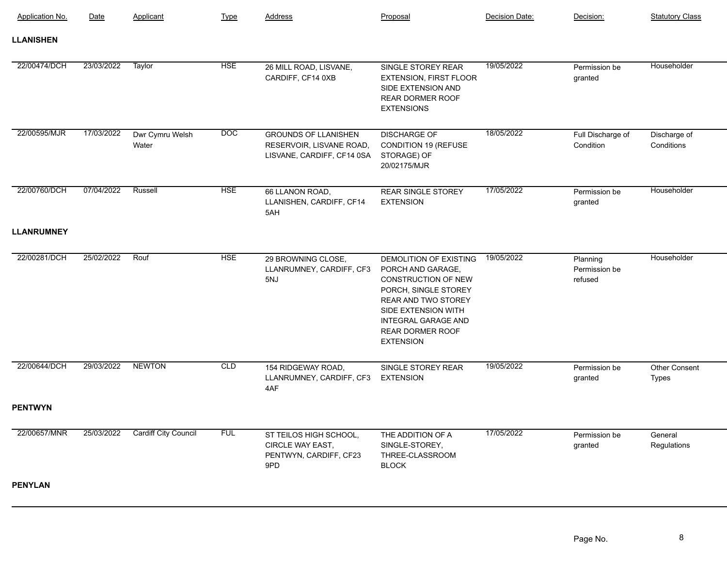| <b>Application No.</b> | Date       | Applicant                   | <b>Type</b> | Address                                                                               | Proposal                                                                                                                                                                                                              | Decision Date: | Decision:                            | <b>Statutory Class</b>     |
|------------------------|------------|-----------------------------|-------------|---------------------------------------------------------------------------------------|-----------------------------------------------------------------------------------------------------------------------------------------------------------------------------------------------------------------------|----------------|--------------------------------------|----------------------------|
| <b>LLANISHEN</b>       |            |                             |             |                                                                                       |                                                                                                                                                                                                                       |                |                                      |                            |
| 22/00474/DCH           | 23/03/2022 | Taylor                      | <b>HSE</b>  | 26 MILL ROAD, LISVANE,<br>CARDIFF, CF14 0XB                                           | SINGLE STOREY REAR<br>EXTENSION, FIRST FLOOR<br>SIDE EXTENSION AND<br><b>REAR DORMER ROOF</b><br><b>EXTENSIONS</b>                                                                                                    | 19/05/2022     | Permission be<br>granted             | Householder                |
| 22/00595/MJR           | 17/03/2022 | Dwr Cymru Welsh<br>Water    | DOC         | <b>GROUNDS OF LLANISHEN</b><br>RESERVOIR, LISVANE ROAD,<br>LISVANE, CARDIFF, CF14 0SA | <b>DISCHARGE OF</b><br>CONDITION 19 (REFUSE<br>STORAGE) OF<br>20/02175/MJR                                                                                                                                            | 18/05/2022     | Full Discharge of<br>Condition       | Discharge of<br>Conditions |
| 22/00760/DCH           | 07/04/2022 | Russell                     | <b>HSE</b>  | 66 LLANON ROAD,<br>LLANISHEN, CARDIFF, CF14<br>5AH                                    | <b>REAR SINGLE STOREY</b><br><b>EXTENSION</b>                                                                                                                                                                         | 17/05/2022     | Permission be<br>granted             | Householder                |
| <b>LLANRUMNEY</b>      |            |                             |             |                                                                                       |                                                                                                                                                                                                                       |                |                                      |                            |
| 22/00281/DCH           | 25/02/2022 | Rouf                        | <b>HSE</b>  | 29 BROWNING CLOSE,<br>LLANRUMNEY, CARDIFF, CF3<br>5NJ                                 | DEMOLITION OF EXISTING<br>PORCH AND GARAGE,<br>CONSTRUCTION OF NEW<br>PORCH, SINGLE STOREY<br>REAR AND TWO STOREY<br>SIDE EXTENSION WITH<br><b>INTEGRAL GARAGE AND</b><br><b>REAR DORMER ROOF</b><br><b>EXTENSION</b> | 19/05/2022     | Planning<br>Permission be<br>refused | Householder                |
| 22/00644/DCH           | 29/03/2022 | <b>NEWTON</b>               | CLD         | 154 RIDGEWAY ROAD,<br>LLANRUMNEY, CARDIFF, CF3<br>4AF                                 | SINGLE STOREY REAR<br><b>EXTENSION</b>                                                                                                                                                                                | 19/05/2022     | Permission be<br>granted             | Other Consent<br>Types     |
| <b>PENTWYN</b>         |            |                             |             |                                                                                       |                                                                                                                                                                                                                       |                |                                      |                            |
| 22/00657/MNR           | 25/03/2022 | <b>Cardiff City Council</b> | <b>FUL</b>  | ST TEILOS HIGH SCHOOL,<br>CIRCLE WAY EAST,<br>PENTWYN, CARDIFF, CF23<br>9PD           | THE ADDITION OF A<br>SINGLE-STOREY,<br>THREE-CLASSROOM<br><b>BLOCK</b>                                                                                                                                                | 17/05/2022     | Permission be<br>granted             | General<br>Regulations     |
| <b>PENYLAN</b>         |            |                             |             |                                                                                       |                                                                                                                                                                                                                       |                |                                      |                            |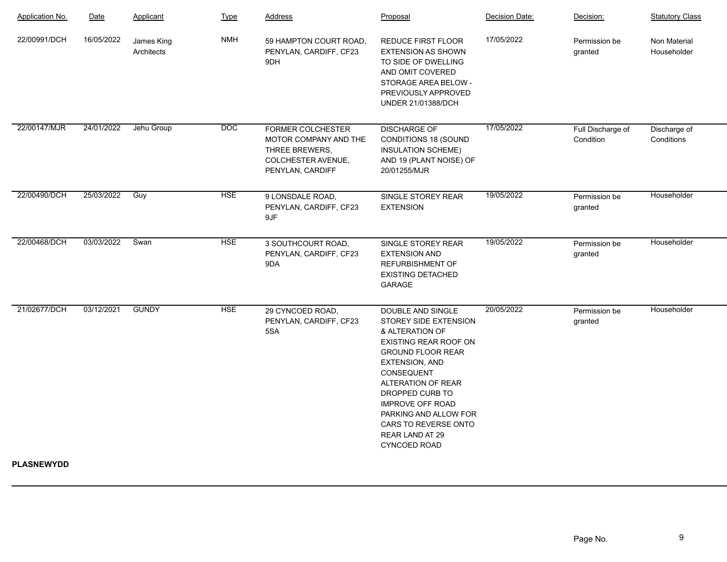| Application No.   | Date       | Applicant                | <b>Type</b>      | Address                                                                                                | Proposal                                                                                                                                                                                                                                                                                                                               | Decision Date: | Decision:                      | <b>Statutory Class</b>      |
|-------------------|------------|--------------------------|------------------|--------------------------------------------------------------------------------------------------------|----------------------------------------------------------------------------------------------------------------------------------------------------------------------------------------------------------------------------------------------------------------------------------------------------------------------------------------|----------------|--------------------------------|-----------------------------|
| 22/00991/DCH      | 16/05/2022 | James King<br>Architects | <b>NMH</b>       | 59 HAMPTON COURT ROAD,<br>PENYLAN, CARDIFF, CF23<br>9DH                                                | <b>REDUCE FIRST FLOOR</b><br><b>EXTENSION AS SHOWN</b><br>TO SIDE OF DWELLING<br>AND OMIT COVERED<br>STORAGE AREA BELOW -<br>PREVIOUSLY APPROVED<br>UNDER 21/01388/DCH                                                                                                                                                                 | 17/05/2022     | Permission be<br>granted       | Non Material<br>Householder |
| 22/00147/MJR      | 24/01/2022 | Jehu Group               | $\overline{DOC}$ | FORMER COLCHESTER<br>MOTOR COMPANY AND THE<br>THREE BREWERS,<br>COLCHESTER AVENUE,<br>PENYLAN, CARDIFF | <b>DISCHARGE OF</b><br><b>CONDITIONS 18 (SOUND</b><br>INSULATION SCHEME)<br>AND 19 (PLANT NOISE) OF<br>20/01255/MJR                                                                                                                                                                                                                    | 17/05/2022     | Full Discharge of<br>Condition | Discharge of<br>Conditions  |
| 22/00490/DCH      | 25/03/2022 | Guy                      | <b>HSE</b>       | 9 LONSDALE ROAD,<br>PENYLAN, CARDIFF, CF23<br>9JF                                                      | SINGLE STOREY REAR<br><b>EXTENSION</b>                                                                                                                                                                                                                                                                                                 | 19/05/2022     | Permission be<br>granted       | Householder                 |
| 22/00468/DCH      | 03/03/2022 | Swan                     | <b>HSE</b>       | 3 SOUTHCOURT ROAD,<br>PENYLAN, CARDIFF, CF23<br>9DA                                                    | SINGLE STOREY REAR<br><b>EXTENSION AND</b><br><b>REFURBISHMENT OF</b><br><b>EXISTING DETACHED</b><br><b>GARAGE</b>                                                                                                                                                                                                                     | 19/05/2022     | Permission be<br>granted       | Householder                 |
| 21/02677/DCH      | 03/12/2021 | <b>GUNDY</b>             | <b>HSE</b>       | 29 CYNCOED ROAD,<br>PENYLAN, CARDIFF, CF23<br>5SA                                                      | <b>DOUBLE AND SINGLE</b><br>STOREY SIDE EXTENSION<br>& ALTERATION OF<br>EXISTING REAR ROOF ON<br><b>GROUND FLOOR REAR</b><br><b>EXTENSION, AND</b><br>CONSEQUENT<br><b>ALTERATION OF REAR</b><br>DROPPED CURB TO<br><b>IMPROVE OFF ROAD</b><br>PARKING AND ALLOW FOR<br>CARS TO REVERSE ONTO<br>REAR LAND AT 29<br><b>CYNCOED ROAD</b> | 20/05/2022     | Permission be<br>granted       | Householder                 |
| <b>PLASNEWYDD</b> |            |                          |                  |                                                                                                        |                                                                                                                                                                                                                                                                                                                                        |                |                                |                             |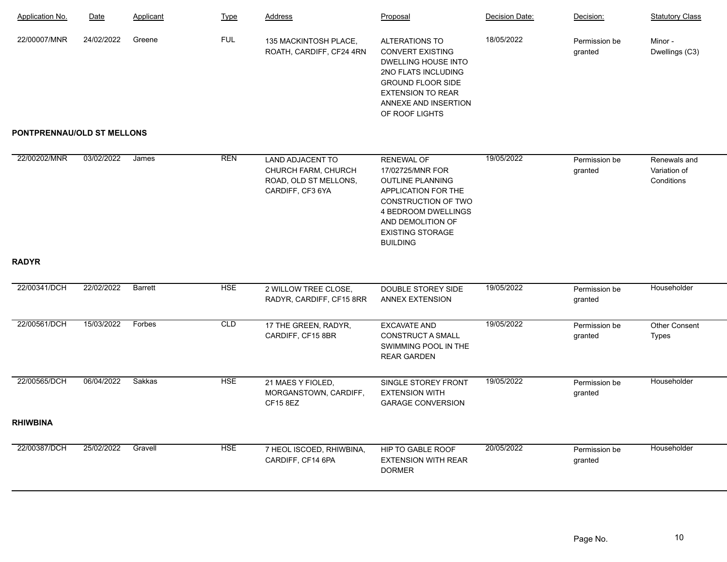| <b>Application No.</b>     | Date       | Applicant | <b>Type</b> | <b>Address</b>                                                                              | Proposal                                                                                                                                                                                                 | Decision Date: | Decision:                | <b>Statutory Class</b>                     |
|----------------------------|------------|-----------|-------------|---------------------------------------------------------------------------------------------|----------------------------------------------------------------------------------------------------------------------------------------------------------------------------------------------------------|----------------|--------------------------|--------------------------------------------|
| 22/00007/MNR               | 24/02/2022 | Greene    | <b>FUL</b>  | 135 MACKINTOSH PLACE,<br>ROATH, CARDIFF, CF24 4RN                                           | <b>ALTERATIONS TO</b><br><b>CONVERT EXISTING</b><br><b>DWELLING HOUSE INTO</b><br>2NO FLATS INCLUDING<br><b>GROUND FLOOR SIDE</b><br><b>EXTENSION TO REAR</b><br>ANNEXE AND INSERTION<br>OF ROOF LIGHTS  | 18/05/2022     | Permission be<br>granted | Minor -<br>Dwellings (C3)                  |
| PONTPRENNAU/OLD ST MELLONS |            |           |             |                                                                                             |                                                                                                                                                                                                          |                |                          |                                            |
| 22/00202/MNR               | 03/02/2022 | James     | <b>REN</b>  | <b>LAND ADJACENT TO</b><br>CHURCH FARM, CHURCH<br>ROAD, OLD ST MELLONS,<br>CARDIFF, CF3 6YA | <b>RENEWAL OF</b><br>17/02725/MNR FOR<br><b>OUTLINE PLANNING</b><br>APPLICATION FOR THE<br>CONSTRUCTION OF TWO<br>4 BEDROOM DWELLINGS<br>AND DEMOLITION OF<br><b>EXISTING STORAGE</b><br><b>BUILDING</b> | 19/05/2022     | Permission be<br>granted | Renewals and<br>Variation of<br>Conditions |
| <b>RADYR</b>               |            |           |             |                                                                                             |                                                                                                                                                                                                          |                |                          |                                            |
| 22/00341/DCH               | 22/02/2022 | Barrett   | <b>HSE</b>  | 2 WILLOW TREE CLOSE,<br>RADYR, CARDIFF, CF15 8RR                                            | DOUBLE STOREY SIDE<br>ANNEX EXTENSION                                                                                                                                                                    | 19/05/2022     | Permission be<br>granted | Householder                                |
| 22/00561/DCH               | 15/03/2022 | Forbes    | CLD         | 17 THE GREEN, RADYR,<br>CARDIFF, CF15 8BR                                                   | <b>EXCAVATE AND</b><br><b>CONSTRUCT A SMALL</b><br>SWIMMING POOL IN THE<br><b>REAR GARDEN</b>                                                                                                            | 19/05/2022     | Permission be<br>granted | <b>Other Consent</b><br><b>Types</b>       |
| 22/00565/DCH               | 06/04/2022 | Sakkas    | <b>HSE</b>  | 21 MAES Y FIOLED,<br>MORGANSTOWN, CARDIFF,<br><b>CF15 8EZ</b>                               | SINGLE STOREY FRONT<br><b>EXTENSION WITH</b><br><b>GARAGE CONVERSION</b>                                                                                                                                 | 19/05/2022     | Permission be<br>granted | Householder                                |
| <b>RHIWBINA</b>            |            |           |             |                                                                                             |                                                                                                                                                                                                          |                |                          |                                            |
| 22/00387/DCH               | 25/02/2022 | Gravell   | <b>HSE</b>  | 7 HEOL ISCOED, RHIWBINA,<br>CARDIFF, CF14 6PA                                               | HIP TO GABLE ROOF<br><b>EXTENSION WITH REAR</b><br><b>DORMER</b>                                                                                                                                         | 20/05/2022     | Permission be<br>granted | Householder                                |
|                            |            |           |             |                                                                                             |                                                                                                                                                                                                          |                |                          |                                            |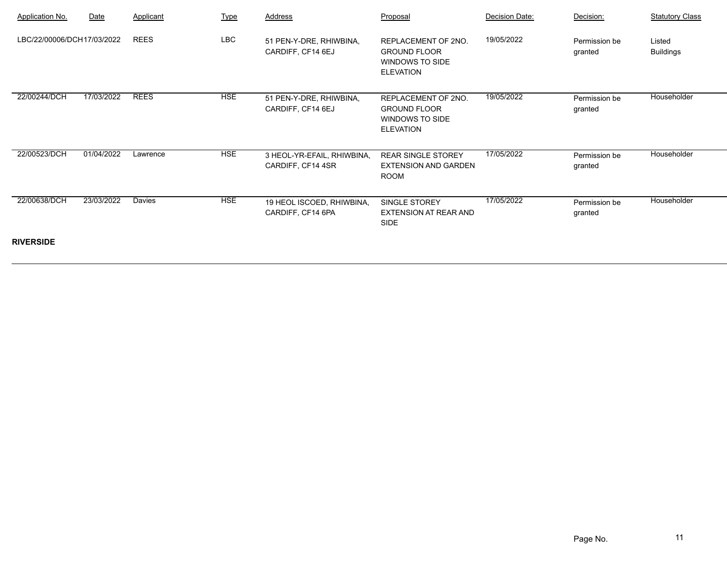| <b>Application No.</b>     | Date       | Applicant   | <b>Type</b> | Address                                         | Proposal                                                                          | Decision Date: | Decision:                | <b>Statutory Class</b>     |
|----------------------------|------------|-------------|-------------|-------------------------------------------------|-----------------------------------------------------------------------------------|----------------|--------------------------|----------------------------|
| LBC/22/00006/DCH17/03/2022 |            | <b>REES</b> | LBC         | 51 PEN-Y-DRE, RHIWBINA,<br>CARDIFF, CF14 6EJ    | REPLACEMENT OF 2NO.<br><b>GROUND FLOOR</b><br>WINDOWS TO SIDE<br><b>ELEVATION</b> | 19/05/2022     | Permission be<br>granted | Listed<br><b>Buildings</b> |
| 22/00244/DCH               | 17/03/2022 | <b>REES</b> | <b>HSE</b>  | 51 PEN-Y-DRE, RHIWBINA,<br>CARDIFF, CF14 6EJ    | REPLACEMENT OF 2NO.<br><b>GROUND FLOOR</b><br>WINDOWS TO SIDE<br><b>ELEVATION</b> | 19/05/2022     | Permission be<br>granted | Householder                |
| 22/00523/DCH               | 01/04/2022 | Lawrence    | <b>HSE</b>  | 3 HEOL-YR-EFAIL, RHIWBINA,<br>CARDIFF, CF14 4SR | <b>REAR SINGLE STOREY</b><br><b>EXTENSION AND GARDEN</b><br>ROOM                  | 17/05/2022     | Permission be<br>granted | Householder                |
| 22/00638/DCH               | 23/03/2022 | Davies      | <b>HSE</b>  | 19 HEOL ISCOED, RHIWBINA,<br>CARDIFF, CF14 6PA  | SINGLE STOREY<br><b>EXTENSION AT REAR AND</b><br><b>SIDE</b>                      | 17/05/2022     | Permission be<br>granted | Householder                |
| <b>RIVERSIDE</b>           |            |             |             |                                                 |                                                                                   |                |                          |                            |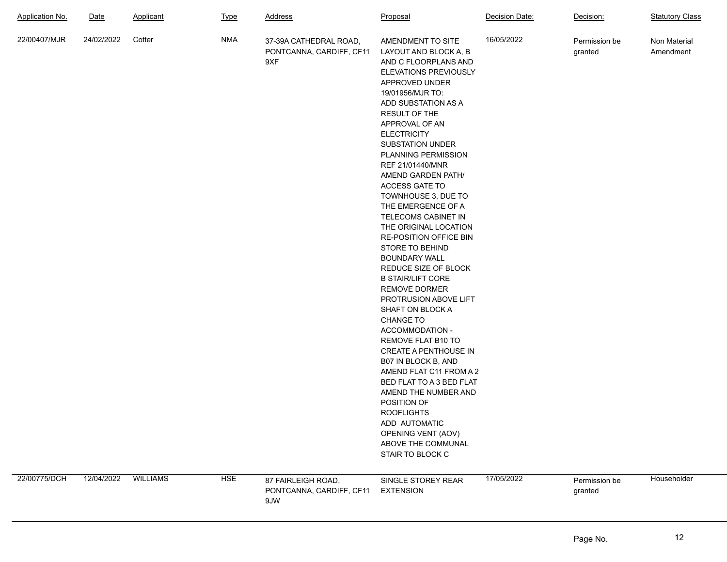| <b>Application No.</b> | <u>Date</u>          | Applicant | <b>Type</b> | <b>Address</b>                                            | Proposal                                                                                                                                                                                                                                                                                                                                                                                                                                                                                                                                                                                                                                                                                                                                                                                                                                                                                                                                                         | Decision Date: | Decision:                | <b>Statutory Class</b>    |
|------------------------|----------------------|-----------|-------------|-----------------------------------------------------------|------------------------------------------------------------------------------------------------------------------------------------------------------------------------------------------------------------------------------------------------------------------------------------------------------------------------------------------------------------------------------------------------------------------------------------------------------------------------------------------------------------------------------------------------------------------------------------------------------------------------------------------------------------------------------------------------------------------------------------------------------------------------------------------------------------------------------------------------------------------------------------------------------------------------------------------------------------------|----------------|--------------------------|---------------------------|
| 22/00407/MJR           | 24/02/2022           | Cotter    | <b>NMA</b>  | 37-39A CATHEDRAL ROAD,<br>PONTCANNA, CARDIFF, CF11<br>9XF | AMENDMENT TO SITE<br>LAYOUT AND BLOCK A, B<br>AND C FLOORPLANS AND<br>ELEVATIONS PREVIOUSLY<br>APPROVED UNDER<br>19/01956/MJR TO:<br>ADD SUBSTATION AS A<br><b>RESULT OF THE</b><br>APPROVAL OF AN<br><b>ELECTRICITY</b><br><b>SUBSTATION UNDER</b><br>PLANNING PERMISSION<br>REF 21/01440/MNR<br>AMEND GARDEN PATH/<br><b>ACCESS GATE TO</b><br>TOWNHOUSE 3, DUE TO<br>THE EMERGENCE OF A<br>TELECOMS CABINET IN<br>THE ORIGINAL LOCATION<br>RE-POSITION OFFICE BIN<br><b>STORE TO BEHIND</b><br><b>BOUNDARY WALL</b><br>REDUCE SIZE OF BLOCK<br><b>B STAIR/LIFT CORE</b><br><b>REMOVE DORMER</b><br>PROTRUSION ABOVE LIFT<br>SHAFT ON BLOCK A<br><b>CHANGE TO</b><br>ACCOMMODATION -<br>REMOVE FLAT B10 TO<br>CREATE A PENTHOUSE IN<br>B07 IN BLOCK B, AND<br>AMEND FLAT C11 FROM A 2<br>BED FLAT TO A 3 BED FLAT<br>AMEND THE NUMBER AND<br>POSITION OF<br><b>ROOFLIGHTS</b><br>ADD AUTOMATIC<br>OPENING VENT (AOV)<br>ABOVE THE COMMUNAL<br>STAIR TO BLOCK C | 16/05/2022     | Permission be<br>granted | Non Material<br>Amendment |
| 22/00775/DCH           | 12/04/2022  WILLIAMS |           | <b>HSE</b>  | 87 FAIRLEIGH ROAD,<br>PONTCANNA, CARDIFF, CF11<br>9JW     | SINGLE STOREY REAR<br><b>EXTENSION</b>                                                                                                                                                                                                                                                                                                                                                                                                                                                                                                                                                                                                                                                                                                                                                                                                                                                                                                                           | 17/05/2022     | Permission be<br>granted | Householder               |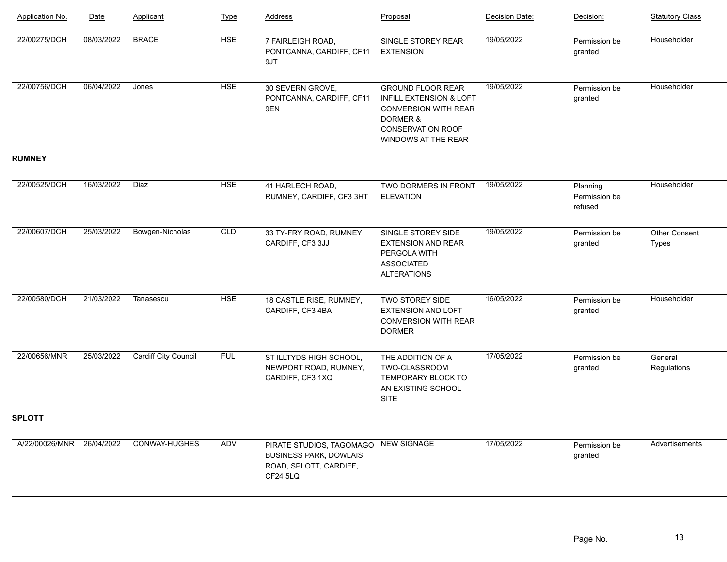| Application No.           | Date       | Applicant                   | <b>Type</b> | <b>Address</b>                                                                                                     | Proposal                                                                                                                                          | Decision Date: | Decision:                            | <b>Statutory Class</b>        |
|---------------------------|------------|-----------------------------|-------------|--------------------------------------------------------------------------------------------------------------------|---------------------------------------------------------------------------------------------------------------------------------------------------|----------------|--------------------------------------|-------------------------------|
| 22/00275/DCH              | 08/03/2022 | <b>BRACE</b>                | <b>HSE</b>  | 7 FAIRLEIGH ROAD,<br>PONTCANNA, CARDIFF, CF11<br>9JT                                                               | SINGLE STOREY REAR<br><b>EXTENSION</b>                                                                                                            | 19/05/2022     | Permission be<br>granted             | Householder                   |
| 22/00756/DCH              | 06/04/2022 | Jones                       | <b>HSE</b>  | 30 SEVERN GROVE,<br>PONTCANNA, CARDIFF, CF11<br>9EN                                                                | <b>GROUND FLOOR REAR</b><br>INFILL EXTENSION & LOFT<br><b>CONVERSION WITH REAR</b><br>DORMER &<br><b>CONSERVATION ROOF</b><br>WINDOWS AT THE REAR | 19/05/2022     | Permission be<br>granted             | Householder                   |
| <b>RUMNEY</b>             |            |                             |             |                                                                                                                    |                                                                                                                                                   |                |                                      |                               |
| 22/00525/DCH              | 16/03/2022 | <b>Diaz</b>                 | <b>HSE</b>  | 41 HARLECH ROAD,<br>RUMNEY, CARDIFF, CF3 3HT                                                                       | TWO DORMERS IN FRONT<br><b>ELEVATION</b>                                                                                                          | 19/05/2022     | Planning<br>Permission be<br>refused | Householder                   |
| 22/00607/DCH              | 25/03/2022 | Bowgen-Nicholas             | CLD         | 33 TY-FRY ROAD, RUMNEY,<br>CARDIFF, CF3 3JJ                                                                        | SINGLE STOREY SIDE<br><b>EXTENSION AND REAR</b><br>PERGOLA WITH<br><b>ASSOCIATED</b><br><b>ALTERATIONS</b>                                        | 19/05/2022     | Permission be<br>granted             | <b>Other Consent</b><br>Types |
| 22/00580/DCH              | 21/03/2022 | Tanasescu                   | <b>HSE</b>  | 18 CASTLE RISE, RUMNEY,<br>CARDIFF, CF3 4BA                                                                        | TWO STOREY SIDE<br><b>EXTENSION AND LOFT</b><br><b>CONVERSION WITH REAR</b><br><b>DORMER</b>                                                      | 16/05/2022     | Permission be<br>granted             | Householder                   |
| 22/00656/MNR              | 25/03/2022 | <b>Cardiff City Council</b> | <b>FUL</b>  | ST ILLTYDS HIGH SCHOOL,<br>NEWPORT ROAD, RUMNEY,<br>CARDIFF, CF3 1XQ                                               | THE ADDITION OF A<br>TWO-CLASSROOM<br>TEMPORARY BLOCK TO<br>AN EXISTING SCHOOL<br><b>SITE</b>                                                     | 17/05/2022     | Permission be<br>granted             | General<br>Regulations        |
| <b>SPLOTT</b>             |            |                             |             |                                                                                                                    |                                                                                                                                                   |                |                                      |                               |
| A/22/00026/MNR 26/04/2022 |            | <b>CONWAY-HUGHES</b>        | ADV         | PIRATE STUDIOS, TAGOMAGO NEW SIGNAGE<br><b>BUSINESS PARK, DOWLAIS</b><br>ROAD, SPLOTT, CARDIFF,<br><b>CF24 5LQ</b> |                                                                                                                                                   | 17/05/2022     | Permission be<br>granted             | Advertisements                |
|                           |            |                             |             |                                                                                                                    |                                                                                                                                                   |                |                                      |                               |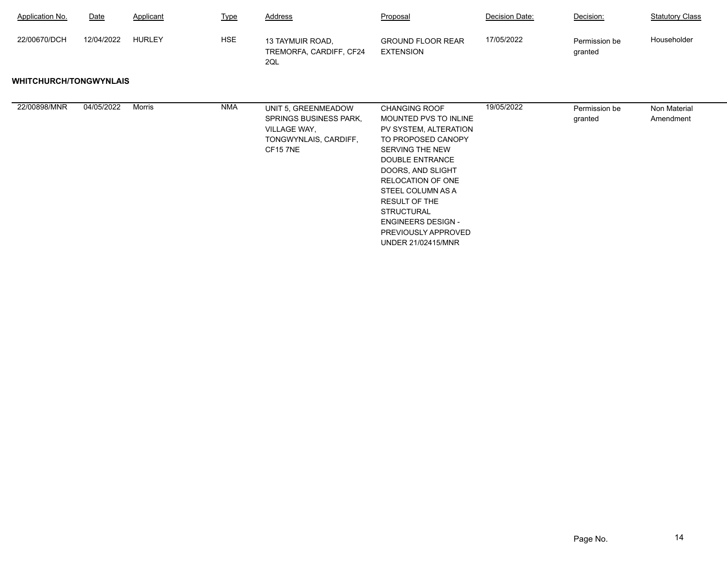| <b>Application No.</b>        | Date       | Applicant     | <b>Type</b> | Address                                                                                                  | Proposal                                                                                                                                                                                                                                                                                                                        | Decision Date: | Decision:                | <b>Statutory Class</b>    |
|-------------------------------|------------|---------------|-------------|----------------------------------------------------------------------------------------------------------|---------------------------------------------------------------------------------------------------------------------------------------------------------------------------------------------------------------------------------------------------------------------------------------------------------------------------------|----------------|--------------------------|---------------------------|
| 22/00670/DCH                  | 12/04/2022 | <b>HURLEY</b> | <b>HSE</b>  | 13 TAYMUIR ROAD,<br>TREMORFA, CARDIFF, CF24<br>2QL                                                       | <b>GROUND FLOOR REAR</b><br><b>EXTENSION</b>                                                                                                                                                                                                                                                                                    | 17/05/2022     | Permission be<br>granted | Householder               |
| <b>WHITCHURCH/TONGWYNLAIS</b> |            |               |             |                                                                                                          |                                                                                                                                                                                                                                                                                                                                 |                |                          |                           |
| 22/00898/MNR                  | 04/05/2022 | Morris        | <b>NMA</b>  | UNIT 5, GREENMEADOW<br><b>SPRINGS BUSINESS PARK,</b><br>VILLAGE WAY,<br>TONGWYNLAIS, CARDIFF,<br>CF157NE | <b>CHANGING ROOF</b><br>MOUNTED PVS TO INLINE<br>PV SYSTEM, ALTERATION<br>TO PROPOSED CANOPY<br>SERVING THE NEW<br>DOUBLE ENTRANCE<br>DOORS, AND SLIGHT<br>RELOCATION OF ONE<br>STEEL COLUMN AS A<br><b>RESULT OF THE</b><br><b>STRUCTURAL</b><br><b>ENGINEERS DESIGN -</b><br>PREVIOUSLY APPROVED<br><b>UNDER 21/02415/MNR</b> | 19/05/2022     | Permission be<br>granted | Non Material<br>Amendment |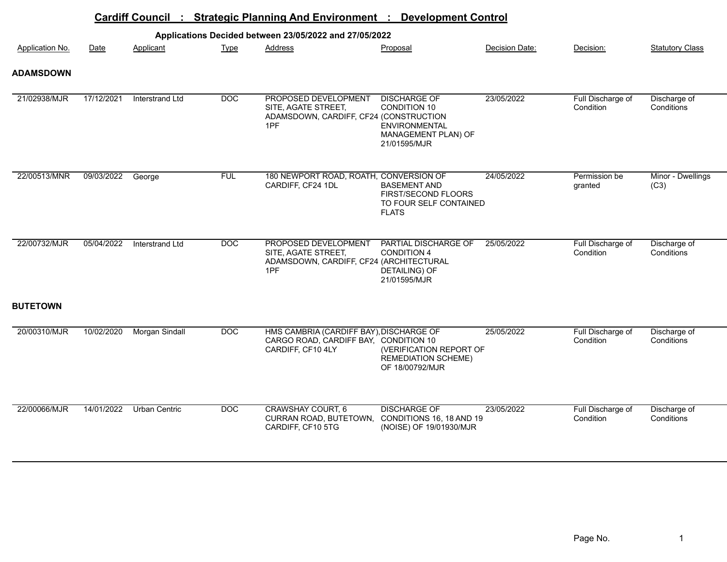|                  | <b>Cardiff Council</b><br><b>Strategic Planning And Environment:</b><br>$\frac{1}{2}$<br><b>Development Control</b> |                       |                  |                                                                                                       |                                                                                                           |                |                                |                            |  |  |  |  |
|------------------|---------------------------------------------------------------------------------------------------------------------|-----------------------|------------------|-------------------------------------------------------------------------------------------------------|-----------------------------------------------------------------------------------------------------------|----------------|--------------------------------|----------------------------|--|--|--|--|
|                  |                                                                                                                     |                       |                  | Applications Decided between 23/05/2022 and 27/05/2022                                                |                                                                                                           |                |                                |                            |  |  |  |  |
| Application No.  | Date                                                                                                                | Applicant             | <b>Type</b>      | <b>Address</b>                                                                                        | Proposal                                                                                                  | Decision Date: | Decision:                      | <b>Statutory Class</b>     |  |  |  |  |
| <b>ADAMSDOWN</b> |                                                                                                                     |                       |                  |                                                                                                       |                                                                                                           |                |                                |                            |  |  |  |  |
| 21/02938/MJR     | 17/12/2021                                                                                                          | Interstrand Ltd       | DOC              | PROPOSED DEVELOPMENT<br>SITE, AGATE STREET,<br>ADAMSDOWN, CARDIFF, CF24 (CONSTRUCTION<br>1PF          | <b>DISCHARGE OF</b><br><b>CONDITION 10</b><br><b>ENVIRONMENTAL</b><br>MANAGEMENT PLAN) OF<br>21/01595/MJR | 23/05/2022     | Full Discharge of<br>Condition | Discharge of<br>Conditions |  |  |  |  |
| 22/00513/MNR     | 09/03/2022                                                                                                          | George                | <b>FUL</b>       | 180 NEWPORT ROAD, ROATH, CONVERSION OF<br>CARDIFF, CF24 1DL                                           | <b>BASEMENT AND</b><br>FIRST/SECOND FLOORS<br>TO FOUR SELF CONTAINED<br><b>FLATS</b>                      | 24/05/2022     | Permission be<br>granted       | Minor - Dwellings<br>(C3)  |  |  |  |  |
| 22/00732/MJR     | 05/04/2022                                                                                                          | Interstrand Ltd       | $\overline{DOC}$ | PROPOSED DEVELOPMENT<br>SITE, AGATE STREET,<br>ADAMSDOWN, CARDIFF, CF24 (ARCHITECTURAL<br>1PF         | PARTIAL DISCHARGE OF<br><b>CONDITION 4</b><br><b>DETAILING) OF</b><br>21/01595/MJR                        | 25/05/2022     | Full Discharge of<br>Condition | Discharge of<br>Conditions |  |  |  |  |
| <b>BUTETOWN</b>  |                                                                                                                     |                       |                  |                                                                                                       |                                                                                                           |                |                                |                            |  |  |  |  |
| 20/00310/MJR     | 10/02/2020                                                                                                          | <b>Morgan Sindall</b> | $\overline{DOC}$ | HMS CAMBRIA (CARDIFF BAY), DISCHARGE OF<br>CARGO ROAD, CARDIFF BAY, CONDITION 10<br>CARDIFF, CF10 4LY | (VERIFICATION REPORT OF<br><b>REMEDIATION SCHEME)</b><br>OF 18/00792/MJR                                  | 25/05/2022     | Full Discharge of<br>Condition | Discharge of<br>Conditions |  |  |  |  |
| 22/00066/MJR     | 14/01/2022                                                                                                          | Urban Centric         | DOC              | <b>CRAWSHAY COURT, 6</b><br>CURRAN ROAD, BUTETOWN,<br>CARDIFF, CF10 5TG                               | <b>DISCHARGE OF</b><br>CONDITIONS 16, 18 AND 19<br>(NOISE) OF 19/01930/MJR                                | 23/05/2022     | Full Discharge of<br>Condition | Discharge of<br>Conditions |  |  |  |  |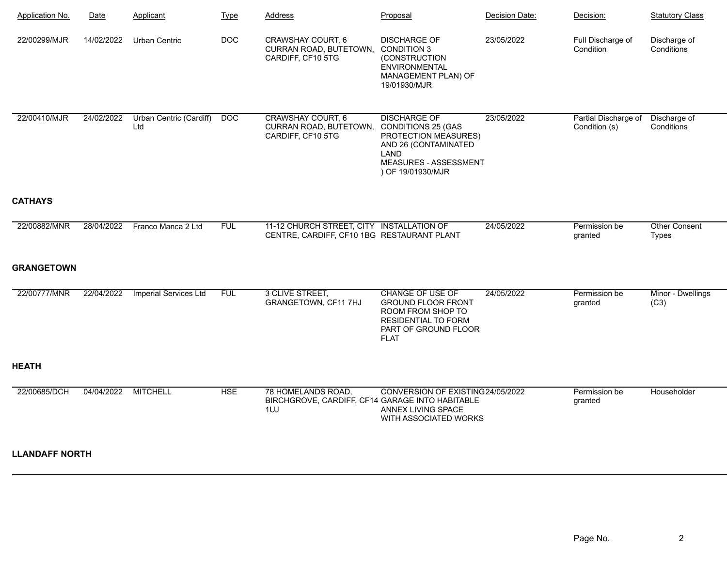| Application No.       | Date       | Applicant                      | <b>Type</b> | <b>Address</b>                                                                          | Proposal                                                                                                                                               | Decision Date: | Decision:                             | <b>Statutory Class</b>               |
|-----------------------|------------|--------------------------------|-------------|-----------------------------------------------------------------------------------------|--------------------------------------------------------------------------------------------------------------------------------------------------------|----------------|---------------------------------------|--------------------------------------|
| 22/00299/MJR          | 14/02/2022 | Urban Centric                  | DOC         | <b>CRAWSHAY COURT, 6</b><br>CURRAN ROAD, BUTETOWN,<br>CARDIFF, CF10 5TG                 | <b>DISCHARGE OF</b><br><b>CONDITION 3</b><br>(CONSTRUCTION<br><b>ENVIRONMENTAL</b><br>MANAGEMENT PLAN) OF<br>19/01930/MJR                              | 23/05/2022     | Full Discharge of<br>Condition        | Discharge of<br>Conditions           |
| 22/00410/MJR          | 24/02/2022 | Urban Centric (Cardiff)<br>Ltd | DOC         | <b>CRAWSHAY COURT, 6</b><br>CURRAN ROAD, BUTETOWN,<br>CARDIFF, CF10 5TG                 | <b>DISCHARGE OF</b><br><b>CONDITIONS 25 (GAS</b><br>PROTECTION MEASURES)<br>AND 26 (CONTAMINATED<br>LAND<br>MEASURES - ASSESSMENT<br>) OF 19/01930/MJR | 23/05/2022     | Partial Discharge of<br>Condition (s) | Discharge of<br>Conditions           |
| <b>CATHAYS</b>        |            |                                |             |                                                                                         |                                                                                                                                                        |                |                                       |                                      |
| 22/00882/MNR          | 28/04/2022 | Franco Manca 2 Ltd             | <b>FUL</b>  | 11-12 CHURCH STREET, CITY INSTALLATION OF<br>CENTRE, CARDIFF, CF10 1BG RESTAURANT PLANT |                                                                                                                                                        | 24/05/2022     | Permission be<br>granted              | <b>Other Consent</b><br><b>Types</b> |
| <b>GRANGETOWN</b>     |            |                                |             |                                                                                         |                                                                                                                                                        |                |                                       |                                      |
| 22/00777/MNR          | 22/04/2022 | <b>Imperial Services Ltd</b>   | <b>FUL</b>  | 3 CLIVE STREET,<br>GRANGETOWN, CF11 7HJ                                                 | <b>CHANGE OF USE OF</b><br><b>GROUND FLOOR FRONT</b><br>ROOM FROM SHOP TO<br><b>RESIDENTIAL TO FORM</b><br>PART OF GROUND FLOOR<br><b>FLAT</b>         | 24/05/2022     | Permission be<br>granted              | Minor - Dwellings<br>(C3)            |
| <b>HEATH</b>          |            |                                |             |                                                                                         |                                                                                                                                                        |                |                                       |                                      |
| 22/00685/DCH          | 04/04/2022 | <b>MITCHELL</b>                | <b>HSE</b>  | 78 HOMELANDS ROAD,<br>BIRCHGROVE, CARDIFF, CF14 GARAGE INTO HABITABLE<br>1UJ            | CONVERSION OF EXISTING24/05/2022<br>ANNEX LIVING SPACE<br>WITH ASSOCIATED WORKS                                                                        |                | Permission be<br>granted              | Householder                          |
| <b>LLANDAFF NORTH</b> |            |                                |             |                                                                                         |                                                                                                                                                        |                |                                       |                                      |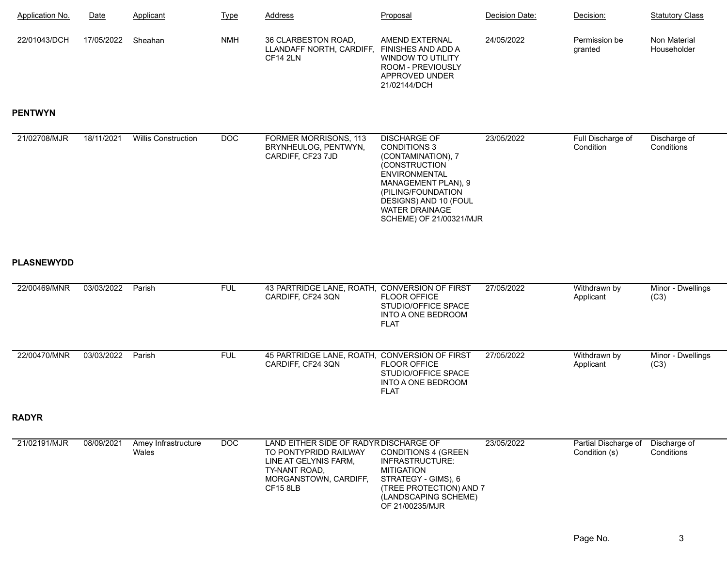| Application No. | Date       | Applicant | <b>Type</b> | <b>Address</b>                                              | Proposal                                                                                                         | Decision Date: | Decision:                | <b>Statutory Class</b>      |
|-----------------|------------|-----------|-------------|-------------------------------------------------------------|------------------------------------------------------------------------------------------------------------------|----------------|--------------------------|-----------------------------|
| 22/01043/DCH    | 17/05/2022 | Sheahan   | <b>NMH</b>  | 36 CLARBESTON ROAD.<br>LLANDAFF NORTH, CARDIFF,<br>CF14 2LN | AMEND EXTERNAL<br>FINISHES AND ADD A<br>WINDOW TO UTILITY<br>ROOM - PREVIOUSLY<br>APPROVED UNDER<br>21/02144/DCH | 24/05/2022     | Permission be<br>granted | Non Material<br>Householder |

## **PENTWYN**

| 21/02708/MJR      | 18/11/2021 | <b>Willis Construction</b>   | DOC        | <b>FORMER MORRISONS, 113</b><br>BRYNHEULOG, PENTWYN,<br>CARDIFF, CF23 7JD                                                                             | <b>DISCHARGE OF</b><br><b>CONDITIONS 3</b><br>(CONTAMINATION), 7<br>(CONSTRUCTION<br><b>ENVIRONMENTAL</b><br>MANAGEMENT PLAN), 9<br>(PILING/FOUNDATION<br>DESIGNS) AND 10 (FOUL<br><b>WATER DRAINAGE</b><br>SCHEME) OF 21/00321/MJR | 23/05/2022 | Full Discharge of<br>Condition        | Discharge of<br>Conditions |
|-------------------|------------|------------------------------|------------|-------------------------------------------------------------------------------------------------------------------------------------------------------|-------------------------------------------------------------------------------------------------------------------------------------------------------------------------------------------------------------------------------------|------------|---------------------------------------|----------------------------|
| <b>PLASNEWYDD</b> |            |                              |            |                                                                                                                                                       |                                                                                                                                                                                                                                     |            |                                       |                            |
| 22/00469/MNR      | 03/03/2022 | Parish                       | <b>FUL</b> | 43 PARTRIDGE LANE, ROATH,<br>CARDIFF, CF24 3QN                                                                                                        | <b>CONVERSION OF FIRST</b><br><b>FLOOR OFFICE</b><br>STUDIO/OFFICE SPACE<br><b>INTO A ONE BEDROOM</b><br><b>FLAT</b>                                                                                                                | 27/05/2022 | Withdrawn by<br>Applicant             | Minor - Dwellings<br>(C3)  |
| 22/00470/MNR      | 03/03/2022 | Parish                       | <b>FUL</b> | 45 PARTRIDGE LANE, ROATH,<br>CARDIFF, CF24 3QN                                                                                                        | <b>CONVERSION OF FIRST</b><br><b>FLOOR OFFICE</b><br>STUDIO/OFFICE SPACE<br><b>INTO A ONE BEDROOM</b><br><b>FLAT</b>                                                                                                                | 27/05/2022 | Withdrawn by<br>Applicant             | Minor - Dwellings<br>(C3)  |
| <b>RADYR</b>      |            |                              |            |                                                                                                                                                       |                                                                                                                                                                                                                                     |            |                                       |                            |
| 21/02191/MJR      | 08/09/2021 | Amey Infrastructure<br>Wales | DOC        | LAND EITHER SIDE OF RADYR DISCHARGE OF<br>TO PONTYPRIDD RAILWAY<br>LINE AT GELYNIS FARM,<br>TY-NANT ROAD.<br>MORGANSTOWN, CARDIFF,<br><b>CF15 8LB</b> | <b>CONDITIONS 4 (GREEN)</b><br>INFRASTRUCTURE:<br><b>MITIGATION</b><br>STRATEGY - GIMS), 6<br>(TREE PROTECTION) AND 7<br>(LANDSCAPING SCHEME)<br>OF 21/00235/MJR                                                                    | 23/05/2022 | Partial Discharge of<br>Condition (s) | Discharge of<br>Conditions |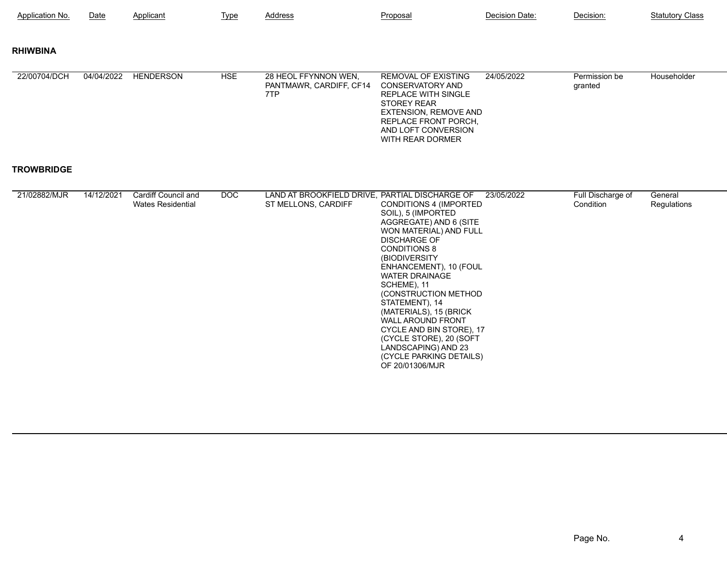| Application No.   | Date       | Applicant                                              | <b>Type</b> | Address                                                               | Proposal                                                                                                                                                                                                                                                                                                                                                                                                                                                             | Decision Date: | Decision:                      | <b>Statutory Class</b> |
|-------------------|------------|--------------------------------------------------------|-------------|-----------------------------------------------------------------------|----------------------------------------------------------------------------------------------------------------------------------------------------------------------------------------------------------------------------------------------------------------------------------------------------------------------------------------------------------------------------------------------------------------------------------------------------------------------|----------------|--------------------------------|------------------------|
| <b>RHIWBINA</b>   |            |                                                        |             |                                                                       |                                                                                                                                                                                                                                                                                                                                                                                                                                                                      |                |                                |                        |
| 22/00704/DCH      | 04/04/2022 | <b>HENDERSON</b>                                       | <b>HSE</b>  | 28 HEOL FFYNNON WEN,<br>PANTMAWR, CARDIFF, CF14<br>7TP                | <b>REMOVAL OF EXISTING</b><br><b>CONSERVATORY AND</b><br><b>REPLACE WITH SINGLE</b><br><b>STOREY REAR</b><br><b>EXTENSION, REMOVE AND</b><br>REPLACE FRONT PORCH,<br>AND LOFT CONVERSION<br>WITH REAR DORMER                                                                                                                                                                                                                                                         | 24/05/2022     | Permission be<br>granted       | Householder            |
| <b>TROWBRIDGE</b> |            |                                                        |             |                                                                       |                                                                                                                                                                                                                                                                                                                                                                                                                                                                      |                |                                |                        |
| 21/02882/MJR      | 14/12/2021 | <b>Cardiff Council and</b><br><b>Wates Residential</b> | DOC         | LAND AT BROOKFIELD DRIVE, PARTIAL DISCHARGE OF<br>ST MELLONS, CARDIFF | <b>CONDITIONS 4 (IMPORTED</b><br>SOIL), 5 (IMPORTED<br>AGGREGATE) AND 6 (SITE<br>WON MATERIAL) AND FULL<br><b>DISCHARGE OF</b><br><b>CONDITIONS 8</b><br>(BIODIVERSITY<br>ENHANCEMENT), 10 (FOUL<br><b>WATER DRAINAGE</b><br>SCHEME), 11<br>(CONSTRUCTION METHOD<br>STATEMENT), 14<br>(MATERIALS), 15 (BRICK<br><b>WALL AROUND FRONT</b><br>CYCLE AND BIN STORE), 17<br>(CYCLE STORE), 20 (SOFT<br>LANDSCAPING) AND 23<br>(CYCLE PARKING DETAILS)<br>OF 20/01306/MJR | 23/05/2022     | Full Discharge of<br>Condition | General<br>Regulations |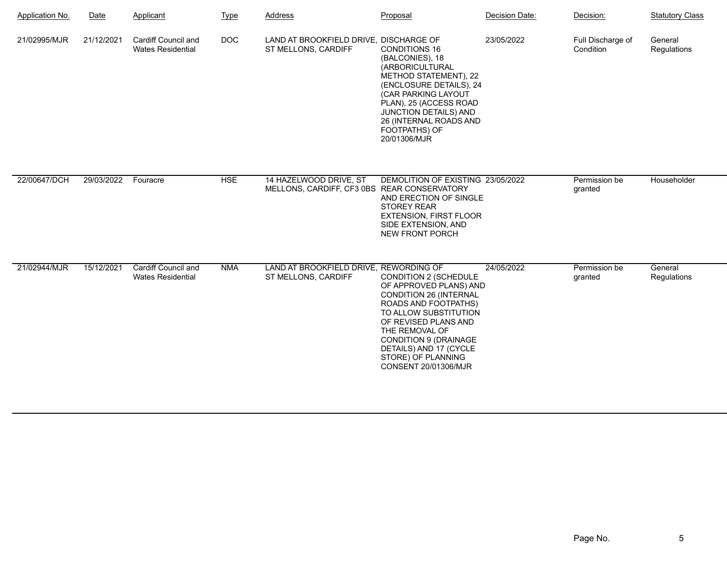| <b>Application No.</b> | Date       | Applicant                                       | <b>Type</b> | Address                                                               | Proposal                                                                                                                                                                                                                                                                                    | Decision Date: | Decision:                      | <b>Statutory Class</b> |
|------------------------|------------|-------------------------------------------------|-------------|-----------------------------------------------------------------------|---------------------------------------------------------------------------------------------------------------------------------------------------------------------------------------------------------------------------------------------------------------------------------------------|----------------|--------------------------------|------------------------|
| 21/02995/MJR           | 21/12/2021 | Cardiff Council and<br><b>Wates Residential</b> | DOC         | LAND AT BROOKFIELD DRIVE, DISCHARGE OF<br>ST MELLONS, CARDIFF         | <b>CONDITIONS 16</b><br>(BALCONIES), 18<br>(ARBORICULTURAL<br>METHOD STATEMENT), 22<br>(ENCLOSURE DETAILS), 24<br>(CAR PARKING LAYOUT<br>PLAN), 25 (ACCESS ROAD<br>JUNCTION DETAILS) AND<br>26 (INTERNAL ROADS AND<br>FOOTPATHS) OF<br>20/01306/MJR                                         | 23/05/2022     | Full Discharge of<br>Condition | General<br>Regulations |
| 22/00647/DCH           | 29/03/2022 | Fouracre                                        | <b>HSE</b>  | 14 HAZELWOOD DRIVE, ST<br>MELLONS, CARDIFF, CF3 0BS REAR CONSERVATORY | DEMOLITION OF EXISTING 23/05/2022<br>AND ERECTION OF SINGLE<br><b>STOREY REAR</b><br><b>EXTENSION, FIRST FLOOR</b><br>SIDE EXTENSION, AND<br><b>NEW FRONT PORCH</b>                                                                                                                         |                | Permission be<br>granted       | Householder            |
| 21/02944/MJR           | 15/12/2021 | Cardiff Council and<br><b>Wates Residential</b> | <b>NMA</b>  | LAND AT BROOKFIELD DRIVE, REWORDING OF<br>ST MELLONS, CARDIFF         | CONDITION 2 (SCHEDULE<br>OF APPROVED PLANS) AND<br><b>CONDITION 26 (INTERNAL</b><br><b>ROADS AND FOOTPATHS)</b><br>TO ALLOW SUBSTITUTION<br>OF REVISED PLANS AND<br>THE REMOVAL OF<br><b>CONDITION 9 (DRAINAGE)</b><br>DETAILS) AND 17 (CYCLE<br>STORE) OF PLANNING<br>CONSENT 20/01306/MJR | 24/05/2022     | Permission be<br>granted       | General<br>Regulations |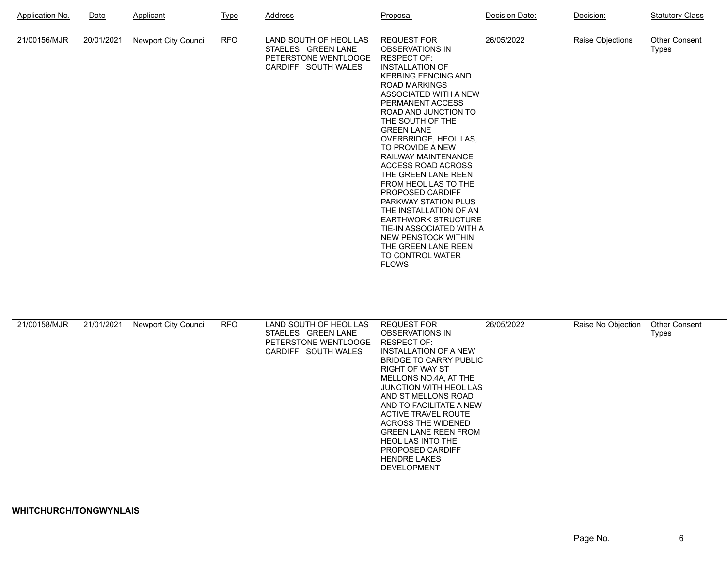| <b>Application No.</b> | <u>Date</u> | Applicant                   | <u>Type</u> | Address                                                                                     | Proposal                                                                                                                                                                                                                                                                                                                                                                                                                                                                                                                                                                                                                                   | Decision Date: | Decision:        | <b>Statutory Class</b>        |
|------------------------|-------------|-----------------------------|-------------|---------------------------------------------------------------------------------------------|--------------------------------------------------------------------------------------------------------------------------------------------------------------------------------------------------------------------------------------------------------------------------------------------------------------------------------------------------------------------------------------------------------------------------------------------------------------------------------------------------------------------------------------------------------------------------------------------------------------------------------------------|----------------|------------------|-------------------------------|
| 21/00156/MJR           | 20/01/2021  | <b>Newport City Council</b> | <b>RFO</b>  | LAND SOUTH OF HEOL LAS<br>STABLES GREEN LANE<br>PETERSTONE WENTLOOGE<br>CARDIFF SOUTH WALES | <b>REQUEST FOR</b><br><b>OBSERVATIONS IN</b><br><b>RESPECT OF:</b><br><b>INSTALLATION OF</b><br><b>KERBING, FENCING AND</b><br><b>ROAD MARKINGS</b><br>ASSOCIATED WITH A NEW<br>PERMANENT ACCESS<br>ROAD AND JUNCTION TO<br>THE SOUTH OF THE<br><b>GREEN LANE</b><br>OVERBRIDGE, HEOL LAS,<br>TO PROVIDE A NEW<br><b>RAILWAY MAINTENANCE</b><br>ACCESS ROAD ACROSS<br>THE GREEN LANE REEN<br>FROM HEOL LAS TO THE<br>PROPOSED CARDIFF<br><b>PARKWAY STATION PLUS</b><br>THE INSTALLATION OF AN<br><b>EARTHWORK STRUCTURE</b><br>TIE-IN ASSOCIATED WITH A<br>NEW PENSTOCK WITHIN<br>THE GREEN LANE REEN<br>TO CONTROL WATER<br><b>FLOWS</b> | 26/05/2022     | Raise Objections | <b>Other Consent</b><br>Types |

| 21/00158/MJR | 21/01/2021 | Newport City Council | <b>RFO</b> | LAND SOUTH OF HEOL LAS | REQUEST FOR                   | 26/05/2022 | Raise No Objection | <b>Other Consent</b> |
|--------------|------------|----------------------|------------|------------------------|-------------------------------|------------|--------------------|----------------------|
|              |            |                      |            | STABLES GREEN LANE     | <b>OBSERVATIONS IN</b>        |            |                    | Types                |
|              |            |                      |            | PETERSTONE WENTLOOGE   | <b>RESPECT OF:</b>            |            |                    |                      |
|              |            |                      |            | CARDIFF SOUTH WALES    | INSTALLATION OF A NEW         |            |                    |                      |
|              |            |                      |            |                        | BRIDGE TO CARRY PUBLIC        |            |                    |                      |
|              |            |                      |            |                        | <b>RIGHT OF WAY ST</b>        |            |                    |                      |
|              |            |                      |            |                        | MELLONS NO.4A, AT THE         |            |                    |                      |
|              |            |                      |            |                        | <b>JUNCTION WITH HEOL LAS</b> |            |                    |                      |
|              |            |                      |            |                        | AND ST MELLONS ROAD           |            |                    |                      |
|              |            |                      |            |                        | AND TO FACILITATE A NEW       |            |                    |                      |
|              |            |                      |            |                        | ACTIVE TRAVEL ROUTE           |            |                    |                      |
|              |            |                      |            |                        | <b>ACROSS THE WIDENED</b>     |            |                    |                      |
|              |            |                      |            |                        | <b>GREEN LANE REEN FROM</b>   |            |                    |                      |
|              |            |                      |            |                        | <b>HEOL LAS INTO THE</b>      |            |                    |                      |
|              |            |                      |            |                        | <b>PROPOSED CARDIFF</b>       |            |                    |                      |
|              |            |                      |            |                        | <b>HENDRE LAKES</b>           |            |                    |                      |
|              |            |                      |            |                        | <b>DEVELOPMENT</b>            |            |                    |                      |
|              |            |                      |            |                        |                               |            |                    |                      |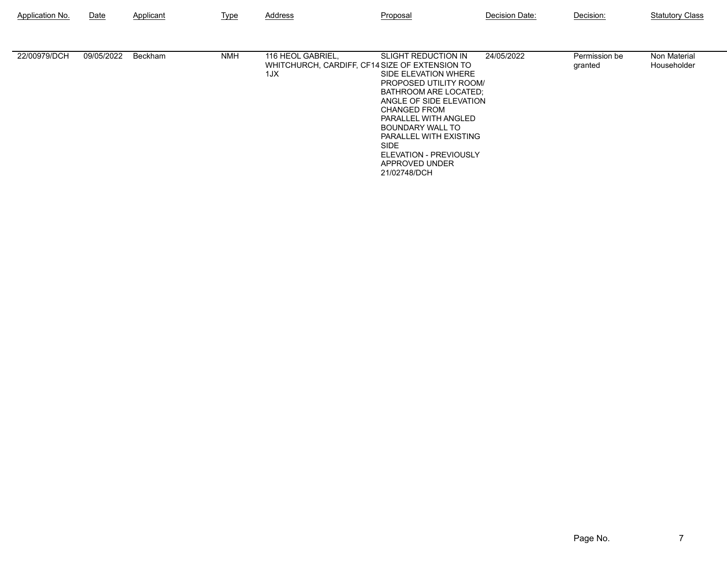| Application No. | Date       | Applicant | Type       | Address                                                                    | Proposal                                                                                                                                                                                                                                                                                                        | Decision Date: | Decision:                | <b>Statutory Class</b>      |
|-----------------|------------|-----------|------------|----------------------------------------------------------------------------|-----------------------------------------------------------------------------------------------------------------------------------------------------------------------------------------------------------------------------------------------------------------------------------------------------------------|----------------|--------------------------|-----------------------------|
| 22/00979/DCH    | 09/05/2022 | Beckham   | <b>NMH</b> | 116 HEOL GABRIEL,<br>WHITCHURCH, CARDIFF, CF14 SIZE OF EXTENSION TO<br>1JX | <b>SLIGHT REDUCTION IN</b><br>SIDE ELEVATION WHERE<br>PROPOSED UTILITY ROOM/<br>BATHROOM ARE LOCATED:<br>ANGLE OF SIDE ELEVATION<br><b>CHANGED FROM</b><br>PARALLEL WITH ANGLED<br>BOUNDARY WALL TO<br>PARALLEL WITH EXISTING<br><b>SIDE</b><br><b>ELEVATION - PREVIOUSLY</b><br>APPROVED UNDER<br>21/02748/DCH | 24/05/2022     | Permission be<br>granted | Non Material<br>Householder |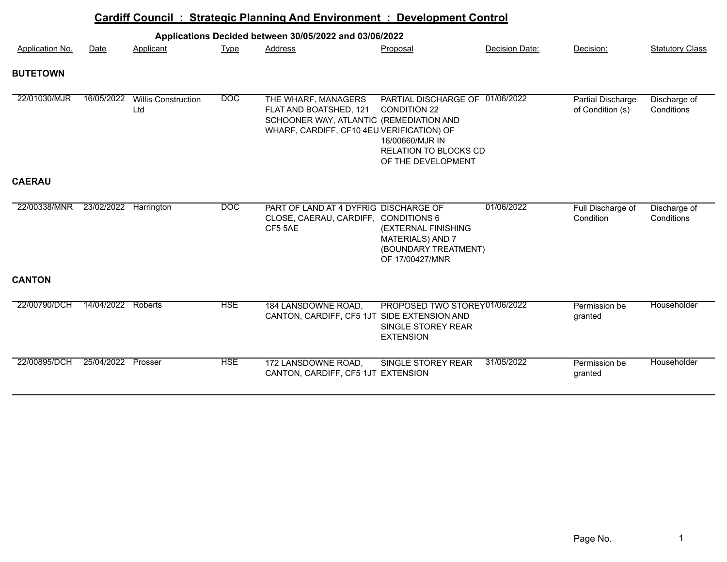|                 |                       |                                   |                  | Cardiff Council: Strategic Planning And Environment: Development Control                                                              |                                                                                                                                 |                |                                       |                            |
|-----------------|-----------------------|-----------------------------------|------------------|---------------------------------------------------------------------------------------------------------------------------------------|---------------------------------------------------------------------------------------------------------------------------------|----------------|---------------------------------------|----------------------------|
|                 |                       |                                   |                  | Applications Decided between 30/05/2022 and 03/06/2022                                                                                |                                                                                                                                 |                |                                       |                            |
| Application No. | Date                  | Applicant                         | <u>Type</u>      | <b>Address</b>                                                                                                                        | Proposal                                                                                                                        | Decision Date: | Decision:                             | <b>Statutory Class</b>     |
| <b>BUTETOWN</b> |                       |                                   |                  |                                                                                                                                       |                                                                                                                                 |                |                                       |                            |
| 22/01030/MJR    | 16/05/2022            | <b>Willis Construction</b><br>Ltd | $\overline{DOC}$ | THE WHARF, MANAGERS<br>FLAT AND BOATSHED, 121<br>SCHOONER WAY, ATLANTIC (REMEDIATION AND<br>WHARF, CARDIFF, CF10 4EU VERIFICATION) OF | PARTIAL DISCHARGE OF 01/06/2022<br><b>CONDITION 22</b><br>16/00660/MJR IN<br><b>RELATION TO BLOCKS CD</b><br>OF THE DEVELOPMENT |                | Partial Discharge<br>of Condition (s) | Discharge of<br>Conditions |
| <b>CAERAU</b>   |                       |                                   |                  |                                                                                                                                       |                                                                                                                                 |                |                                       |                            |
| 22/00338/MNR    | 23/02/2022 Harrington |                                   | <b>DOC</b>       | PART OF LAND AT 4 DYFRIG DISCHARGE OF<br>CLOSE, CAERAU, CARDIFF, CONDITIONS 6<br>CF5 5AE                                              | (EXTERNAL FINISHING<br>MATERIALS) AND 7<br>(BOUNDARY TREATMENT)<br>OF 17/00427/MNR                                              | 01/06/2022     | Full Discharge of<br>Condition        | Discharge of<br>Conditions |
| <b>CANTON</b>   |                       |                                   |                  |                                                                                                                                       |                                                                                                                                 |                |                                       |                            |
| 22/00790/DCH    | 14/04/2022            | Roberts                           | <b>HSE</b>       | 184 LANSDOWNE ROAD,<br>CANTON, CARDIFF, CF5 1JT SIDE EXTENSION AND                                                                    | PROPOSED TWO STOREY01/06/2022<br>SINGLE STOREY REAR<br><b>EXTENSION</b>                                                         |                | Permission be<br>granted              | Householder                |
| 22/00895/DCH    | 25/04/2022 Prosser    |                                   | <b>HSE</b>       | 172 LANSDOWNE ROAD,<br>CANTON, CARDIFF, CF5 1JT EXTENSION                                                                             | SINGLE STOREY REAR                                                                                                              | 31/05/2022     | Permission be<br>granted              | Householder                |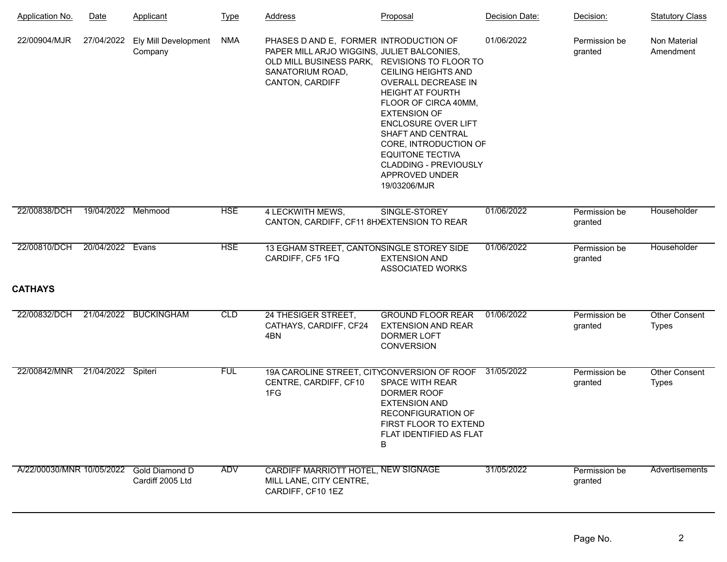| <b>Application No.</b>            | Date               | Applicant                          | <b>Type</b> | <b>Address</b>                                                                                                                                                               | Proposal                                                                                                                                                                                                                                                                                             | Decision Date: | Decision:                | <b>Statutory Class</b>               |
|-----------------------------------|--------------------|------------------------------------|-------------|------------------------------------------------------------------------------------------------------------------------------------------------------------------------------|------------------------------------------------------------------------------------------------------------------------------------------------------------------------------------------------------------------------------------------------------------------------------------------------------|----------------|--------------------------|--------------------------------------|
| 22/00904/MJR                      | 27/04/2022         | Ely Mill Development<br>Company    | NMA         | PHASES D AND E, FORMER INTRODUCTION OF<br>PAPER MILL ARJO WIGGINS, JULIET BALCONIES,<br>OLD MILL BUSINESS PARK, REVISIONS TO FLOOR TO<br>SANATORIUM ROAD,<br>CANTON, CARDIFF | <b>CEILING HEIGHTS AND</b><br>OVERALL DECREASE IN<br><b>HEIGHT AT FOURTH</b><br>FLOOR OF CIRCA 40MM,<br><b>EXTENSION OF</b><br><b>ENCLOSURE OVER LIFT</b><br>SHAFT AND CENTRAL<br>CORE, INTRODUCTION OF<br><b>EQUITONE TECTIVA</b><br><b>CLADDING - PREVIOUSLY</b><br>APPROVED UNDER<br>19/03206/MJR | 01/06/2022     | Permission be<br>granted | Non Material<br>Amendment            |
| 22/00838/DCH                      | 19/04/2022 Mehmood |                                    | <b>HSE</b>  | 4 LECKWITH MEWS,<br>CANTON, CARDIFF, CF11 8HXEXTENSION TO REAR                                                                                                               | SINGLE-STOREY                                                                                                                                                                                                                                                                                        | 01/06/2022     | Permission be<br>granted | Householder                          |
| 22/00810/DCH<br><b>CATHAYS</b>    | 20/04/2022         | Evans                              | <b>HSE</b>  | 13 EGHAM STREET, CANTONSINGLE STOREY SIDE<br>CARDIFF, CF5 1FQ                                                                                                                | <b>EXTENSION AND</b><br><b>ASSOCIATED WORKS</b>                                                                                                                                                                                                                                                      | 01/06/2022     | Permission be<br>granted | Householder                          |
|                                   |                    |                                    |             |                                                                                                                                                                              |                                                                                                                                                                                                                                                                                                      |                |                          |                                      |
| 22/00832/DCH                      |                    | 21/04/2022 BUCKINGHAM              | CLD         | 24 THESIGER STREET,<br>CATHAYS, CARDIFF, CF24<br>4BN                                                                                                                         | <b>GROUND FLOOR REAR</b><br><b>EXTENSION AND REAR</b><br><b>DORMER LOFT</b><br><b>CONVERSION</b>                                                                                                                                                                                                     | 01/06/2022     | Permission be<br>granted | <b>Other Consent</b><br><b>Types</b> |
| 22/00842/MNR  21/04/2022  Spiteri |                    |                                    | <b>FUL</b>  | 19A CAROLINE STREET, CITYCONVERSION OF ROOF<br>CENTRE, CARDIFF, CF10<br>1FG                                                                                                  | SPACE WITH REAR<br>DORMER ROOF<br><b>EXTENSION AND</b><br><b>RECONFIGURATION OF</b><br>FIRST FLOOR TO EXTEND<br>FLAT IDENTIFIED AS FLAT<br>B                                                                                                                                                         | 31/05/2022     | Permission be<br>granted | <b>Other Consent</b><br><b>Types</b> |
| A/22/00030/MNR 10/05/2022         |                    | Gold Diamond D<br>Cardiff 2005 Ltd | ADV         | CARDIFF MARRIOTT HOTEL, NEW SIGNAGE<br>MILL LANE, CITY CENTRE,<br>CARDIFF, CF10 1EZ                                                                                          |                                                                                                                                                                                                                                                                                                      | 31/05/2022     | Permission be<br>granted | Advertisements                       |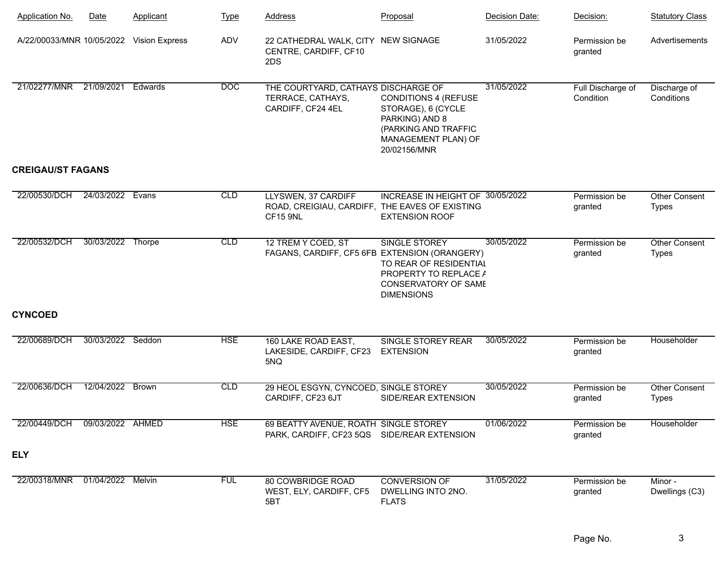| <b>Application No.</b>                   | Date              | <b>Applicant</b> | <u>Type</u> | <b>Address</b>                                                                       | Proposal                                                                                                                           | Decision Date: | Decision:                      | <b>Statutory Class</b>               |
|------------------------------------------|-------------------|------------------|-------------|--------------------------------------------------------------------------------------|------------------------------------------------------------------------------------------------------------------------------------|----------------|--------------------------------|--------------------------------------|
| A/22/00033/MNR 10/05/2022 Vision Express |                   |                  | ADV         | 22 CATHEDRAL WALK, CITY NEW SIGNAGE<br>CENTRE, CARDIFF, CF10<br>2DS                  |                                                                                                                                    | 31/05/2022     | Permission be<br>granted       | Advertisements                       |
| 21/02277/MNR 21/09/2021                  |                   | Edwards          | <b>DOC</b>  | THE COURTYARD, CATHAYS DISCHARGE OF<br>TERRACE, CATHAYS,<br>CARDIFF, CF24 4EL        | <b>CONDITIONS 4 (REFUSE</b><br>STORAGE), 6 (CYCLE<br>PARKING) AND 8<br>(PARKING AND TRAFFIC<br>MANAGEMENT PLAN) OF<br>20/02156/MNR | 31/05/2022     | Full Discharge of<br>Condition | Discharge of<br>Conditions           |
| <b>CREIGAU/ST FAGANS</b>                 |                   |                  |             |                                                                                      |                                                                                                                                    |                |                                |                                      |
| 22/00530/DCH                             | 24/03/2022        | Evans            | <b>CLD</b>  | LLYSWEN, 37 CARDIFF<br>ROAD, CREIGIAU, CARDIFF, THE EAVES OF EXISTING<br>CF15 9NL    | INCREASE IN HEIGHT OF 30/05/2022<br><b>EXTENSION ROOF</b>                                                                          |                | Permission be<br>granted       | <b>Other Consent</b><br><b>Types</b> |
| 22/00532/DCH                             | 30/03/2022 Thorpe |                  | <b>CLD</b>  | 12 TREM Y COED, ST<br>FAGANS, CARDIFF, CF5 6FB EXTENSION (ORANGERY)                  | <b>SINGLE STOREY</b><br>TO REAR OF RESIDENTIAL<br>PROPERTY TO REPLACE A<br><b>CONSERVATORY OF SAME</b><br><b>DIMENSIONS</b>        | 30/05/2022     | Permission be<br>granted       | <b>Other Consent</b><br><b>Types</b> |
| <b>CYNCOED</b>                           |                   |                  |             |                                                                                      |                                                                                                                                    |                |                                |                                      |
| 22/00689/DCH                             | 30/03/2022 Seddon |                  | <b>HSE</b>  | 160 LAKE ROAD EAST,<br>LAKESIDE, CARDIFF, CF23<br>5NQ                                | SINGLE STOREY REAR<br><b>EXTENSION</b>                                                                                             | 30/05/2022     | Permission be<br>granted       | Householder                          |
| 22/00636/DCH                             | 12/04/2022        | <b>Brown</b>     | <b>CLD</b>  | 29 HEOL ESGYN, CYNCOED, SINGLE STOREY<br>CARDIFF, CF23 6JT                           | SIDE/REAR EXTENSION                                                                                                                | 30/05/2022     | Permission be<br>granted       | <b>Other Consent</b><br><b>Types</b> |
| 22/00449/DCH                             | 09/03/2022 AHMED  |                  | <b>HSE</b>  | 69 BEATTY AVENUE, ROATH SINGLE STOREY<br>PARK, CARDIFF, CF23 5QS SIDE/REAR EXTENSION |                                                                                                                                    | 01/06/2022     | Permission be<br>granted       | Householder                          |
| <b>ELY</b>                               |                   |                  |             |                                                                                      |                                                                                                                                    |                |                                |                                      |
| 22/00318/MNR 01/04/2022 Melvin           |                   |                  | <b>FUL</b>  | <b>80 COWBRIDGE ROAD</b><br>WEST, ELY, CARDIFF, CF5<br>5BT                           | <b>CONVERSION OF</b><br>DWELLING INTO 2NO.<br><b>FLATS</b>                                                                         | 31/05/2022     | Permission be<br>granted       | Minor -<br>Dwellings (C3)            |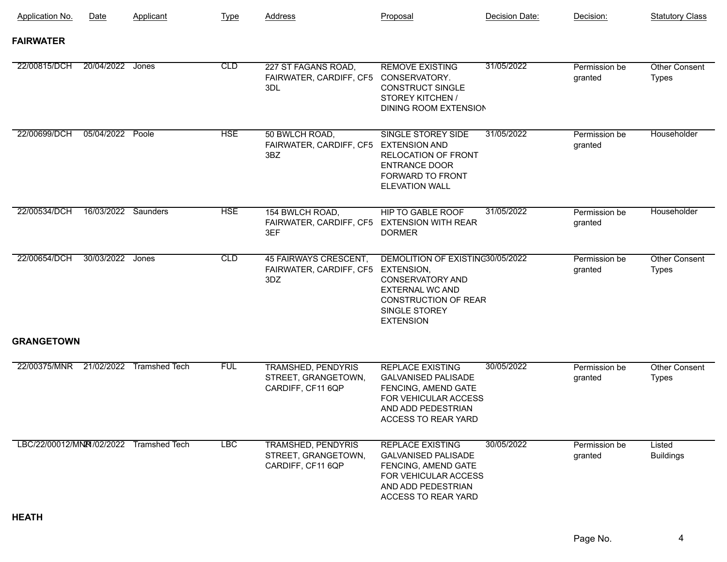| Application No.                         | Date                | Applicant | <b>Type</b> | <b>Address</b>                                                        | Proposal                                                                                                                                                  | Decision Date: | Decision:                | <b>Statutory Class</b>               |
|-----------------------------------------|---------------------|-----------|-------------|-----------------------------------------------------------------------|-----------------------------------------------------------------------------------------------------------------------------------------------------------|----------------|--------------------------|--------------------------------------|
| <b>FAIRWATER</b>                        |                     |           |             |                                                                       |                                                                                                                                                           |                |                          |                                      |
| 22/00815/DCH                            | 20/04/2022 Jones    |           | CLD         | 227 ST FAGANS ROAD,<br>FAIRWATER, CARDIFF, CF5<br>3DL                 | <b>REMOVE EXISTING</b><br>CONSERVATORY.<br><b>CONSTRUCT SINGLE</b><br>STOREY KITCHEN /<br>DINING ROOM EXTENSION                                           | 31/05/2022     | Permission be<br>granted | <b>Other Consent</b><br><b>Types</b> |
| 22/00699/DCH                            | 05/04/2022 Poole    |           | <b>HSE</b>  | 50 BWLCH ROAD,<br>FAIRWATER, CARDIFF, CF5 EXTENSION AND<br>3BZ        | SINGLE STOREY SIDE<br>RELOCATION OF FRONT<br><b>ENTRANCE DOOR</b><br><b>FORWARD TO FRONT</b><br><b>ELEVATION WALL</b>                                     | 31/05/2022     | Permission be<br>granted | Householder                          |
| 22/00534/DCH                            | 16/03/2022 Saunders |           | <b>HSE</b>  | 154 BWLCH ROAD,<br>FAIRWATER, CARDIFF, CF5 EXTENSION WITH REAR<br>3EF | <b>HIP TO GABLE ROOF</b><br><b>DORMER</b>                                                                                                                 | 31/05/2022     | Permission be<br>granted | Householder                          |
| 22/00654/DCH                            | 30/03/2022          | Jones     | <b>CLD</b>  | 45 FAIRWAYS CRESCENT,<br>FAIRWATER, CARDIFF, CF5 EXTENSION,<br>3DZ    | DEMOLITION OF EXISTING30/05/2022<br><b>CONSERVATORY AND</b><br><b>EXTERNAL WC AND</b><br><b>CONSTRUCTION OF REAR</b><br>SINGLE STOREY<br><b>EXTENSION</b> |                | Permission be<br>granted | Other Consent<br><b>Types</b>        |
| <b>GRANGETOWN</b>                       |                     |           |             |                                                                       |                                                                                                                                                           |                |                          |                                      |
| 22/00375/MNR  21/02/2022  Tramshed Tech |                     |           | <b>FUL</b>  | <b>TRAMSHED, PENDYRIS</b><br>STREET, GRANGETOWN,<br>CARDIFF, CF11 6QP | <b>REPLACE EXISTING</b><br><b>GALVANISED PALISADE</b><br>FENCING, AMEND GATE<br>FOR VEHICULAR ACCESS<br>AND ADD PEDESTRIAN<br>ACCESS TO REAR YARD         | 30/05/2022     | Permission be<br>granted | Other Consent<br><b>Types</b>        |
| LBC/22/00012/MNR /02/2022 Tramshed Tech |                     |           | <b>LBC</b>  | <b>TRAMSHED, PENDYRIS</b><br>STREET, GRANGETOWN,<br>CARDIFF, CF11 6QP | <b>REPLACE EXISTING</b><br><b>GALVANISED PALISADE</b><br>FENCING, AMEND GATE<br>FOR VEHICULAR ACCESS<br>AND ADD PEDESTRIAN<br>ACCESS TO REAR YARD         | 30/05/2022     | Permission be<br>granted | Listed<br><b>Buildings</b>           |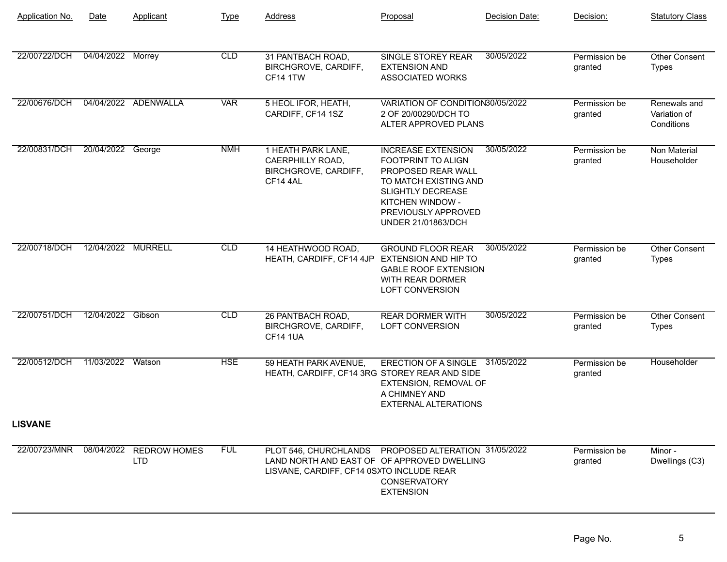| Application No. | Date               | Applicant                             | <b>Type</b> | <b>Address</b>                                                                                                                                   | Proposal                                                                                                                                                                                           | Decision Date: | Decision:                | <b>Statutory Class</b>                     |
|-----------------|--------------------|---------------------------------------|-------------|--------------------------------------------------------------------------------------------------------------------------------------------------|----------------------------------------------------------------------------------------------------------------------------------------------------------------------------------------------------|----------------|--------------------------|--------------------------------------------|
| 22/00722/DCH    | 04/04/2022         | Morrey                                | CLD         | 31 PANTBACH ROAD,<br>BIRCHGROVE, CARDIFF,<br><b>CF14 1TW</b>                                                                                     | <b>SINGLE STOREY REAR</b><br><b>EXTENSION AND</b><br><b>ASSOCIATED WORKS</b>                                                                                                                       | 30/05/2022     | Permission be<br>granted | Other Consent<br><b>Types</b>              |
| 22/00676/DCH    |                    | 04/04/2022 ADENWALLA                  | <b>VAR</b>  | 5 HEOL IFOR, HEATH,<br>CARDIFF, CF14 1SZ                                                                                                         | VARIATION OF CONDITION30/05/2022<br>2 OF 20/00290/DCH TO<br>ALTER APPROVED PLANS                                                                                                                   |                | Permission be<br>granted | Renewals and<br>Variation of<br>Conditions |
| 22/00831/DCH    | 20/04/2022         | George                                | <b>NMH</b>  | 1 HEATH PARK LANE,<br>CAERPHILLY ROAD,<br>BIRCHGROVE, CARDIFF,<br>CF14 4AL                                                                       | <b>INCREASE EXTENSION</b><br>FOOTPRINT TO ALIGN<br>PROPOSED REAR WALL<br>TO MATCH EXISTING AND<br><b>SLIGHTLY DECREASE</b><br>KITCHEN WINDOW -<br>PREVIOUSLY APPROVED<br><b>UNDER 21/01863/DCH</b> | 30/05/2022     | Permission be<br>granted | <b>Non Material</b><br>Householder         |
| 22/00718/DCH    | 12/04/2022 MURRELL |                                       | CLD         | 14 HEATHWOOD ROAD,<br>HEATH, CARDIFF, CF14 4JP EXTENSION AND HIP TO                                                                              | <b>GROUND FLOOR REAR</b><br><b>GABLE ROOF EXTENSION</b><br>WITH REAR DORMER<br><b>LOFT CONVERSION</b>                                                                                              | 30/05/2022     | Permission be<br>granted | Other Consent<br><b>Types</b>              |
| 22/00751/DCH    | 12/04/2022 Gibson  |                                       | CLD         | 26 PANTBACH ROAD,<br>BIRCHGROVE, CARDIFF,<br><b>CF14 1UA</b>                                                                                     | <b>REAR DORMER WITH</b><br><b>LOFT CONVERSION</b>                                                                                                                                                  | 30/05/2022     | Permission be<br>granted | <b>Other Consent</b><br><b>Types</b>       |
| 22/00512/DCH    | 11/03/2022         | Watson                                | <b>HSE</b>  | 59 HEATH PARK AVENUE,<br>HEATH, CARDIFF, CF14 3RG STOREY REAR AND SIDE                                                                           | ERECTION OF A SINGLE 31/05/2022<br>EXTENSION, REMOVAL OF<br>A CHIMNEY AND<br><b>EXTERNAL ALTERATIONS</b>                                                                                           |                | Permission be<br>granted | Householder                                |
| <b>LISVANE</b>  |                    |                                       |             |                                                                                                                                                  |                                                                                                                                                                                                    |                |                          |                                            |
| 22/00723/MNR    |                    | 08/04/2022 REDROW HOMES<br><b>LTD</b> | <b>FUL</b>  | PLOT 546, CHURCHLANDS PROPOSED ALTERATION 31/05/2022<br>LAND NORTH AND EAST OF OF APPROVED DWELLING<br>LISVANE, CARDIFF, CF14 0SXTO INCLUDE REAR | <b>CONSERVATORY</b><br><b>EXTENSION</b>                                                                                                                                                            |                | Permission be<br>granted | Minor -<br>Dwellings (C3)                  |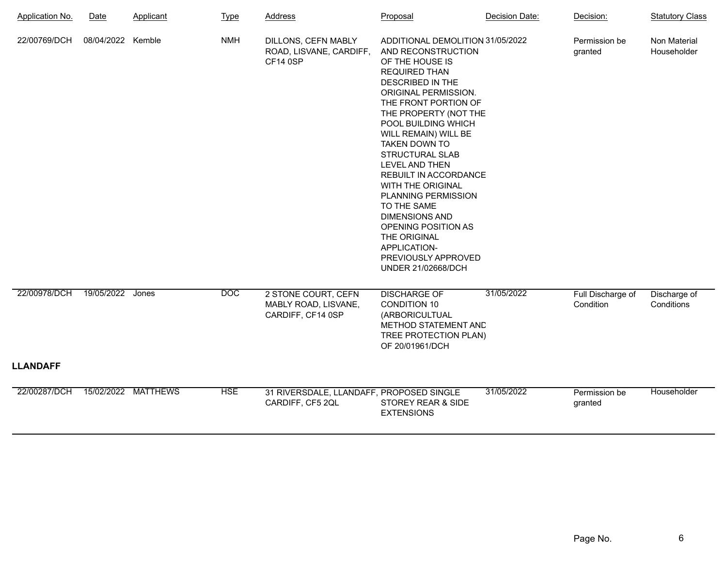| <b>Application No.</b>   | <b>Date</b>       | Applicant           | <b>Type</b> | <b>Address</b>                                                    | Proposal                                                                                                                                                                                                                                                                                                                                                                                                                                                                                                                                  | Decision Date: | Decision:                      | <b>Statutory Class</b>      |
|--------------------------|-------------------|---------------------|-------------|-------------------------------------------------------------------|-------------------------------------------------------------------------------------------------------------------------------------------------------------------------------------------------------------------------------------------------------------------------------------------------------------------------------------------------------------------------------------------------------------------------------------------------------------------------------------------------------------------------------------------|----------------|--------------------------------|-----------------------------|
| 22/00769/DCH             | 08/04/2022 Kemble |                     | <b>NMH</b>  | DILLONS, CEFN MABLY<br>ROAD, LISVANE, CARDIFF,<br><b>CF14 0SP</b> | ADDITIONAL DEMOLITION 31/05/2022<br>AND RECONSTRUCTION<br>OF THE HOUSE IS<br><b>REQUIRED THAN</b><br>DESCRIBED IN THE<br>ORIGINAL PERMISSION.<br>THE FRONT PORTION OF<br>THE PROPERTY (NOT THE<br>POOL BUILDING WHICH<br>WILL REMAIN) WILL BE<br><b>TAKEN DOWN TO</b><br><b>STRUCTURAL SLAB</b><br>LEVEL AND THEN<br>REBUILT IN ACCORDANCE<br>WITH THE ORIGINAL<br>PLANNING PERMISSION<br>TO THE SAME<br><b>DIMENSIONS AND</b><br>OPENING POSITION AS<br>THE ORIGINAL<br>APPLICATION-<br>PREVIOUSLY APPROVED<br><b>UNDER 21/02668/DCH</b> |                | Permission be<br>granted       | Non Material<br>Householder |
| 22/00978/DCH<br>LLANDAFF | 19/05/2022        | Jones               | <b>DOC</b>  | 2 STONE COURT, CEFN<br>MABLY ROAD, LISVANE,<br>CARDIFF, CF14 0SP  | <b>DISCHARGE OF</b><br><b>CONDITION 10</b><br>(ARBORICULTUAL<br>METHOD STATEMENT AND<br>TREE PROTECTION PLAN)<br>OF 20/01961/DCH                                                                                                                                                                                                                                                                                                                                                                                                          | 31/05/2022     | Full Discharge of<br>Condition | Discharge of<br>Conditions  |
| 22/00287/DCH             |                   | 15/02/2022 MATTHEWS | <b>HSE</b>  | 31 RIVERSDALE, LLANDAFF, PROPOSED SINGLE                          |                                                                                                                                                                                                                                                                                                                                                                                                                                                                                                                                           | 31/05/2022     | Permission be                  | Householder                 |
|                          |                   |                     |             | CARDIFF, CF5 2QL                                                  | STOREY REAR & SIDE<br><b>EXTENSIONS</b>                                                                                                                                                                                                                                                                                                                                                                                                                                                                                                   |                | granted                        |                             |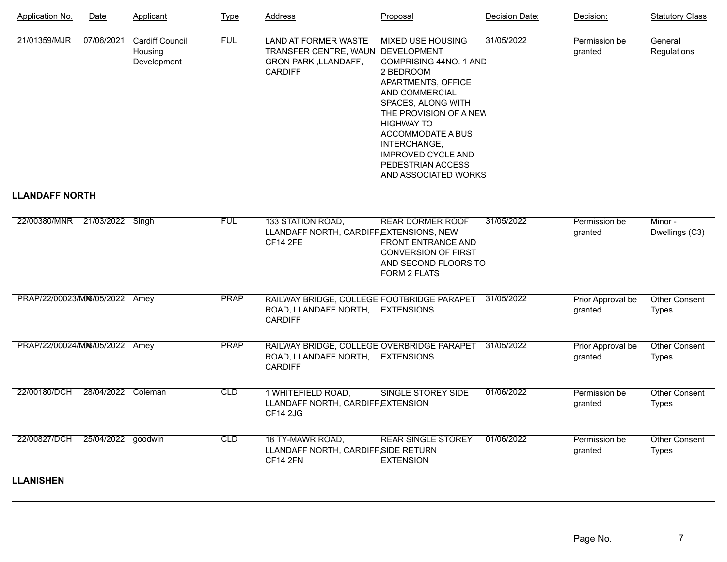| Application No.                 | Date               | Applicant                                        | <b>Type</b> | <b>Address</b>                                                                                             | Proposal                                                                                                                                                                                                                                                                                           | Decision Date: | Decision:                    | <b>Statutory Class</b>               |
|---------------------------------|--------------------|--------------------------------------------------|-------------|------------------------------------------------------------------------------------------------------------|----------------------------------------------------------------------------------------------------------------------------------------------------------------------------------------------------------------------------------------------------------------------------------------------------|----------------|------------------------------|--------------------------------------|
| 21/01359/MJR                    | 07/06/2021         | <b>Cardiff Council</b><br>Housing<br>Development | <b>FUL</b>  | <b>LAND AT FORMER WASTE</b><br>TRANSFER CENTRE, WAUN DEVELOPMENT<br>GRON PARK, LLANDAFF,<br><b>CARDIFF</b> | <b>MIXED USE HOUSING</b><br>COMPRISING 44NO. 1 AND<br>2 BEDROOM<br>APARTMENTS, OFFICE<br><b>AND COMMERCIAL</b><br>SPACES, ALONG WITH<br>THE PROVISION OF A NEW<br><b>HIGHWAY TO</b><br>ACCOMMODATE A BUS<br>INTERCHANGE,<br><b>IMPROVED CYCLE AND</b><br>PEDESTRIAN ACCESS<br>AND ASSOCIATED WORKS | 31/05/2022     | Permission be<br>granted     | General<br>Regulations               |
| <b>LLANDAFF NORTH</b>           |                    |                                                  |             |                                                                                                            |                                                                                                                                                                                                                                                                                                    |                |                              |                                      |
| 22/00380/MNR  21/03/2022  Singh |                    |                                                  | <b>FUL</b>  | 133 STATION ROAD,<br>LLANDAFF NORTH, CARDIFF, EXTENSIONS, NEW<br><b>CF14 2FE</b>                           | <b>REAR DORMER ROOF</b><br><b>FRONT ENTRANCE AND</b><br><b>CONVERSION OF FIRST</b><br>AND SECOND FLOORS TO<br>FORM 2 FLATS                                                                                                                                                                         | 31/05/2022     | Permission be<br>granted     | Minor -<br>Dwellings (C3)            |
| PRAP/22/00023/M06/05/2022 Amey  |                    |                                                  | <b>PRAP</b> | RAILWAY BRIDGE, COLLEGE FOOTBRIDGE PARAPET<br>ROAD, LLANDAFF NORTH,<br><b>CARDIFF</b>                      | <b>EXTENSIONS</b>                                                                                                                                                                                                                                                                                  | 31/05/2022     | Prior Approval be<br>granted | <b>Other Consent</b><br><b>Types</b> |
| PRAP/22/00024/M06/05/2022 Amey  |                    |                                                  | <b>PRAP</b> | RAILWAY BRIDGE, COLLEGE OVERBRIDGE PARAPET<br>ROAD, LLANDAFF NORTH,<br><b>CARDIFF</b>                      | <b>EXTENSIONS</b>                                                                                                                                                                                                                                                                                  | 31/05/2022     | Prior Approval be<br>granted | <b>Other Consent</b><br><b>Types</b> |
| 22/00180/DCH                    | 28/04/2022 Coleman |                                                  | CLD         | 1 WHITEFIELD ROAD,<br>LLANDAFF NORTH, CARDIFF, EXTENSION<br><b>CF14 2JG</b>                                | <b>SINGLE STOREY SIDE</b>                                                                                                                                                                                                                                                                          | 01/06/2022     | Permission be<br>granted     | <b>Other Consent</b><br><b>Types</b> |
| 22/00827/DCH                    | 25/04/2022 goodwin |                                                  | CLD         | 18 TY-MAWR ROAD,<br>LLANDAFF NORTH, CARDIFF, SIDE RETURN<br><b>CF14 2FN</b>                                | <b>REAR SINGLE STOREY</b><br><b>EXTENSION</b>                                                                                                                                                                                                                                                      | 01/06/2022     | Permission be<br>granted     | <b>Other Consent</b><br><b>Types</b> |

**LLANISHEN**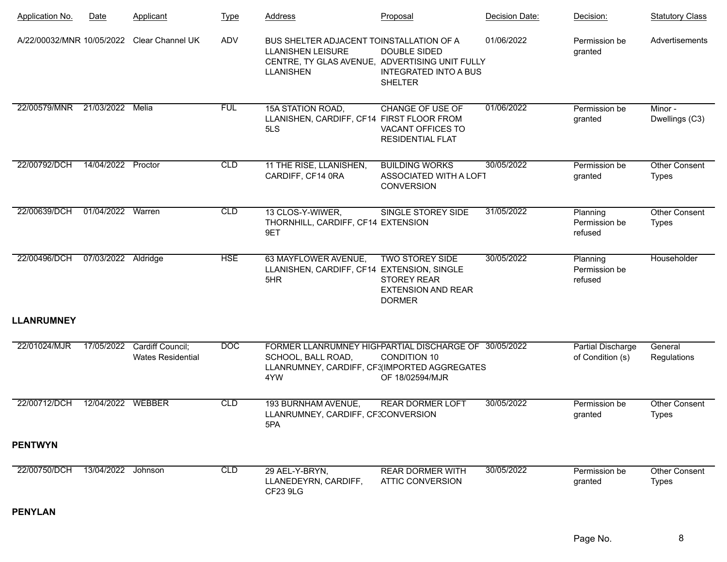| <b>Application No.</b> | <b>Date</b>         | Applicant                                    | <b>Type</b> | <b>Address</b>                                                                                                                             | Proposal                                                                                   | Decision Date: | Decision:                             | <b>Statutory Class</b>               |
|------------------------|---------------------|----------------------------------------------|-------------|--------------------------------------------------------------------------------------------------------------------------------------------|--------------------------------------------------------------------------------------------|----------------|---------------------------------------|--------------------------------------|
|                        |                     | A/22/00032/MNR 10/05/2022 Clear Channel UK   | ADV         | BUS SHELTER ADJACENT TOINSTALLATION OF A<br><b>LLANISHEN LEISURE</b><br>CENTRE, TY GLAS AVENUE, ADVERTISING UNIT FULLY<br><b>LLANISHEN</b> | <b>DOUBLE SIDED</b><br><b>INTEGRATED INTO A BUS</b><br><b>SHELTER</b>                      | 01/06/2022     | Permission be<br>granted              | Advertisements                       |
| 22/00579/MNR           | 21/03/2022          | Melia                                        | <b>FUL</b>  | 15A STATION ROAD,<br>LLANISHEN, CARDIFF, CF14 FIRST FLOOR FROM<br>5LS                                                                      | <b>CHANGE OF USE OF</b><br>VACANT OFFICES TO<br><b>RESIDENTIAL FLAT</b>                    | 01/06/2022     | Permission be<br>granted              | Minor -<br>Dwellings (C3)            |
| 22/00792/DCH           | 14/04/2022          | Proctor                                      | CLD         | 11 THE RISE, LLANISHEN,<br>CARDIFF, CF14 0RA                                                                                               | <b>BUILDING WORKS</b><br>ASSOCIATED WITH A LOFT<br><b>CONVERSION</b>                       | 30/05/2022     | Permission be<br>granted              | <b>Other Consent</b><br><b>Types</b> |
| 22/00639/DCH           | 01/04/2022 Warren   |                                              | CLD         | 13 CLOS-Y-WIWER,<br>THORNHILL, CARDIFF, CF14 EXTENSION<br>9ET                                                                              | SINGLE STOREY SIDE                                                                         | 31/05/2022     | Planning<br>Permission be<br>refused  | <b>Other Consent</b><br><b>Types</b> |
| 22/00496/DCH           | 07/03/2022 Aldridge |                                              | <b>HSE</b>  | 63 MAYFLOWER AVENUE,<br>LLANISHEN, CARDIFF, CF14 EXTENSION, SINGLE<br>5HR                                                                  | <b>TWO STOREY SIDE</b><br><b>STOREY REAR</b><br><b>EXTENSION AND REAR</b><br><b>DORMER</b> | 30/05/2022     | Planning<br>Permission be<br>refused  | Householder                          |
| <b>LLANRUMNEY</b>      |                     |                                              |             |                                                                                                                                            |                                                                                            |                |                                       |                                      |
| 22/01024/MJR           | 17/05/2022          | Cardiff Council;<br><b>Wates Residential</b> | <b>DOC</b>  | FORMER LLANRUMNEY HIGFPARTIAL DISCHARGE OF 30/05/2022<br>SCHOOL, BALL ROAD,<br>LLANRUMNEY, CARDIFF, CF3(IMPORTED AGGREGATES<br>4YW         | <b>CONDITION 10</b><br>OF 18/02594/MJR                                                     |                | Partial Discharge<br>of Condition (s) | General<br>Regulations               |
| 22/00712/DCH           | 12/04/2022 WEBBER   |                                              | CLD         | 193 BURNHAM AVENUE,<br>LLANRUMNEY, CARDIFF, CF3CONVERSION<br>5PA                                                                           | <b>REAR DORMER LOFT</b>                                                                    | 30/05/2022     | Permission be<br>granted              | <b>Other Consent</b><br><b>Types</b> |
| <b>PENTWYN</b>         |                     |                                              |             |                                                                                                                                            |                                                                                            |                |                                       |                                      |
| 22/00750/DCH           | 13/04/2022 Johnson  |                                              | CLD         | 29 AEL-Y-BRYN,<br>LLANEDEYRN, CARDIFF,<br>CF23 9LG                                                                                         | <b>REAR DORMER WITH</b><br><b>ATTIC CONVERSION</b>                                         | 30/05/2022     | Permission be<br>granted              | <b>Other Consent</b><br><b>Types</b> |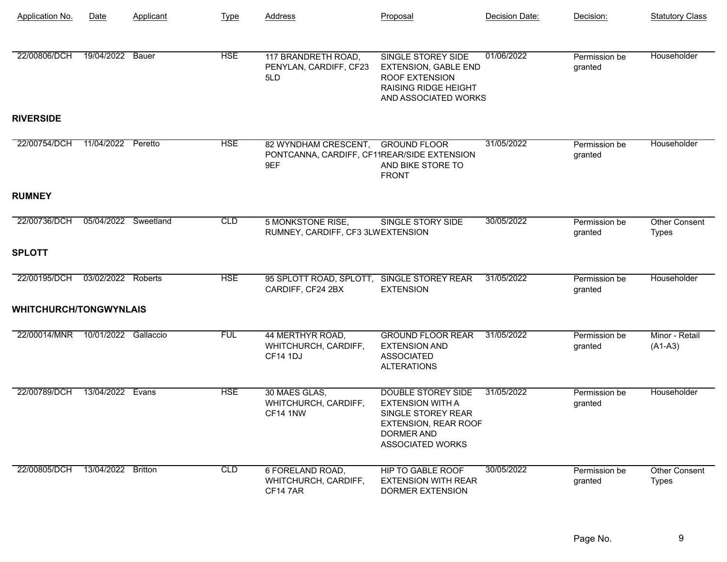| <b>Application No.</b>        | Date                 | Applicant      | <b>Type</b> | <b>Address</b>                                                             | Proposal                                                                                                                                           | Decision Date: | Decision:                | <b>Statutory Class</b>               |
|-------------------------------|----------------------|----------------|-------------|----------------------------------------------------------------------------|----------------------------------------------------------------------------------------------------------------------------------------------------|----------------|--------------------------|--------------------------------------|
| 22/00806/DCH                  | 19/04/2022           | <b>Bauer</b>   | <b>HSE</b>  | 117 BRANDRETH ROAD,<br>PENYLAN, CARDIFF, CF23<br>5LD                       | <b>SINGLE STOREY SIDE</b><br><b>EXTENSION, GABLE END</b><br><b>ROOF EXTENSION</b><br><b>RAISING RIDGE HEIGHT</b><br>AND ASSOCIATED WORKS           | 01/06/2022     | Permission be<br>granted | Householder                          |
| <b>RIVERSIDE</b>              |                      |                |             |                                                                            |                                                                                                                                                    |                |                          |                                      |
| 22/00754/DCH                  | 11/04/2022           | Peretto        | <b>HSE</b>  | 82 WYNDHAM CRESCENT,<br>PONTCANNA, CARDIFF, CF11REAR/SIDE EXTENSION<br>9EF | <b>GROUND FLOOR</b><br>AND BIKE STORE TO<br><b>FRONT</b>                                                                                           | 31/05/2022     | Permission be<br>granted | Householder                          |
| <b>RUMNEY</b>                 |                      |                |             |                                                                            |                                                                                                                                                    |                |                          |                                      |
| 22/00736/DCH                  | 05/04/2022           | Sweetland      | CLD         | <b>5 MONKSTONE RISE,</b><br>RUMNEY, CARDIFF, CF3 3LWEXTENSION              | <b>SINGLE STORY SIDE</b>                                                                                                                           | 30/05/2022     | Permission be<br>granted | <b>Other Consent</b><br><b>Types</b> |
| <b>SPLOTT</b>                 |                      |                |             |                                                                            |                                                                                                                                                    |                |                          |                                      |
| 22/00195/DCH                  | 03/02/2022 Roberts   |                | <b>HSE</b>  | 95 SPLOTT ROAD, SPLOTT, SINGLE STOREY REAR<br>CARDIFF, CF24 2BX            | <b>EXTENSION</b>                                                                                                                                   | 31/05/2022     | Permission be<br>granted | Householder                          |
| <b>WHITCHURCH/TONGWYNLAIS</b> |                      |                |             |                                                                            |                                                                                                                                                    |                |                          |                                      |
| 22/00014/MNR                  | 10/01/2022 Gallaccio |                | <b>FUL</b>  | 44 MERTHYR ROAD,<br>WHITCHURCH, CARDIFF,<br><b>CF14 1DJ</b>                | <b>GROUND FLOOR REAR</b><br><b>EXTENSION AND</b><br><b>ASSOCIATED</b><br><b>ALTERATIONS</b>                                                        | 31/05/2022     | Permission be<br>granted | Minor - Retail<br>$(A1-A3)$          |
| 22/00789/DCH                  | 13/04/2022           | Evans          | <b>HSE</b>  | 30 MAES GLAS,<br>WHITCHURCH, CARDIFF,<br>CF14 1NW                          | <b>DOUBLE STOREY SIDE</b><br><b>EXTENSION WITH A</b><br>SINGLE STOREY REAR<br><b>EXTENSION, REAR ROOF</b><br>DORMER AND<br><b>ASSOCIATED WORKS</b> | 31/05/2022     | Permission be<br>granted | Householder                          |
| 22/00805/DCH                  | 13/04/2022           | <b>Britton</b> | CLD         | 6 FORELAND ROAD,<br>WHITCHURCH, CARDIFF,<br><b>CF147AR</b>                 | <b>HIP TO GABLE ROOF</b><br><b>EXTENSION WITH REAR</b><br>DORMER EXTENSION                                                                         | 30/05/2022     | Permission be<br>granted | Other Consent<br><b>Types</b>        |